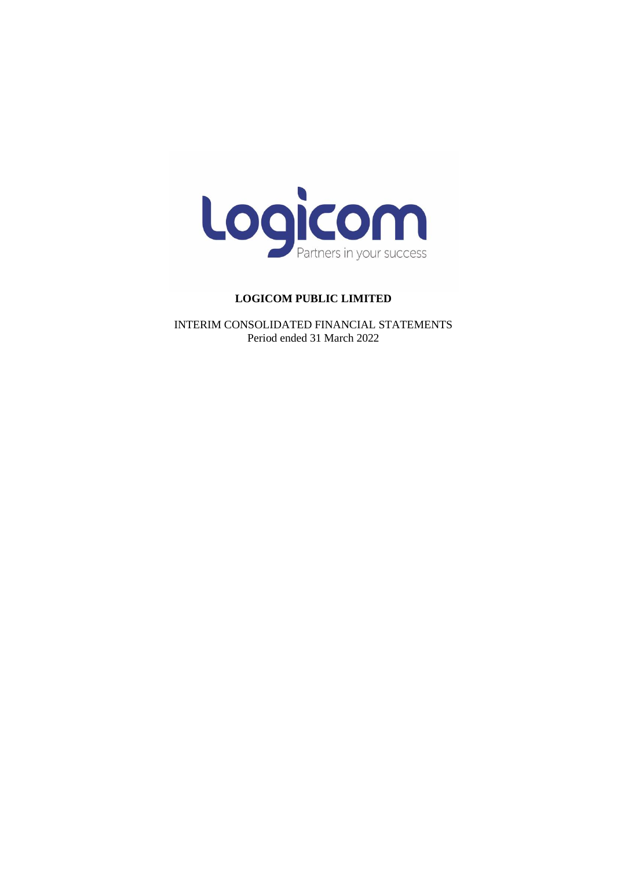

INTERIM CONSOLIDATED FINANCIAL STATEMENTS Period ended 31 March 2022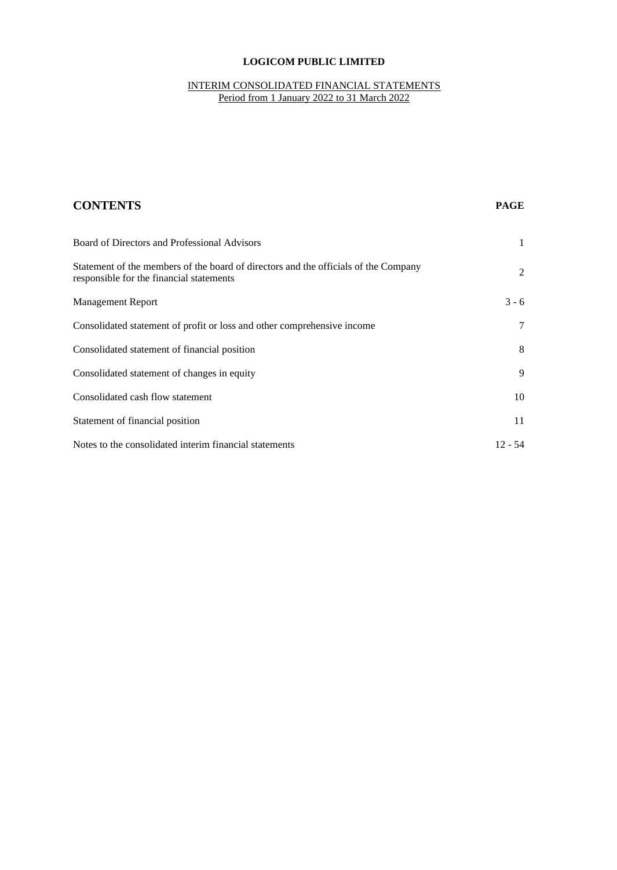## INTERIM CONSOLIDATED FINANCIAL STATEMENTS Period from 1 January 2022 to 31 March 2022

| <b>CONTENTS</b>                                                                                                                 | <b>PAGE</b>  |
|---------------------------------------------------------------------------------------------------------------------------------|--------------|
| Board of Directors and Professional Advisors                                                                                    | $\mathbf{1}$ |
| Statement of the members of the board of directors and the officials of the Company<br>responsible for the financial statements | 2            |
| <b>Management Report</b>                                                                                                        | $3 - 6$      |
| Consolidated statement of profit or loss and other comprehensive income                                                         | 7            |
| Consolidated statement of financial position                                                                                    | 8            |
| Consolidated statement of changes in equity                                                                                     | 9            |
| Consolidated cash flow statement                                                                                                | 10           |
| Statement of financial position                                                                                                 | 11           |
| Notes to the consolidated interim financial statements                                                                          | $12 - 54$    |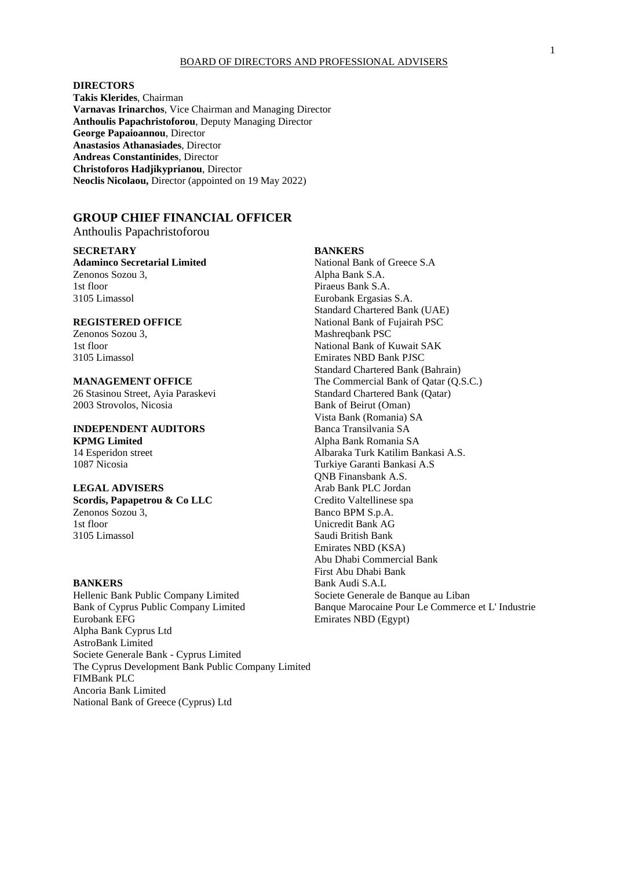#### BOARD OF DIRECTORS AND PROFESSIONAL ADVISERS

## **DIRECTORS**

**Takis Klerides**, Chairman **Varnavas Irinarchos**, Vice Chairman and Managing Director **Anthoulis Papachristoforou**, Deputy Managing Director **George Papaioannou**, Director **Anastasios Athanasiades**, Director **Andreas Constantinides**, Director **Christoforos Hadjikyprianou**, Director **Neoclis Nicolaou,** Director (appointed on 19 May 2022)

## **GROUP CHIEF FINANCIAL OFFICER**

Anthoulis Papachristoforou

#### **SECRETARY BANKERS**

**Adaminco Secretarial Limited 5 Adaminco Secretarial Limited 5 Adaminco Secretarial Limited 5 Adaminco Secretarial Limited 5 Adaminco Secretarial Limited 5 Adaminco Secretarial Limited 5 Adaminco Secretarial Limited 5 Adam** Zenonos Sozou 3, Alpha Bank S.A. 1st floor Piraeus Bank S.A. 3105 Limassol Eurobank Ergasias S.A.

2003 Strovolos, Nicosia Bank of Beirut (Oman)

# **INDEPENDENT AUDITORS** Banca Transilvania SA

**Scordis, Papapetrou & Co LLC** Credito Valtellinese spa Zenonos Sozou 3, Banco BPM S.p.A. 3105 Limassol Saudi British Bank

Hellenic Bank Public Company Limited Bank of Cyprus Public Company Limited Banque Marocaine Pour Le Commerce et L' Industrie<br>Eurobank EFG Eurobank EFG Alpha Bank Cyprus Ltd AstroBank Limited Societe Generale Bank - Cyprus Limited The Cyprus Development Bank Public Company Limited FIMBank PLC Ancoria Bank Limited National Bank of Greece (Cyprus) Ltd

Standard Chartered Bank (UAE) **REGISTERED OFFICE** National Bank of Fujairah PSC Zenonos Sozou 3, Mashreqbank PSC 1st floor National Bank of Kuwait SAK 3105 Limassol Emirates NBD Bank PJSC Standard Chartered Bank (Bahrain) **MANAGEMENT OFFICE** The Commercial Bank of Qatar (Q.S.C.) 26 Stasinou Street, Ayia Paraskevi Standard Chartered Bank (Qatar) Vista Bank (Romania) SA **KPMG Limited** Alpha Bank Romania SA<br>
14 Esperidon street Albaraka Turk Katilim Bank Romania SA Albaraka Turk Katilim Bankasi A.S. 1087 Nicosia Turkiye Garanti Bankasi A.S QNB Finansbank A.S. **LEGAL ADVISERS** Arab Bank PLC Jordan Unicredit Bank AG Emirates NBD (KSA) Abu Dhabi Commercial Bank First Abu Dhabi Bank **BANKERS** Bank Audi S.A.L<br>
Hellenic Bank Public Company Limited Societe Generale de Banque au Liban Emirates NBD (Egypt)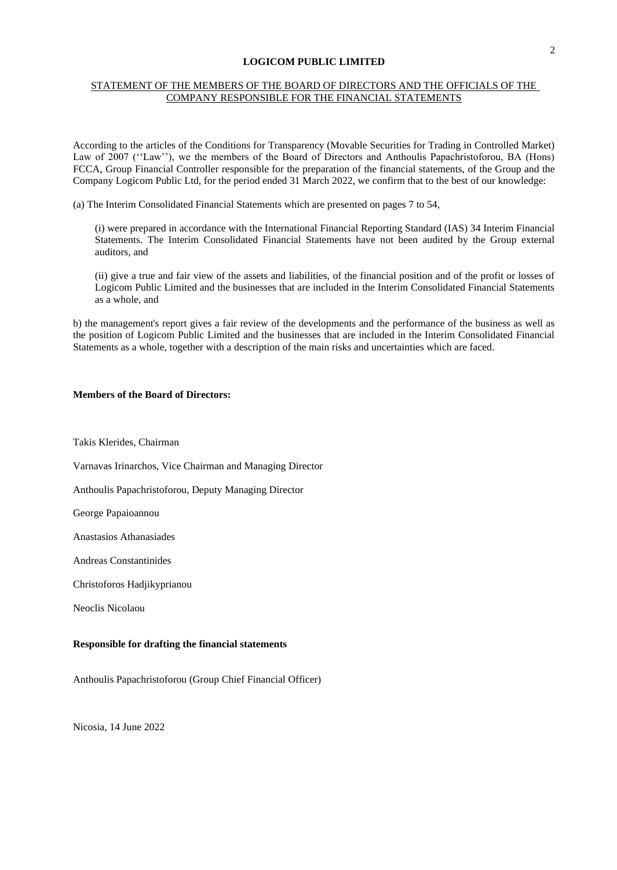## STATEMENT OF THE MEMBERS OF THE BOARD OF DIRECTORS AND THE OFFICIALS OF THE COMPANY RESPONSIBLE FOR THE FINANCIAL STATEMENTS

According to the articles of the Conditions for Transparency (Movable Securities for Trading in Controlled Market) Law of 2007 (''Law''), we the members of the Board of Directors and Anthoulis Papachristoforou, BA (Hons) FCCA, Group Financial Controller responsible for the preparation of the financial statements, of the Group and the Company Logicom Public Ltd, for the period ended 31 March 2022, we confirm that to the best of our knowledge:

(a) The Interim Consolidated Financial Statements which are presented on pages 7 to 54,

(i) were prepared in accordance with the International Financial Reporting Standard (IAS) 34 Interim Financial Statements. The Interim Consolidated Financial Statements have not been audited by the Group external auditors, and

(ii) give a true and fair view of the assets and liabilities, of the financial position and of the profit or losses of Logicom Public Limited and the businesses that are included in the Interim Consolidated Financial Statements as a whole, and

b) the management's report gives a fair review of the developments and the performance of the business as well as the position of Logicom Public Limited and the businesses that are included in the Interim Consolidated Financial Statements as a whole, together with a description of the main risks and uncertainties which are faced.

#### **Members of the Board of Directors:**

Takis Klerides, Chairman

Varnavas Irinarchos, Vice Chairman and Managing Director

Anthoulis Papachristoforou, Deputy Managing Director

George Papaioannou

Anastasios Athanasiades

Andreas Constantinides

Christoforos Hadjikyprianou

Neoclis Nicolaou

#### **Responsible for drafting the financial statements**

Anthoulis Papachristoforou (Group Chief Financial Officer)

Nicosia, 14 June 2022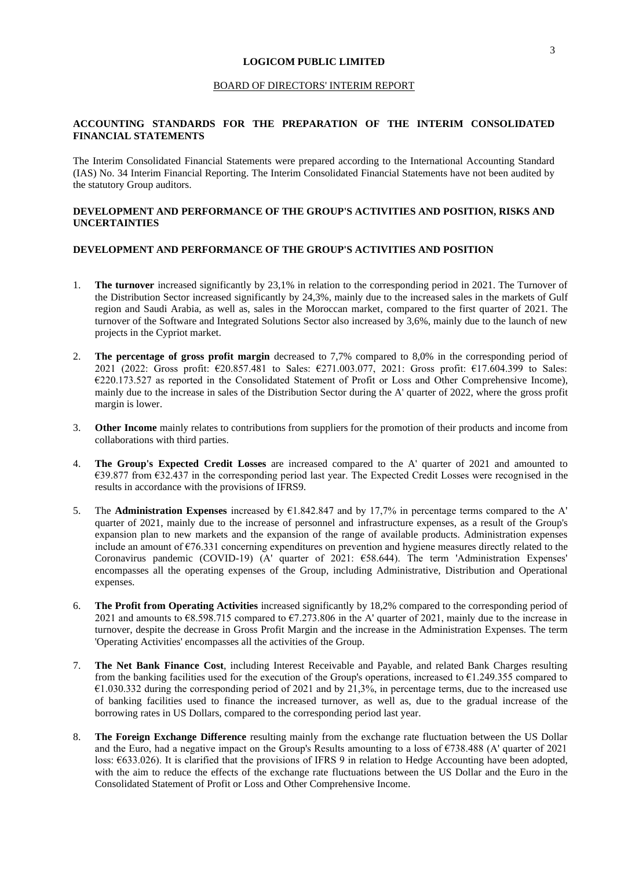#### BOARD OF DIRECTORS' INTERIM REPORT

## **ACCOUNTING STANDARDS FOR THE PREPARATION OF THE INTERIM CONSOLIDATED FINANCIAL STATEMENTS**

The Interim Consolidated Financial Statements were prepared according to the International Accounting Standard (IAS) No. 34 Interim Financial Reporting. The Interim Consolidated Financial Statements have not been audited by the statutory Group auditors.

## **DEVELOPMENT AND PERFORMANCE OF THE GROUP'S ACTIVITIES AND POSITION, RISKS AND UNCERTAINTIES**

## **DEVELOPMENT AND PERFORMANCE OF THE GROUP'S ACTIVITIES AND POSITION**

- 1. **The turnover** increased significantly by 23,1% in relation to the corresponding period in 2021. The Turnover of the Distribution Sector increased significantly by 24,3%, mainly due to the increased sales in the markets of Gulf region and Saudi Arabia, as well as, sales in the Moroccan market, compared to the first quarter of 2021. The turnover of the Software and Integrated Solutions Sector also increased by 3,6%, mainly due to the launch of new projects in the Cypriot market.
- 2. **The percentage of gross profit margin** decreased to 7,7% compared to 8,0% in the corresponding period of 2021 (2022: Gross profit: €20.857.481 to Sales: €271.003.077, 2021: Gross profit: €17.604.399 to Sales: €220.173.527 as reported in the Consolidated Statement of Profit or Loss and Other Comprehensive Income), mainly due to the increase in sales of the Distribution Sector during the A' quarter of 2022, where the gross profit margin is lower.
- 3. **Other Income** mainly relates to contributions from suppliers for the promotion of their products and income from collaborations with third parties.
- 4. **The Group's Expected Credit Losses** are increased compared to the A' quarter of 2021 and amounted to €39.877 from €32.437 in the corresponding period last year. The Expected Credit Losses were recognised in the results in accordance with the provisions of IFRS9.
- 5. The **Administration Expenses** increased by €1.842.847 and by 17,7% in percentage terms compared to the A' quarter of 2021, mainly due to the increase of personnel and infrastructure expenses, as a result of the Group's expansion plan to new markets and the expansion of the range of available products. Administration expenses include an amount of €76.331 concerning expenditures on prevention and hygiene measures directly related to the Coronavirus pandemic (COVID-19) (A' quarter of 2021: €58.644). The term 'Administration Expenses' encompasses all the operating expenses of the Group, including Administrative, Distribution and Operational expenses.
- 6. **The Profit from Operating Activities** increased significantly by 18,2% compared to the corresponding period of 2021 and amounts to €8.598.715 compared to €7.273.806 in the A' quarter of 2021, mainly due to the increase in turnover, despite the decrease in Gross Profit Margin and the increase in the Administration Expenses. The term 'Operating Activities' encompasses all the activities of the Group.
- 7. **The Net Bank Finance Cost**, including Interest Receivable and Payable, and related Bank Charges resulting from the banking facilities used for the execution of the Group's operations, increased to  $\epsilon$ 1.249.355 compared to €1.030.332 during the corresponding period of 2021 and by 21,3%, in percentage terms, due to the increased use of banking facilities used to finance the increased turnover, as well as, due to the gradual increase of the borrowing rates in US Dollars, compared to the corresponding period last year.
- 8. **The Foreign Exchange Difference** resulting mainly from the exchange rate fluctuation between the US Dollar and the Euro, had a negative impact on the Group's Results amounting to a loss of €738.488 (A' quarter of 2021 loss: €633.026). It is clarified that the provisions of IFRS 9 in relation to Hedge Accounting have been adopted, with the aim to reduce the effects of the exchange rate fluctuations between the US Dollar and the Euro in the Consolidated Statement of Profit or Loss and Other Comprehensive Income.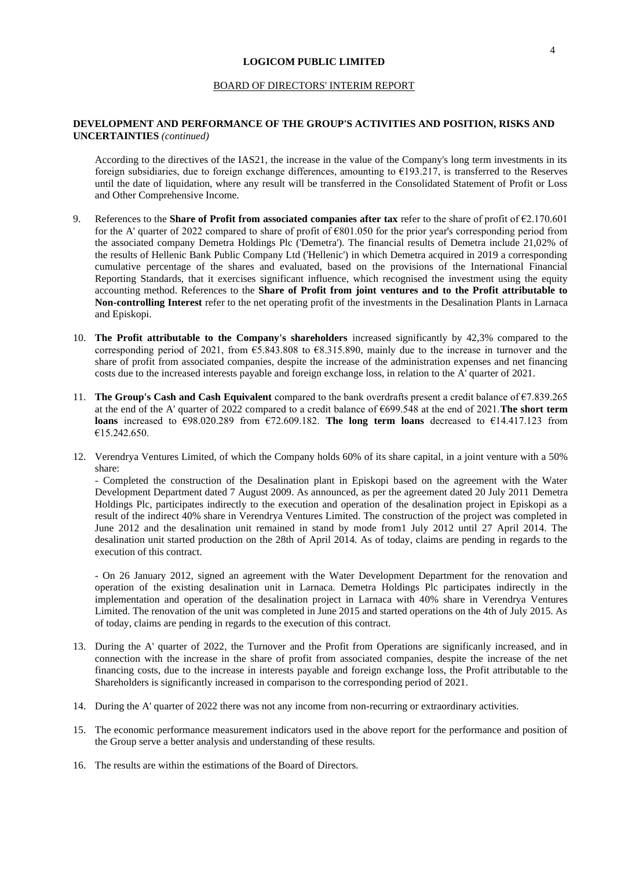#### BOARD OF DIRECTORS' INTERIM REPORT

### **DEVELOPMENT AND PERFORMANCE OF THE GROUP'S ACTIVITIES AND POSITION, RISKS AND UNCERTAINTIES** *(continued)*

According to the directives of the IAS21, the increase in the value of the Company's long term investments in its foreign subsidiaries, due to foreign exchange differences, amounting to  $\epsilon$ 193.217, is transferred to the Reserves until the date of liquidation, where any result will be transferred in the Consolidated Statement of Profit or Loss and Other Comprehensive Income.

- 9. References to the **Share of Profit from associated companies after tax** refer to the share of profit of €2.170.601 for the A' quarter of 2022 compared to share of profit of €801.050 for the prior year's corresponding period from the associated company Demetra Holdings Plc ('Demetra'). The financial results of Demetra include 21,02% of the results of Hellenic Bank Public Company Ltd ('Hellenic') in which Demetra acquired in 2019 a corresponding cumulative percentage of the shares and evaluated, based on the provisions of the International Financial Reporting Standards, that it exercises significant influence, which recognised the investment using the equity accounting method. References to the **Share of Profit from joint ventures and to the Profit attributable to Non-controlling Interest** refer to the net operating profit of the investments in the Desalination Plants in Larnaca and Episkopi.
- 10. **The Profit attributable to the Company's shareholders** increased significantly by 42,3% compared to the corresponding period of 2021, from  $\epsilon$ 5.843.808 to  $\epsilon$ 8.315.890, mainly due to the increase in turnover and the share of profit from associated companies, despite the increase of the administration expenses and net financing costs due to the increased interests payable and foreign exchange loss, in relation to the A' quarter of 2021.
- 11. **The Group's Cash and Cash Equivalent** compared to the bank overdrafts present a credit balance of €7.839.265 at the end of the A' quarter of 2022 compared to a credit balance of €699.548 at the end of 2021.**The short term loans** increased to €98.020.289 from €72.609.182. **The long term loans** decreased to €14.417.123 from €15.242.650.
- 12. Verendrya Ventures Limited, of which the Company holds 60% of its share capital, in a joint venture with a 50% share:

- Completed the construction of the Desalination plant in Episkopi based on the agreement with the Water Development Department dated 7 August 2009. As announced, as per the agreement dated 20 July 2011 Demetra Holdings Plc, participates indirectly to the execution and operation of the desalination project in Episkopi as a result of the indirect 40% share in Verendrya Ventures Limited. The construction of the project was completed in June 2012 and the desalination unit remained in stand by mode from1 July 2012 until 27 April 2014. The desalination unit started production on the 28th of April 2014. As of today, claims are pending in regards to the execution of this contract.

- On 26 January 2012, signed an agreement with the Water Development Department for the renovation and operation of the existing desalination unit in Larnaca. Demetra Holdings Plc participates indirectly in the implementation and operation of the desalination project in Larnaca with 40% share in Verendrya Ventures Limited. The renovation of the unit was completed in June 2015 and started operations on the 4th of July 2015. As of today, claims are pending in regards to the execution of this contract.

- 13. During the A' quarter of 2022, the Turnover and the Profit from Operations are significanly increased, and in connection with the increase in the share of profit from associated companies, despite the increase of the net financing costs, due to the increase in interests payable and foreign exchange loss, the Profit attributable to the Shareholders is significantly increased in comparison to the corresponding period of 2021.
- 14. During the A' quarter of 2022 there was not any income from non-recurring or extraordinary activities.
- 15. The economic performance measurement indicators used in the above report for the performance and position of the Group serve a better analysis and understanding of these results.
- 16. The results are within the estimations of the Board of Directors.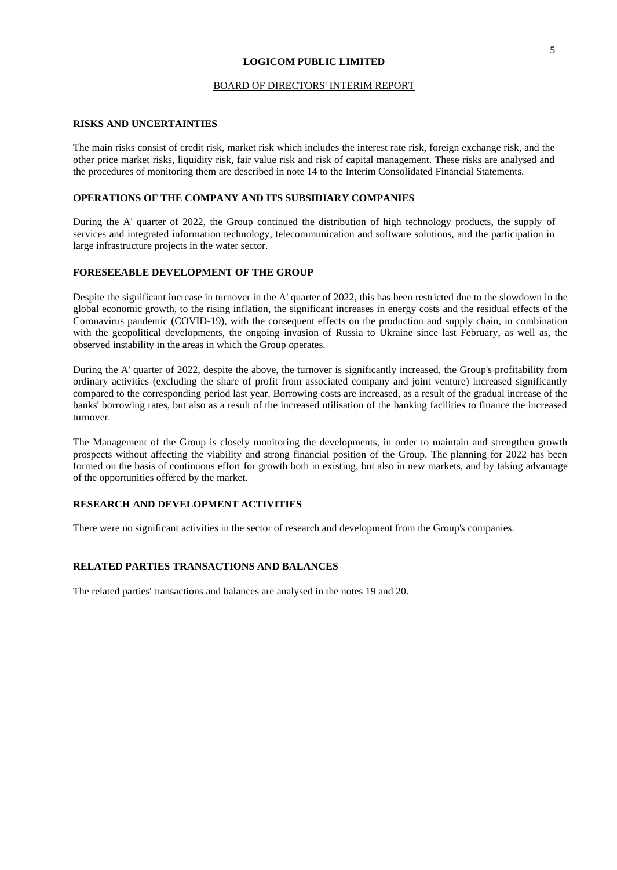#### BOARD OF DIRECTORS' INTERIM REPORT

#### **RISKS AND UNCERTAINTIES**

The main risks consist of credit risk, market risk which includes the interest rate risk, foreign exchange risk, and the other price market risks, liquidity risk, fair value risk and risk of capital management. These risks are analysed and the procedures of monitoring them are described in note 14 to the Interim Consolidated Financial Statements.

#### **OPERATIONS OF THE COMPANY AND ITS SUBSIDIARY COMPANIES**

During the A' quarter of 2022, the Group continued the distribution of high technology products, the supply of services and integrated information technology, telecommunication and software solutions, and the participation in large infrastructure projects in the water sector.

#### **FORESEEABLE DEVELOPMENT OF THE GROUP**

Despite the significant increase in turnover in the A' quarter of 2022, this has been restricted due to the slowdown in the global economic growth, to the rising inflation, the significant increases in energy costs and the residual effects of the Coronavirus pandemic (COVID-19), with the consequent effects on the production and supply chain, in combination with the geopolitical developments, the ongoing invasion of Russia to Ukraine since last February, as well as, the observed instability in the areas in which the Group operates.

During the A' quarter of 2022, despite the above, the turnover is significantly increased, the Group's profitability from ordinary activities (excluding the share of profit from associated company and joint venture) increased significantly compared to the corresponding period last year. Borrowing costs are increased, as a result of the gradual increase of the banks' borrowing rates, but also as a result of the increased utilisation of the banking facilities to finance the increased turnover.

The Management of the Group is closely monitoring the developments, in order to maintain and strengthen growth prospects without affecting the viability and strong financial position of the Group. The planning for 2022 has been formed on the basis of continuous effort for growth both in existing, but also in new markets, and by taking advantage of the opportunities offered by the market.

#### **RESEARCH AND DEVELOPMENT ACTIVITIES**

There were no significant activities in the sector of research and development from the Group's companies.

## **RELATED PARTIES TRANSACTIONS AND BALANCES**

The related parties' transactions and balances are analysed in the notes 19 and 20.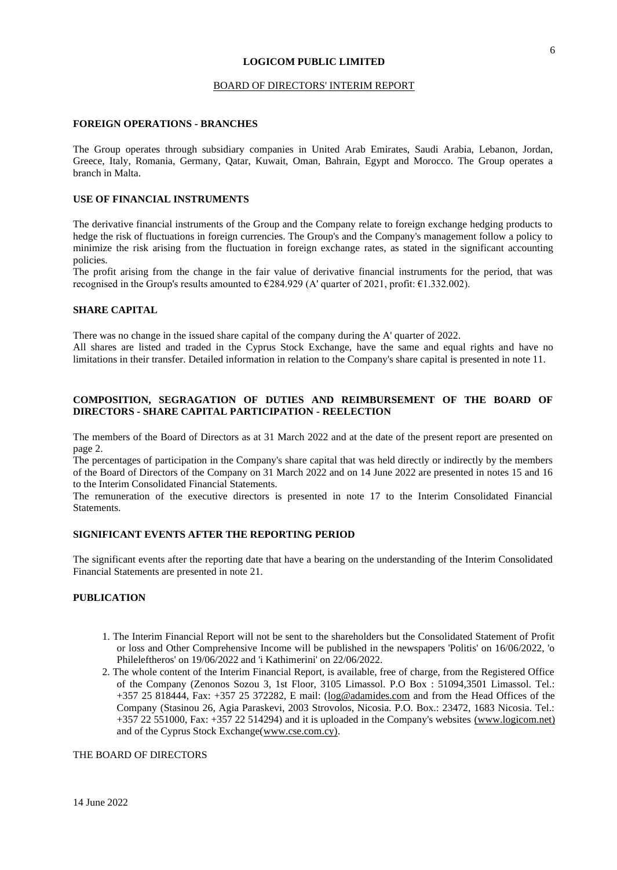#### BOARD OF DIRECTORS' INTERIM REPORT

#### **FOREIGN OPERATIONS - BRANCHES**

The Group operates through subsidiary companies in United Arab Emirates, Saudi Arabia, Lebanon, Jordan, Greece, Italy, Romania, Germany, Qatar, Kuwait, Oman, Bahrain, Egypt and Morocco. The Group operates a branch in Malta.

#### **USE OF FINANCIAL INSTRUMENTS**

The derivative financial instruments of the Group and the Company relate to foreign exchange hedging products to hedge the risk of fluctuations in foreign currencies. The Group's and the Company's management follow a policy to minimize the risk arising from the fluctuation in foreign exchange rates, as stated in the significant accounting policies.

The profit arising from the change in the fair value of derivative financial instruments for the period, that was recognised in the Group's results amounted to  $\epsilon$ 284.929 (A' quarter of 2021, profit:  $\epsilon$ 1.332.002).

#### **SHARE CAPITAL**

There was no change in the issued share capital of the company during the A' quarter of 2022. All shares are listed and traded in the Cyprus Stock Exchange, have the same and equal rights and have no limitations in their transfer. Detailed information in relation to the Company's share capital is presented in note 11.

#### **COMPOSITION, SEGRAGATION OF DUTIES AND REIMBURSEMENT OF THE BOARD OF DIRECTORS - SHARE CAPITAL PARTICIPATION - REELECTION**

The members of the Board of Directors as at 31 March 2022 and at the date of the present report are presented on page 2.

The percentages of participation in the Company's share capital that was held directly or indirectly by the members of the Board of Directors of the Company on 31 March 2022 and on 14 June 2022 are presented in notes 15 and 16 to the Interim Consolidated Financial Statements.

The remuneration of the executive directors is presented in note 17 to the Interim Consolidated Financial Statements.

## **SIGNIFICANT EVENTS AFTER THE REPORTING PERIOD**

The significant events after the reporting date that have a bearing on the understanding of the Interim Consolidated Financial Statements are presented in note 21.

#### **PUBLICATION**

- 1. The Interim Financial Report will not be sent to the shareholders but the Consolidated Statement of Profit or loss and Other Comprehensive Income will be published in the newspapers 'Politis' on 16/06/2022, 'o Phileleftheros' on 19/06/2022 and 'i Kathimerini' on 22/06/2022.
- 2. The whole content of the Interim Financial Report, is available, free of charge, from the Registered Office of the Company (Zenonos Sozou 3, 1st Floor, 3105 Limassol. P.O Box : 51094,3501 Limassol. Tel.: +357 25 818444, Fax: +357 25 372282, E mail: (log@adamides.com and from the Head Offices of the Company (Stasinou 26, Agia Paraskevi, 2003 Strovolos, Nicosia. P.O. Box.: 23472, 1683 Nicosia. Tel.: +357 22 551000, Fax: +357 22 514294) and it is uploaded in the Company's websites (www.logicom.net) and of the Cyprus Stock Exchange(www.cse.com.cy).

THE BOARD OF DIRECTORS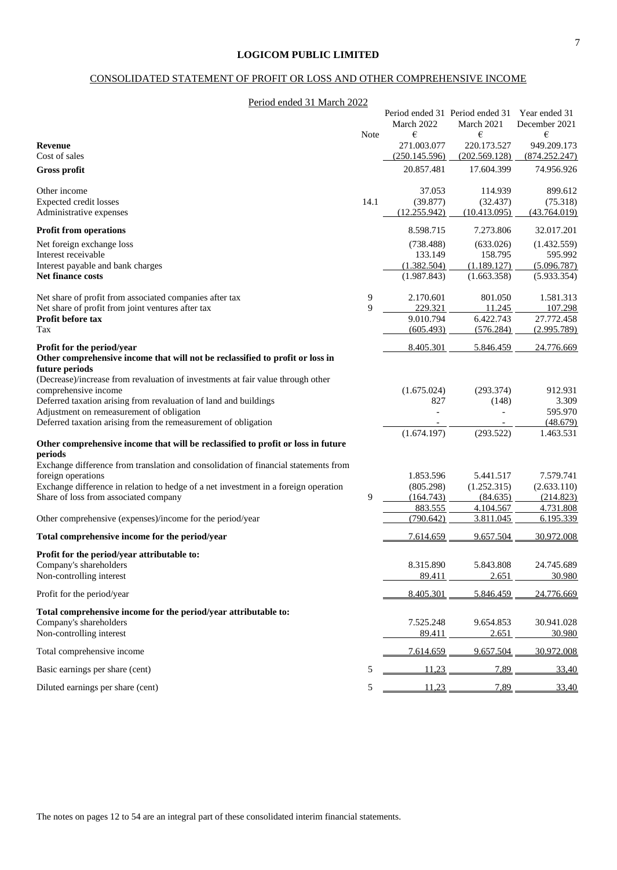## CONSOLIDATED STATEMENT OF PROFIT OR LOSS AND OTHER COMPREHENSIVE INCOME

| Period ended 31 March 2022                                                                                   |        |                      |                                               |                                |
|--------------------------------------------------------------------------------------------------------------|--------|----------------------|-----------------------------------------------|--------------------------------|
|                                                                                                              |        | March 2022           | Period ended 31 Period ended 31<br>March 2021 | Year ended 31<br>December 2021 |
|                                                                                                              | Note   | €                    | €                                             | €                              |
| <b>Revenue</b>                                                                                               |        | 271.003.077          | 220.173.527                                   | 949.209.173                    |
| Cost of sales                                                                                                |        | (250.145.596)        | (202.569.128)                                 | (874.252.247)                  |
| <b>Gross profit</b>                                                                                          |        | 20.857.481           | 17.604.399                                    | 74.956.926                     |
| Other income                                                                                                 |        | 37.053               | 114.939                                       | 899.612                        |
| Expected credit losses                                                                                       | 14.1   | (39.877)             | (32.437)                                      | (75.318)                       |
| Administrative expenses                                                                                      |        | (12.255.942)         | (10.413.095)                                  | (43.764.019)                   |
| <b>Profit from operations</b>                                                                                |        | 8.598.715            | 7.273.806                                     | 32.017.201                     |
| Net foreign exchange loss                                                                                    |        | (738.488)            | (633.026)                                     | (1.432.559)                    |
| Interest receivable                                                                                          |        | 133.149              | 158.795                                       | 595.992                        |
| Interest payable and bank charges                                                                            |        | (1.382.504)          | (1.189.127)                                   | (5.096.787)                    |
| Net finance costs                                                                                            |        | (1.987.843)          | (1.663.358)                                   | (5.933.354)                    |
|                                                                                                              |        |                      |                                               |                                |
| Net share of profit from associated companies after tax<br>Net share of profit from joint ventures after tax | 9<br>9 | 2.170.601<br>229.321 | 801.050<br>11.245                             | 1.581.313<br>107.298           |
| Profit before tax                                                                                            |        | 9.010.794            | 6.422.743                                     | 27.772.458                     |
| Tax                                                                                                          |        | (605.493)            | (576.284)                                     | (2.995.789)                    |
|                                                                                                              |        |                      |                                               |                                |
| Profit for the period/year                                                                                   |        | 8.405.301            | 5.846.459                                     | 24.776.669                     |
| Other comprehensive income that will not be reclassified to profit or loss in<br>future periods              |        |                      |                                               |                                |
| (Decrease)/increase from revaluation of investments at fair value through other                              |        |                      |                                               |                                |
| comprehensive income                                                                                         |        | (1.675.024)          | (293.374)                                     | 912.931                        |
| Deferred taxation arising from revaluation of land and buildings                                             |        | 827                  | (148)                                         | 3.309                          |
| Adjustment on remeasurement of obligation                                                                    |        | $\overline{a}$       |                                               | 595.970                        |
| Deferred taxation arising from the remeasurement of obligation                                               |        |                      |                                               | (48.679)                       |
|                                                                                                              |        | (1.674.197)          | (293.522)                                     | 1.463.531                      |
| Other comprehensive income that will be reclassified to profit or loss in future<br>periods                  |        |                      |                                               |                                |
| Exchange difference from translation and consolidation of financial statements from                          |        |                      |                                               |                                |
| foreign operations                                                                                           |        | 1.853.596            | 5.441.517                                     | 7.579.741                      |
| Exchange difference in relation to hedge of a net investment in a foreign operation                          |        | (805.298)            | (1.252.315)                                   | (2.633.110)                    |
| Share of loss from associated company                                                                        | 9      | (164.743)            | (84.635)                                      | (214.823)                      |
|                                                                                                              |        | 883.555              | 4.104.567                                     | 4.731.808                      |
| Other comprehensive (expenses)/income for the period/year                                                    |        | (790.642)            | 3.811.045                                     | 6.195.339                      |
| Total comprehensive income for the period/year                                                               |        | 7.614.659            | 9.657.504                                     | 30.972.008                     |
| Profit for the period/year attributable to:                                                                  |        |                      |                                               |                                |
| Company's shareholders                                                                                       |        | 8.315.890            | 5.843.808                                     | 24.745.689                     |
| Non-controlling interest                                                                                     |        | 89.411               | 2.651                                         | 30.980                         |
| Profit for the period/year                                                                                   |        | 8.405.301            | 5.846.459                                     | 24.776.669                     |
| Total comprehensive income for the period/year attributable to:                                              |        |                      |                                               |                                |
| Company's shareholders                                                                                       |        | 7.525.248            | 9.654.853                                     | 30.941.028                     |
| Non-controlling interest                                                                                     |        | 89.411               | 2.651                                         | 30.980                         |
| Total comprehensive income                                                                                   |        | 7.614.659            | 9.657.504                                     | 30.972.008                     |
| Basic earnings per share (cent)                                                                              | 5      | <u>11,23</u>         | 7,89                                          | 33,40                          |
|                                                                                                              |        |                      |                                               |                                |
| Diluted earnings per share (cent)                                                                            | 5      | 11,23                | 7,89                                          | 33,40                          |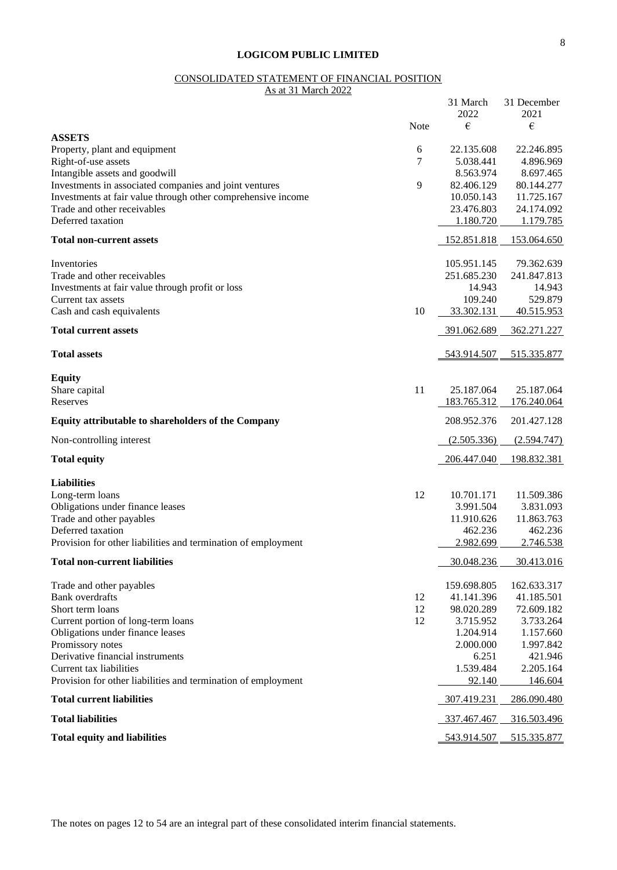#### CONSOLIDATED STATEMENT OF FINANCIAL POSITION

As at 31 March 2022

|                                                                        |      | 31 March<br>2022 | 31 December<br>2021 |
|------------------------------------------------------------------------|------|------------------|---------------------|
|                                                                        | Note | €                | €                   |
| <b>ASSETS</b><br>Property, plant and equipment                         | 6    | 22.135.608       | 22.246.895          |
| Right-of-use assets                                                    | 7    | 5.038.441        | 4.896.969           |
| Intangible assets and goodwill                                         |      | 8.563.974        | 8.697.465           |
| Investments in associated companies and joint ventures                 | 9    | 82.406.129       | 80.144.277          |
| Investments at fair value through other comprehensive income           |      | 10.050.143       | 11.725.167          |
| Trade and other receivables                                            |      | 23.476.803       | 24.174.092          |
| Deferred taxation                                                      |      | 1.180.720        | 1.179.785           |
| <b>Total non-current assets</b>                                        |      | 152.851.818      | 153.064.650         |
|                                                                        |      |                  |                     |
| Inventories                                                            |      | 105.951.145      | 79.362.639          |
| Trade and other receivables                                            |      | 251.685.230      | 241.847.813         |
| Investments at fair value through profit or loss<br>Current tax assets |      | 14.943           | 14.943<br>529.879   |
|                                                                        | 10   | 109.240          |                     |
| Cash and cash equivalents                                              |      | 33.302.131       | 40.515.953          |
| <b>Total current assets</b>                                            |      | 391.062.689      | 362.271.227         |
| <b>Total assets</b>                                                    |      | 543.914.507      | 515.335.877         |
| <b>Equity</b>                                                          |      |                  |                     |
| Share capital                                                          | 11   | 25.187.064       | 25.187.064          |
| Reserves                                                               |      | 183.765.312      | 176.240.064         |
| Equity attributable to shareholders of the Company                     |      | 208.952.376      | 201.427.128         |
| Non-controlling interest                                               |      | (2.505.336)      | (2.594.747)         |
| <b>Total equity</b>                                                    |      | 206.447.040      | 198.832.381         |
| <b>Liabilities</b>                                                     |      |                  |                     |
| Long-term loans                                                        | 12   | 10.701.171       | 11.509.386          |
| Obligations under finance leases                                       |      | 3.991.504        | 3.831.093           |
| Trade and other payables                                               |      | 11.910.626       | 11.863.763          |
| Deferred taxation                                                      |      | 462.236          | 462.236             |
| Provision for other liabilities and termination of employment          |      | 2.982.699        | 2.746.538           |
| <b>Total non-current liabilities</b>                                   |      | 30.048.236       | 30.413.016          |
| Trade and other payables                                               |      | 159.698.805      | 162.633.317         |
| <b>Bank</b> overdrafts                                                 | 12   | 41.141.396       | 41.185.501          |
| Short term loans                                                       | 12   | 98.020.289       | 72.609.182          |
| Current portion of long-term loans                                     | 12   | 3.715.952        | 3.733.264           |
| Obligations under finance leases                                       |      | 1.204.914        | 1.157.660           |
| Promissory notes                                                       |      | 2.000.000        | 1.997.842           |
| Derivative financial instruments                                       |      | 6.251            | 421.946             |
| Current tax liabilities                                                |      | 1.539.484        | 2.205.164           |
| Provision for other liabilities and termination of employment          |      | 92.140           | 146.604             |
| <b>Total current liabilities</b>                                       |      | 307.419.231      | 286.090.480         |
| <b>Total liabilities</b>                                               |      | 337.467.467      | 316.503.496         |
| <b>Total equity and liabilities</b>                                    |      | 543.914.507      | 515.335.877         |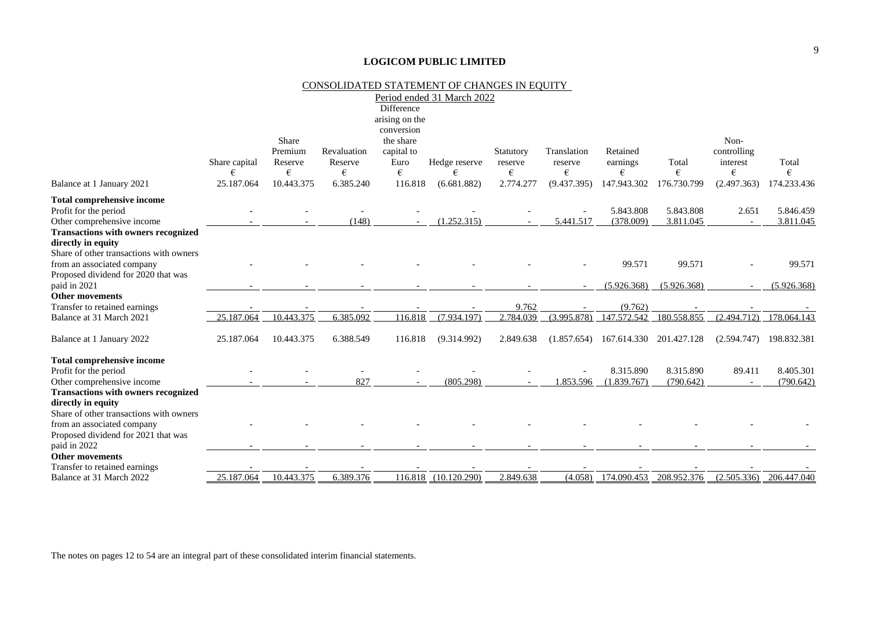|                                                           |                    |                  |                        |                    | CONSOLIDATED STATEMENT OF CHANGES IN EQUITY |                      |                        |                      |             |                         |                             |
|-----------------------------------------------------------|--------------------|------------------|------------------------|--------------------|---------------------------------------------|----------------------|------------------------|----------------------|-------------|-------------------------|-----------------------------|
|                                                           |                    |                  |                        |                    | Period ended 31 March 2022                  |                      |                        |                      |             |                         |                             |
|                                                           |                    |                  |                        | Difference         |                                             |                      |                        |                      |             |                         |                             |
|                                                           |                    |                  |                        | arising on the     |                                             |                      |                        |                      |             |                         |                             |
|                                                           |                    |                  |                        | conversion         |                                             |                      |                        |                      |             |                         |                             |
|                                                           |                    | Share<br>Premium |                        | the share          |                                             |                      |                        |                      |             | Non-                    |                             |
|                                                           |                    | Reserve          | Revaluation<br>Reserve | capital to<br>Euro |                                             | Statutory<br>reserve | Translation<br>reserve | Retained<br>earnings | Total       | controlling<br>interest | Total                       |
|                                                           | Share capital<br>€ | €                | €                      | €                  | Hedge reserve<br>€                          | €                    | €                      | €                    | €           | €                       | €                           |
| Balance at 1 January 2021                                 | 25.187.064         | 10.443.375       | 6.385.240              | 116.818            | (6.681.882)                                 | 2.774.277            | (9.437.395)            | 147.943.302          | 176.730.799 | (2.497.363)             | 174.233.436                 |
| Total comprehensive income                                |                    |                  |                        |                    |                                             |                      |                        |                      |             |                         |                             |
| Profit for the period                                     |                    |                  |                        |                    |                                             |                      |                        | 5.843.808            | 5.843.808   | 2.651                   | 5.846.459                   |
| Other comprehensive income                                |                    |                  | (148)                  |                    | (1.252.315)                                 |                      | 5.441.517              | (378.009)            | 3.811.045   | $\sim$                  | 3.811.045                   |
| <b>Transactions with owners recognized</b>                |                    |                  |                        |                    |                                             |                      |                        |                      |             |                         |                             |
| directly in equity                                        |                    |                  |                        |                    |                                             |                      |                        |                      |             |                         |                             |
| Share of other transactions with owners                   |                    |                  |                        |                    |                                             |                      |                        |                      |             |                         |                             |
| from an associated company                                |                    |                  |                        |                    |                                             |                      |                        | 99.571               | 99.571      |                         | 99.571                      |
| Proposed dividend for 2020 that was                       |                    |                  |                        |                    |                                             |                      |                        |                      |             |                         |                             |
| paid in 2021                                              |                    |                  |                        |                    |                                             |                      |                        | (5.926.368)          | (5.926.368) |                         | (5.926.368)                 |
| <b>Other movements</b>                                    |                    |                  |                        |                    |                                             |                      |                        |                      |             |                         |                             |
| Transfer to retained earnings                             |                    |                  |                        |                    |                                             | 9.762                |                        | (9.762)              |             |                         |                             |
| Balance at 31 March 2021                                  | 25.187.064         | 10.443.375       | 6.385.092              | 116.818            | (7.934.197)                                 | 2.784.039            | (3.995.878)            | 147.572.542          | 180.558.855 | (2.494.712)             | 178.064.143                 |
| Balance at 1 January 2022                                 | 25.187.064         | 10.443.375       | 6.388.549              | 116.818            | (9.314.992)                                 | 2.849.638            | (1.857.654)            | 167.614.330          | 201.427.128 | (2.594.747)             | 198.832.381                 |
| <b>Total comprehensive income</b>                         |                    |                  |                        |                    |                                             |                      |                        |                      |             |                         |                             |
| Profit for the period                                     |                    |                  |                        |                    |                                             |                      |                        | 8.315.890            | 8.315.890   | 89.411                  | 8.405.301                   |
| Other comprehensive income                                |                    |                  | 827                    |                    | (805.298)                                   |                      | 1.853.596              | (1.839.767)          | (790.642)   |                         | (790.642)                   |
| <b>Transactions with owners recognized</b>                |                    |                  |                        |                    |                                             |                      |                        |                      |             |                         |                             |
| directly in equity                                        |                    |                  |                        |                    |                                             |                      |                        |                      |             |                         |                             |
| Share of other transactions with owners                   |                    |                  |                        |                    |                                             |                      |                        |                      |             |                         |                             |
| from an associated company                                |                    |                  |                        |                    |                                             |                      |                        |                      |             |                         |                             |
| Proposed dividend for 2021 that was                       |                    |                  |                        |                    |                                             |                      |                        |                      |             |                         |                             |
| paid in 2022                                              |                    |                  |                        |                    |                                             |                      |                        |                      |             |                         |                             |
| <b>Other movements</b>                                    |                    |                  |                        |                    |                                             |                      |                        |                      |             |                         |                             |
| Transfer to retained earnings<br>Balance at 31 March 2022 | 25.187.064         | 10.443.375       | 6.389.376              |                    | 116.818 (10.120.290)                        | 2.849.638            | (4.058)                | 174.090.453          | 208.952.376 |                         | $(2.505.336)$ $206.447.040$ |
|                                                           |                    |                  |                        |                    |                                             |                      |                        |                      |             |                         |                             |

The notes on pages 12 to 54 are an integral part of these consolidated interim financial statements.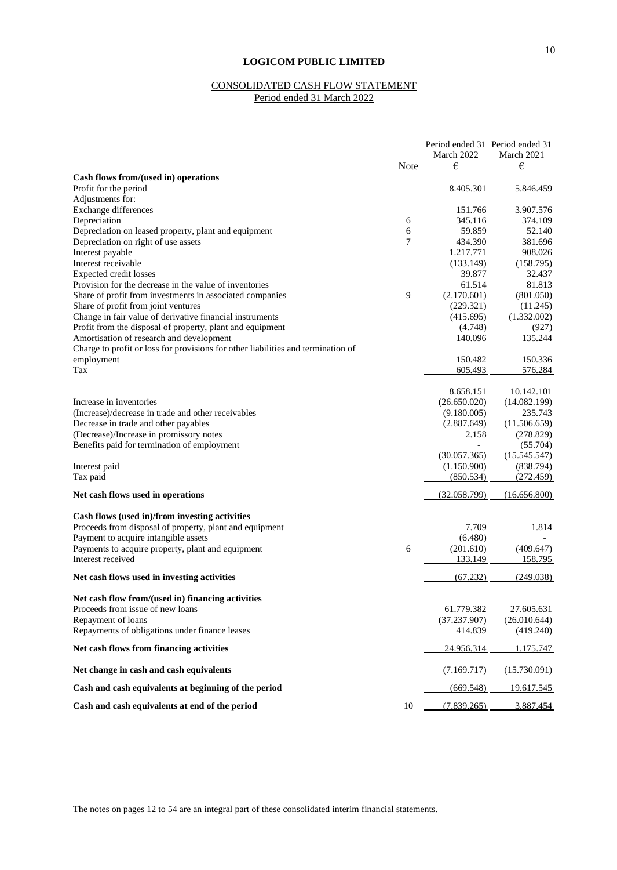## CONSOLIDATED CASH FLOW STATEMENT Period ended 31 March 2022

|                                                                                  |             | Period ended 31 Period ended 31 |                      |
|----------------------------------------------------------------------------------|-------------|---------------------------------|----------------------|
|                                                                                  | <b>Note</b> | March 2022<br>€                 | March 2021           |
| Cash flows from/(used in) operations                                             |             |                                 | €                    |
| Profit for the period                                                            |             | 8.405.301                       | 5.846.459            |
| Adjustments for:                                                                 |             |                                 |                      |
| Exchange differences                                                             |             | 151.766                         | 3.907.576            |
| Depreciation                                                                     | 6           | 345.116                         | 374.109              |
| Depreciation on leased property, plant and equipment                             | 6           | 59.859                          | 52.140               |
| Depreciation on right of use assets                                              | 7           | 434.390                         | 381.696              |
| Interest payable                                                                 |             | 1.217.771                       | 908.026              |
| Interest receivable                                                              |             | (133.149)                       | (158.795)            |
| Expected credit losses                                                           |             | 39.877                          | 32.437               |
| Provision for the decrease in the value of inventories                           |             | 61.514                          | 81.813               |
| Share of profit from investments in associated companies                         | 9           | (2.170.601)                     | (801.050)            |
| Share of profit from joint ventures                                              |             | (229.321)                       | (11.245)             |
| Change in fair value of derivative financial instruments                         |             | (415.695)                       | (1.332.002)          |
| Profit from the disposal of property, plant and equipment                        |             | (4.748)                         | (927)                |
| Amortisation of research and development                                         |             | 140.096                         | 135.244              |
| Charge to profit or loss for provisions for other liabilities and termination of |             |                                 |                      |
| employment                                                                       |             | 150.482                         | 150.336              |
| Tax                                                                              |             | 605.493                         | 576.284              |
|                                                                                  |             |                                 |                      |
|                                                                                  |             | 8.658.151                       | 10.142.101           |
| Increase in inventories                                                          |             | (26.650.020)                    | (14.082.199)         |
| (Increase)/decrease in trade and other receivables                               |             | (9.180.005)                     | 235.743              |
| Decrease in trade and other payables                                             |             | (2.887.649)                     | (11.506.659)         |
| (Decrease)/Increase in promissory notes                                          |             | 2.158                           | (278.829)            |
| Benefits paid for termination of employment                                      |             |                                 | (55.704)             |
|                                                                                  |             | (30.057.365)                    | (15.545.547)         |
| Interest paid                                                                    |             | (1.150.900)                     | (838.794)            |
| Tax paid                                                                         |             | (850.534)                       | (272.459)            |
|                                                                                  |             |                                 |                      |
| Net cash flows used in operations                                                |             | (32.058.799)                    | (16.656.800)         |
|                                                                                  |             |                                 |                      |
| Cash flows (used in)/from investing activities                                   |             |                                 |                      |
| Proceeds from disposal of property, plant and equipment                          |             | 7.709                           | 1.814                |
| Payment to acquire intangible assets                                             | 6           | (6.480)                         |                      |
| Payments to acquire property, plant and equipment<br>Interest received           |             | (201.610)<br>133.149            | (409.647)<br>158.795 |
|                                                                                  |             |                                 |                      |
| Net cash flows used in investing activities                                      |             | (67.232)                        | (249.038)            |
|                                                                                  |             |                                 |                      |
| Net cash flow from/(used in) financing activities                                |             |                                 |                      |
| Proceeds from issue of new loans                                                 |             | 61.779.382                      | 27.605.631           |
| Repayment of loans                                                               |             | (37.237.907)                    | (26.010.644)         |
| Repayments of obligations under finance leases                                   |             | 414.839                         | (419.240)            |
| Net cash flows from financing activities                                         |             | 24.956.314                      | 1.175.747            |
| Net change in cash and cash equivalents                                          |             | (7.169.717)                     | (15.730.091)         |
|                                                                                  |             |                                 |                      |
| Cash and cash equivalents at beginning of the period                             |             | (669.548)                       | 19.617.545           |
| Cash and cash equivalents at end of the period                                   | 10          | (7.839.265)                     | 3.887.454            |

The notes on pages 12 to 54 are an integral part of these consolidated interim financial statements.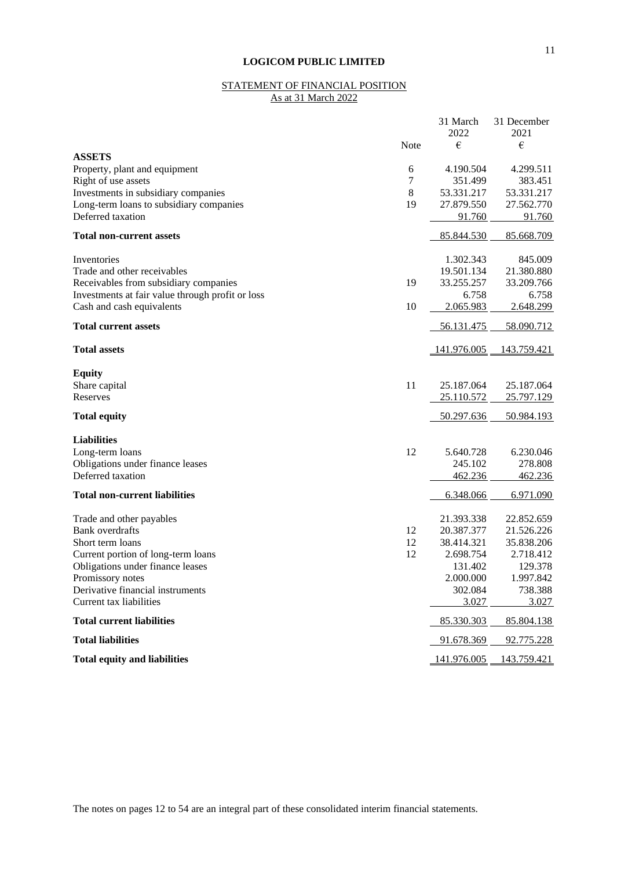## STATEMENT OF FINANCIAL POSITION As at 31 March 2022

|                                                                               |         | 31 March<br>2022   | 31 December<br>2021 |
|-------------------------------------------------------------------------------|---------|--------------------|---------------------|
|                                                                               | Note    | €                  | €                   |
| <b>ASSETS</b>                                                                 |         |                    |                     |
| Property, plant and equipment                                                 | 6       | 4.190.504          | 4.299.511           |
| Right of use assets                                                           | 7       | 351.499            | 383.451             |
| Investments in subsidiary companies                                           | $\,8\,$ | 53.331.217         | 53.331.217          |
| Long-term loans to subsidiary companies                                       | 19      | 27.879.550         | 27.562.770          |
| Deferred taxation                                                             |         | 91.760             | 91.760              |
| <b>Total non-current assets</b>                                               |         | 85.844.530         | 85.668.709          |
|                                                                               |         |                    |                     |
| Inventories                                                                   |         | 1.302.343          | 845.009             |
| Trade and other receivables                                                   |         | 19.501.134         | 21.380.880          |
| Receivables from subsidiary companies                                         | 19      | 33.255.257         | 33.209.766          |
| Investments at fair value through profit or loss<br>Cash and cash equivalents | 10      | 6.758<br>2.065.983 | 6.758<br>2.648.299  |
| <b>Total current assets</b>                                                   |         | 56.131.475         | 58.090.712          |
| <b>Total assets</b>                                                           |         |                    | 143.759.421         |
|                                                                               |         | <u>141.976.005</u> |                     |
| <b>Equity</b>                                                                 |         |                    |                     |
| Share capital                                                                 | 11      | 25.187.064         | 25.187.064          |
| Reserves                                                                      |         | 25.110.572         | 25.797.129          |
| <b>Total equity</b>                                                           |         | 50.297.636         | 50.984.193          |
| <b>Liabilities</b>                                                            |         |                    |                     |
| Long-term loans                                                               | 12      | 5.640.728          | 6.230.046           |
| Obligations under finance leases                                              |         | 245.102            | 278.808             |
| Deferred taxation                                                             |         | 462.236            | 462.236             |
|                                                                               |         |                    |                     |
| <b>Total non-current liabilities</b>                                          |         | 6.348.066          | 6.971.090           |
| Trade and other payables                                                      |         | 21.393.338         | 22.852.659          |
| <b>Bank</b> overdrafts                                                        | 12      | 20.387.377         | 21.526.226          |
| Short term loans                                                              | 12      | 38.414.321         | 35.838.206          |
| Current portion of long-term loans                                            | 12      | 2.698.754          | 2.718.412           |
| Obligations under finance leases                                              |         | 131.402            | 129.378             |
| Promissory notes                                                              |         | 2.000.000          | 1.997.842           |
| Derivative financial instruments                                              |         | 302.084            | 738.388             |
| Current tax liabilities                                                       |         | 3.027              | 3.027               |
| <b>Total current liabilities</b>                                              |         | 85.330.303         | 85.804.138          |
| <b>Total liabilities</b>                                                      |         | 91.678.369         | 92.775.228          |
| <b>Total equity and liabilities</b>                                           |         | 141.976.005        | 143.759.421         |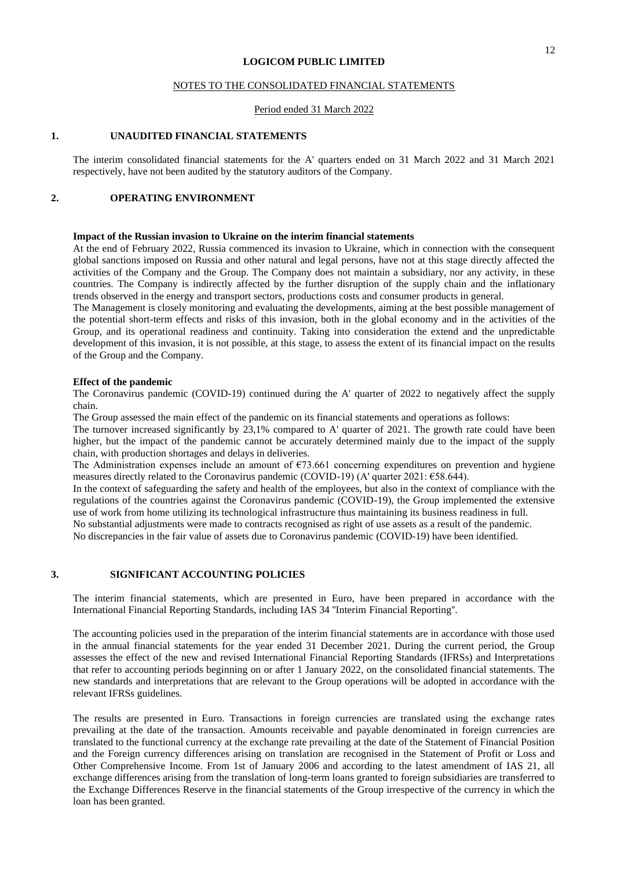#### NOTES TO THE CONSOLIDATED FINANCIAL STATEMENTS

#### Period ended 31 March 2022

#### **1. UNAUDITED FINANCIAL STATEMENTS**

The interim consolidated financial statements for the A' quarters ended on 31 March 2022 and 31 March 2021 respectively, have not been audited by the statutory auditors of the Company.

#### **2. OPERATING ENVIRONMENT**

## **Impact of the Russian invasion to Ukraine on the interim financial statements**

At the end of February 2022, Russia commenced its invasion to Ukraine, which in connection with the consequent global sanctions imposed on Russia and other natural and legal persons, have not at this stage directly affected the activities of the Company and the Group. The Company does not maintain a subsidiary, nor any activity, in these countries. The Company is indirectly affected by the further disruption of the supply chain and the inflationary trends observed in the energy and transport sectors, productions costs and consumer products in general.

The Management is closely monitoring and evaluating the developments, aiming at the best possible management of the potential short-term effects and risks of this invasion, both in the global economy and in the activities of the Group, and its operational readiness and continuity. Taking into consideration the extend and the unpredictable development of this invasion, it is not possible, at this stage, to assess the extent of its financial impact on the results of the Group and the Company.

#### **Effect of the pandemic**

The Coronavirus pandemic (COVID-19) continued during the A' quarter of 2022 to negatively affect the supply chain.

The Group assessed the main effect of the pandemic on its financial statements and operations as follows:

The turnover increased significantly by 23,1% compared to A' quarter of 2021. The growth rate could have been higher, but the impact of the pandemic cannot be accurately determined mainly due to the impact of the supply chain, with production shortages and delays in deliveries.

The Administration expenses include an amount of  $\epsilon$ 73.661 concerning expenditures on prevention and hygiene measures directly related to the Coronavirus pandemic (COVID-19) (A' quarter 2021: €58.644).

In the context of safeguarding the safety and health of the employees, but also in the context of compliance with the regulations of the countries against the Coronavirus pandemic (COVID-19), the Group implemented the extensive use of work from home utilizing its technological infrastructure thus maintaining its business readiness in full. No substantial adjustments were made to contracts recognised as right of use assets as a result of the pandemic.

No discrepancies in the fair value of assets due to Coronavirus pandemic (COVID-19) have been identified.

#### **3. SIGNIFICANT ACCOUNTING POLICIES**

The interim financial statements, which are presented in Euro, have been prepared in accordance with the International Financial Reporting Standards, including IAS 34 ''Interim Financial Reporting''.

The accounting policies used in the preparation of the interim financial statements are in accordance with those used in the annual financial statements for the year ended 31 December 2021. During the current period, the Group assesses the effect of the new and revised International Financial Reporting Standards (IFRSs) and Interpretations that refer to accounting periods beginning on or after 1 January 2022, on the consolidated financial statements. The new standards and interpretations that are relevant to the Group operations will be adopted in accordance with the relevant IFRSs guidelines.

The results are presented in Euro. Transactions in foreign currencies are translated using the exchange rates prevailing at the date of the transaction. Amounts receivable and payable denominated in foreign currencies are translated to the functional currency at the exchange rate prevailing at the date of the Statement of Financial Position and the Foreign currency differences arising on translation are recognised in the Statement of Profit or Loss and Other Comprehensive Income. From 1st of January 2006 and according to the latest amendment of IAS 21, all exchange differences arising from the translation of long-term loans granted to foreign subsidiaries are transferred to the Exchange Differences Reserve in the financial statements of the Group irrespective of the currency in which the loan has been granted.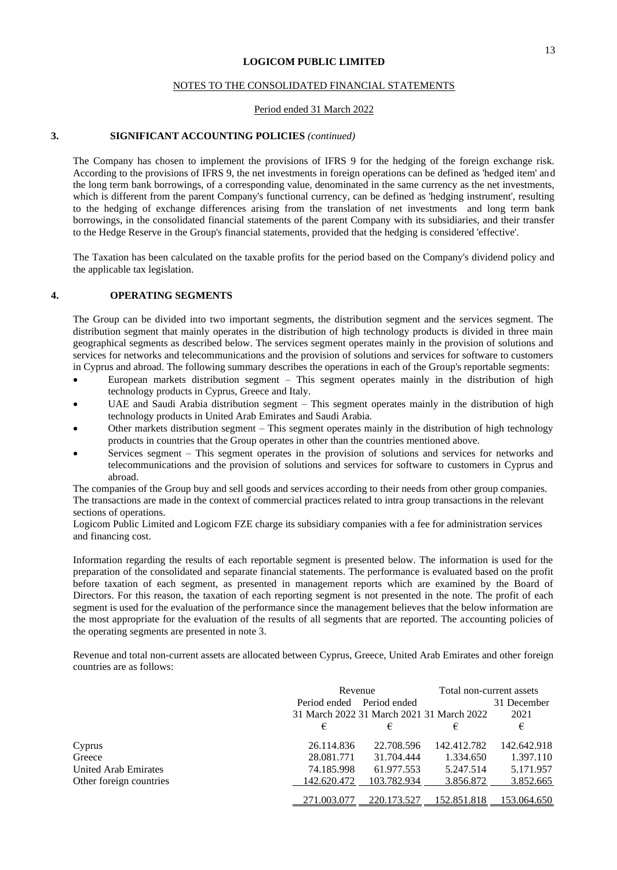#### NOTES TO THE CONSOLIDATED FINANCIAL STATEMENTS

#### Period ended 31 March 2022

## **3. SIGNIFICANT ACCOUNTING POLICIES** *(continued)*

The Company has chosen to implement the provisions of IFRS 9 for the hedging of the foreign exchange risk. According to the provisions of IFRS 9, the net investments in foreign operations can be defined as 'hedged item' and the long term bank borrowings, of a corresponding value, denominated in the same currency as the net investments, which is different from the parent Company's functional currency, can be defined as 'hedging instrument', resulting to the hedging of exchange differences arising from the translation of net investments and long term bank borrowings, in the consolidated financial statements of the parent Company with its subsidiaries, and their transfer to the Hedge Reserve in the Group's financial statements, provided that the hedging is considered 'effective'.

The Taxation has been calculated on the taxable profits for the period based on the Company's dividend policy and the applicable tax legislation.

#### **4. OPERATING SEGMENTS**

The Group can be divided into two important segments, the distribution segment and the services segment. The distribution segment that mainly operates in the distribution of high technology products is divided in three main geographical segments as described below. The services segment operates mainly in the provision of solutions and services for networks and telecommunications and the provision of solutions and services for software to customers in Cyprus and abroad. The following summary describes the operations in each of the Group's reportable segments:

- European markets distribution segment This segment operates mainly in the distribution of high technology products in Cyprus, Greece and Italy.
- UAE and Saudi Arabia distribution segment This segment operates mainly in the distribution of high technology products in United Arab Emirates and Saudi Arabia.
- Other markets distribution segment This segment operates mainly in the distribution of high technology products in countries that the Group operates in other than the countries mentioned above.
- Services segment This segment operates in the provision of solutions and services for networks and telecommunications and the provision of solutions and services for software to customers in Cyprus and abroad.

The companies of the Group buy and sell goods and services according to their needs from other group companies. The transactions are made in the context of commercial practices related to intra group transactions in the relevant sections of operations.

Logicom Public Limited and Logicom FZE charge its subsidiary companies with a fee for administration services and financing cost.

Information regarding the results of each reportable segment is presented below. The information is used for the preparation of the consolidated and separate financial statements. The performance is evaluated based on the profit before taxation of each segment, as presented in management reports which are examined by the Board of Directors. For this reason, the taxation of each reporting segment is not presented in the note. The profit of each segment is used for the evaluation of the performance since the management believes that the below information are the most appropriate for the evaluation of the results of all segments that are reported. The accounting policies of the operating segments are presented in note 3.

Revenue and total non-current assets are allocated between Cyprus, Greece, United Arab Emirates and other foreign countries are as follows:

|                             | Revenue                                   |             | Total non-current assets |             |  |
|-----------------------------|-------------------------------------------|-------------|--------------------------|-------------|--|
|                             | Period ended Period ended                 |             |                          | 31 December |  |
|                             | 31 March 2022 31 March 2021 31 March 2022 |             |                          | 2021        |  |
|                             | €                                         | €           | €                        | €           |  |
| Cyprus                      | 26.114.836                                | 22.708.596  | 142.412.782              | 142.642.918 |  |
| Greece                      | 28.081.771                                | 31.704.444  | 1.334.650                | 1.397.110   |  |
| <b>United Arab Emirates</b> | 74.185.998                                | 61.977.553  | 5.247.514                | 5.171.957   |  |
| Other foreign countries     | 142.620.472                               | 103.782.934 | 3.856.872                | 3.852.665   |  |
|                             | 271.003.077                               | 220.173.527 | 152.851.818              | 153.064.650 |  |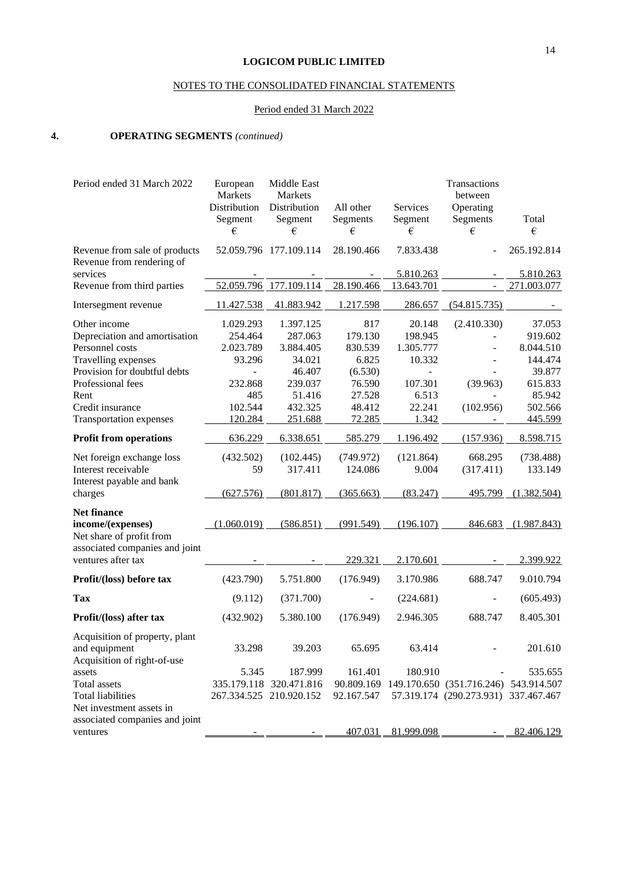## NOTES TO THE CONSOLIDATED FINANCIAL STATEMENTS

## Period ended 31 March 2022

## **4. OPERATING SEGMENTS** *(continued)*

| Period ended 31 March 2022                                 | European<br>Markets     | Middle East<br>Markets  |                       |                     | Transactions<br>between               |             |
|------------------------------------------------------------|-------------------------|-------------------------|-----------------------|---------------------|---------------------------------------|-------------|
|                                                            | Distribution<br>Segment | Distribution<br>Segment | All other<br>Segments | Services<br>Segment | Operating<br>Segments                 | Total       |
|                                                            | €                       | €                       | €                     | €                   | €                                     | €           |
| Revenue from sale of products<br>Revenue from rendering of |                         | 52.059.796 177.109.114  | 28.190.466            | 7.833.438           |                                       | 265.192.814 |
| services                                                   |                         |                         |                       | 5.810.263           |                                       | 5.810.263   |
| Revenue from third parties                                 |                         | 52.059.796 177.109.114  | 28.190.466            | 13.643.701          | $\mathbb{L}^{\mathbb{N}}$             | 271.003.077 |
| Intersegment revenue                                       | 11.427.538              | 41.883.942              | 1.217.598             | 286.657             | (54.815.735)                          |             |
| Other income                                               | 1.029.293               | 1.397.125               | 817                   | 20.148              | (2.410.330)                           | 37.053      |
| Depreciation and amortisation                              | 254.464                 | 287.063                 | 179.130               | 198.945             |                                       | 919.602     |
| Personnel costs                                            | 2.023.789               | 3.884.405               | 830.539               | 1.305.777           |                                       | 8.044.510   |
| Travelling expenses                                        | 93.296                  | 34.021                  | 6.825                 | 10.332              |                                       | 144.474     |
| Provision for doubtful debts                               |                         | 46.407                  | (6.530)               |                     |                                       | 39.877      |
| Professional fees                                          | 232.868                 | 239.037                 | 76.590                | 107.301             | (39.963)                              | 615.833     |
| Rent                                                       | 485                     | 51.416                  | 27.528                | 6.513               |                                       | 85.942      |
| Credit insurance                                           | 102.544                 | 432.325                 | 48.412                | 22.241              | (102.956)                             | 502.566     |
| <b>Transportation expenses</b>                             | 120.284                 | 251.688                 | 72.285                | 1.342               |                                       | 445.599     |
| <b>Profit from operations</b>                              | 636.229                 | 6.338.651               | 585.279               | 1.196.492           | (157.936)                             | 8.598.715   |
| Net foreign exchange loss                                  | (432.502)               | (102.445)               | (749.972)             | (121.864)           | 668.295                               | (738.488)   |
| Interest receivable                                        | 59                      | 317.411                 | 124.086               | 9.004               | (317.411)                             | 133.149     |
| Interest payable and bank                                  |                         |                         |                       |                     |                                       |             |
| charges                                                    | (627.576)               | (801.817)               | (365.663)             | (83.247)            | 495.799                               | (1.382.504) |
| <b>Net finance</b>                                         |                         |                         |                       |                     |                                       |             |
| income/(expenses)                                          | (1.060.019)             | (586.851)               | (991.549)             | (196.107)           | 846.683                               | (1.987.843) |
| Net share of profit from                                   |                         |                         |                       |                     |                                       |             |
| associated companies and joint                             |                         |                         |                       |                     |                                       |             |
| ventures after tax                                         |                         |                         | 229.321               | 2.170.601           |                                       | 2.399.922   |
| Profit/(loss) before tax                                   | (423.790)               | 5.751.800               | (176.949)             | 3.170.986           | 688.747                               | 9.010.794   |
| <b>Tax</b>                                                 | (9.112)                 | (371.700)               |                       | (224.681)           |                                       | (605.493)   |
| Profit/(loss) after tax                                    | (432.902)               | 5.380.100               | (176.949)             | 2.946.305           | 688.747                               | 8.405.301   |
| Acquisition of property, plant                             |                         |                         |                       |                     |                                       |             |
| and equipment                                              | 33.298                  | 39.203                  | 65.695                | 63.414              |                                       | 201.610     |
| Acquisition of right-of-use                                |                         |                         |                       |                     |                                       |             |
| assets                                                     | 5.345                   | 187.999                 | 161.401               | 180.910             |                                       | 535.655     |
| <b>Total assets</b>                                        |                         | 335.179.118 320.471.816 | 90.809.169            |                     | 149.170.650 (351.716.246) 543.914.507 |             |
| <b>Total liabilities</b>                                   |                         | 267.334.525 210.920.152 | 92.167.547            |                     | 57.319.174 (290.273.931) 337.467.467  |             |
| Net investment assets in                                   |                         |                         |                       |                     |                                       |             |
| associated companies and joint                             |                         |                         |                       |                     |                                       |             |
| ventures                                                   |                         |                         | 407.031               | 81.999.098          |                                       | 82.406.129  |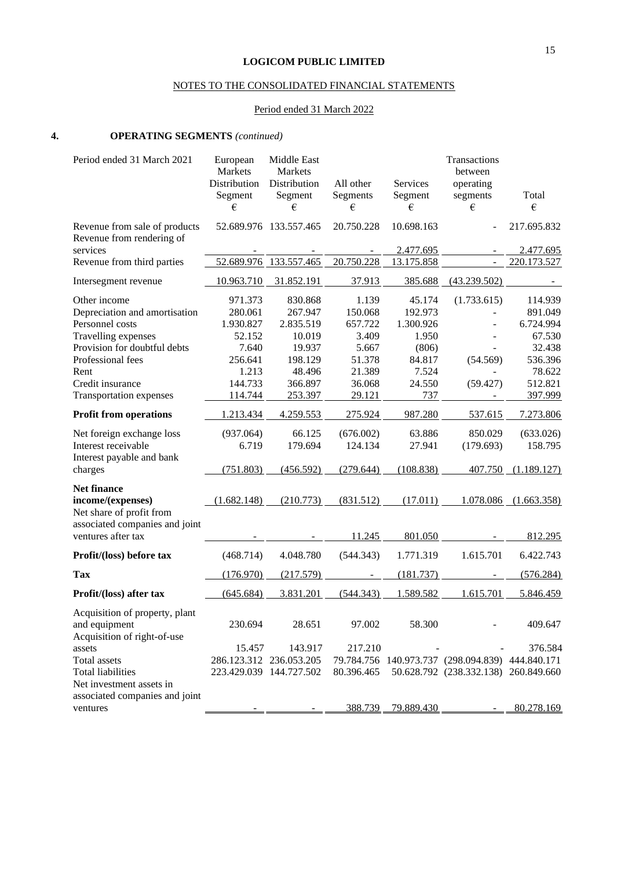## NOTES TO THE CONSOLIDATED FINANCIAL STATEMENTS

## Period ended 31 March 2022

## **4. OPERATING SEGMENTS** *(continued)*

| Period ended 31 March 2021                                 | European<br>Markets | Middle East<br>Markets  |            |            | Transactions<br>between                          |                       |
|------------------------------------------------------------|---------------------|-------------------------|------------|------------|--------------------------------------------------|-----------------------|
|                                                            | Distribution        | Distribution            | All other  | Services   | operating                                        |                       |
|                                                            | Segment             | Segment                 | Segments   | Segment    | segments                                         | Total                 |
|                                                            | €                   | €                       | €          | €          | €                                                | €                     |
| Revenue from sale of products<br>Revenue from rendering of |                     | 52.689.976 133.557.465  | 20.750.228 | 10.698.163 |                                                  | 217.695.832           |
| services                                                   |                     |                         |            | 2.477.695  |                                                  | 2.477.695             |
| Revenue from third parties                                 |                     | 52.689.976 133.557.465  | 20.750.228 | 13.175.858 | $\overline{\phantom{a}}$                         | 220.173.527           |
| Intersegment revenue                                       | 10.963.710          | 31.852.191              | 37.913     | 385.688    | (43.239.502)                                     |                       |
| Other income                                               | 971.373             | 830.868                 | 1.139      | 45.174     | (1.733.615)                                      | 114.939               |
| Depreciation and amortisation                              | 280.061             | 267.947                 | 150.068    | 192.973    |                                                  | 891.049               |
| Personnel costs                                            | 1.930.827           | 2.835.519               | 657.722    | 1.300.926  |                                                  | 6.724.994             |
| Travelling expenses                                        | 52.152              | 10.019                  | 3.409      | 1.950      |                                                  | 67.530                |
| Provision for doubtful debts                               | 7.640               | 19.937                  | 5.667      | (806)      |                                                  | 32.438                |
| Professional fees                                          | 256.641             | 198.129                 | 51.378     | 84.817     | (54.569)                                         | 536.396               |
| Rent                                                       | 1.213               | 48.496                  | 21.389     | 7.524      |                                                  | 78.622                |
| Credit insurance                                           | 144.733             | 366.897                 | 36.068     | 24.550     | (59.427)                                         | 512.821               |
| <b>Transportation expenses</b>                             | 114.744             | 253.397                 | 29.121     | 737        |                                                  | 397.999               |
| <b>Profit from operations</b>                              | 1.213.434           | 4.259.553               | 275.924    | 987.280    | 537.615                                          | 7.273.806             |
| Net foreign exchange loss                                  | (937.064)           | 66.125                  | (676.002)  | 63.886     | 850.029                                          | (633.026)             |
| Interest receivable                                        | 6.719               | 179.694                 | 124.134    | 27.941     | (179.693)                                        | 158.795               |
| Interest payable and bank                                  |                     |                         |            |            |                                                  |                       |
| charges                                                    | (751.803)           | (456.592)               | (279.644)  | (108.838)  | 407.750                                          | (1.189.127)           |
| <b>Net finance</b>                                         |                     |                         |            |            |                                                  |                       |
| income/(expenses)                                          | (1.682.148)         | (210.773)               | (831.512)  | (17.011)   |                                                  | 1.078.086 (1.663.358) |
| Net share of profit from                                   |                     |                         |            |            |                                                  |                       |
| associated companies and joint                             |                     |                         |            |            |                                                  |                       |
| ventures after tax                                         |                     |                         | 11.245     | 801.050    |                                                  | 812.295               |
| Profit/(loss) before tax                                   | (468.714)           | 4.048.780               | (544.343)  | 1.771.319  | 1.615.701                                        | 6.422.743             |
| <b>Tax</b>                                                 | (176.970)           | (217.579)               |            | (181.737)  |                                                  | (576.284)             |
| Profit/(loss) after tax                                    | (645.684)           | 3.831.201               | (544.343)  | 1.589.582  | 1.615.701                                        | 5.846.459             |
| Acquisition of property, plant                             |                     |                         |            |            |                                                  |                       |
| and equipment                                              | 230.694             | 28.651                  | 97.002     | 58.300     |                                                  | 409.647               |
| Acquisition of right-of-use                                |                     |                         |            |            |                                                  |                       |
| assets                                                     | 15.457              | 143.917                 | 217.210    |            |                                                  | 376.584               |
| Total assets                                               |                     | 286.123.312 236.053.205 |            |            | 79.784.756 140.973.737 (298.094.839) 444.840.171 |                       |
| <b>Total liabilities</b>                                   |                     | 223.429.039 144.727.502 | 80.396.465 |            | 50.628.792 (238.332.138) 260.849.660             |                       |
| Net investment assets in                                   |                     |                         |            |            |                                                  |                       |
| associated companies and joint                             |                     |                         |            |            |                                                  |                       |
| ventures                                                   |                     |                         | 388.739    | 79.889.430 |                                                  | 80.278.169            |
|                                                            |                     |                         |            |            |                                                  |                       |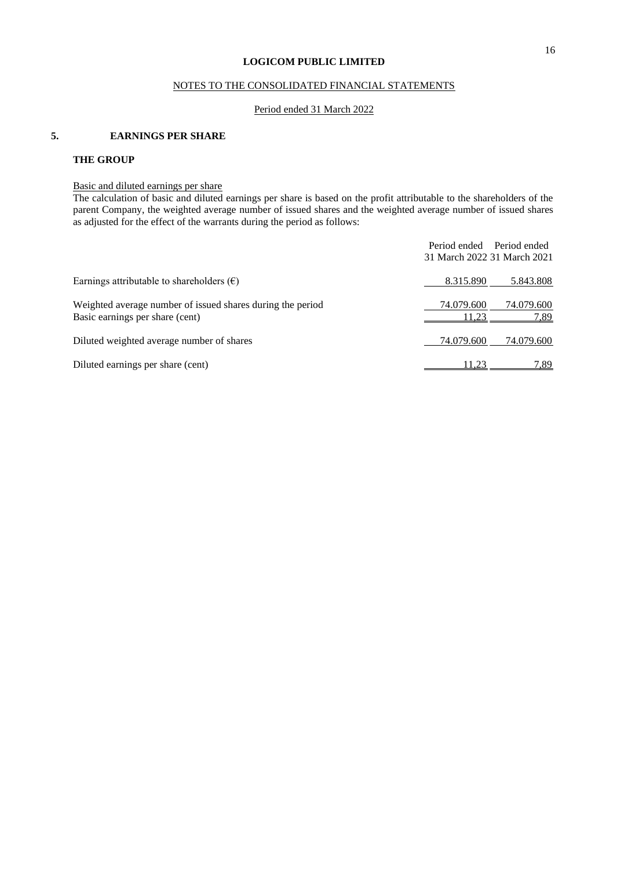## NOTES TO THE CONSOLIDATED FINANCIAL STATEMENTS

#### Period ended 31 March 2022

## **5. EARNINGS PER SHARE**

## **THE GROUP**

## Basic and diluted earnings per share

The calculation of basic and diluted earnings per share is based on the profit attributable to the shareholders of the parent Company, the weighted average number of issued shares and the weighted average number of issued shares as adjusted for the effect of the warrants during the period as follows:

|                                                                                               | Period ended                | Period ended       |
|-----------------------------------------------------------------------------------------------|-----------------------------|--------------------|
|                                                                                               | 31 March 2022 31 March 2021 |                    |
| Earnings attributable to shareholders $(\epsilon)$                                            | 8.315.890                   | 5.843.808          |
| Weighted average number of issued shares during the period<br>Basic earnings per share (cent) | 74.079.600<br>11.23         | 74.079.600<br>7,89 |
| Diluted weighted average number of shares                                                     | 74.079.600                  | 74.079.600         |
| Diluted earnings per share (cent)                                                             | 11.23                       | 7.89               |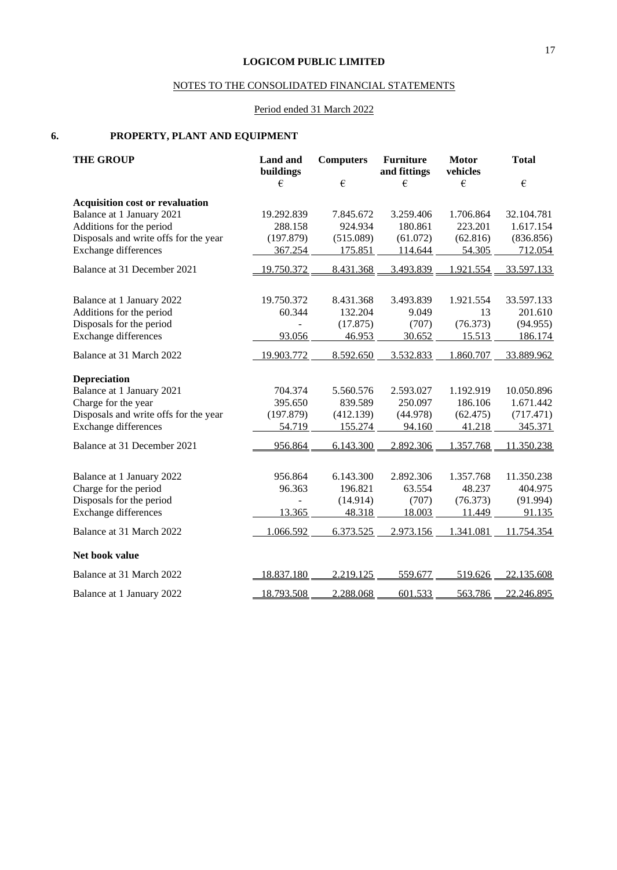## NOTES TO THE CONSOLIDATED FINANCIAL STATEMENTS

## Period ended 31 March 2022

## **6. PROPERTY, PLANT AND EQUIPMENT**

| <b>THE GROUP</b>                       | <b>Land</b> and<br>buildings | <b>Computers</b> | <b>Furniture</b><br>and fittings | <b>Motor</b><br>vehicles | <b>Total</b> |
|----------------------------------------|------------------------------|------------------|----------------------------------|--------------------------|--------------|
|                                        | €                            | €                | €                                | €                        | $\epsilon$   |
| <b>Acquisition cost or revaluation</b> |                              |                  |                                  |                          |              |
| Balance at 1 January 2021              | 19.292.839                   | 7.845.672        | 3.259.406                        | 1.706.864                | 32.104.781   |
| Additions for the period               | 288.158                      | 924.934          | 180.861                          | 223.201                  | 1.617.154    |
| Disposals and write offs for the year  | (197.879)                    | (515.089)        | (61.072)                         | (62.816)                 | (836.856)    |
| <b>Exchange differences</b>            | 367.254                      | 175.851          | 114.644                          | 54.305                   | 712.054      |
| Balance at 31 December 2021            | 19.750.372                   | 8.431.368        | 3.493.839                        | 1.921.554                | 33.597.133   |
| Balance at 1 January 2022              | 19.750.372                   | 8.431.368        | 3.493.839                        | 1.921.554                | 33.597.133   |
| Additions for the period               | 60.344                       | 132.204          | 9.049                            | 13                       | 201.610      |
| Disposals for the period               |                              | (17.875)         | (707)                            | (76.373)                 | (94.955)     |
| <b>Exchange differences</b>            | 93.056                       | 46.953           | 30.652                           | 15.513                   | 186.174      |
| Balance at 31 March 2022               | 19.903.772                   | 8.592.650        | 3.532.833                        | 1.860.707                | 33.889.962   |
| <b>Depreciation</b>                    |                              |                  |                                  |                          |              |
| Balance at 1 January 2021              | 704.374                      | 5.560.576        | 2.593.027                        | 1.192.919                | 10.050.896   |
| Charge for the year                    | 395.650                      | 839.589          | 250.097                          | 186.106                  | 1.671.442    |
| Disposals and write offs for the year  | (197.879)                    | (412.139)        | (44.978)                         | (62.475)                 | (717.471)    |
| <b>Exchange differences</b>            | 54.719                       | 155.274          | 94.160                           | 41.218                   | 345.371      |
| Balance at 31 December 2021            | 956.864                      | 6.143.300        | 2.892.306                        | 1.357.768                | 11.350.238   |
|                                        |                              |                  |                                  |                          |              |
| Balance at 1 January 2022              | 956.864                      | 6.143.300        | 2.892.306                        | 1.357.768                | 11.350.238   |
| Charge for the period                  | 96.363                       | 196.821          | 63.554                           | 48.237                   | 404.975      |
| Disposals for the period               |                              | (14.914)         | (707)                            | (76.373)                 | (91.994)     |
| <b>Exchange differences</b>            | 13.365                       | 48.318           | 18.003                           | 11.449                   | 91.135       |
| Balance at 31 March 2022               | 1.066.592                    | 6.373.525        | 2.973.156                        | 1.341.081                | 11.754.354   |
| Net book value                         |                              |                  |                                  |                          |              |
| Balance at 31 March 2022               | 18.837.180                   | 2.219.125        | 559.677                          | 519.626                  | 22.135.608   |
| Balance at 1 January 2022              | 18.793.508                   | 2.288.068        | 601.533                          | 563.786                  | 22.246.895   |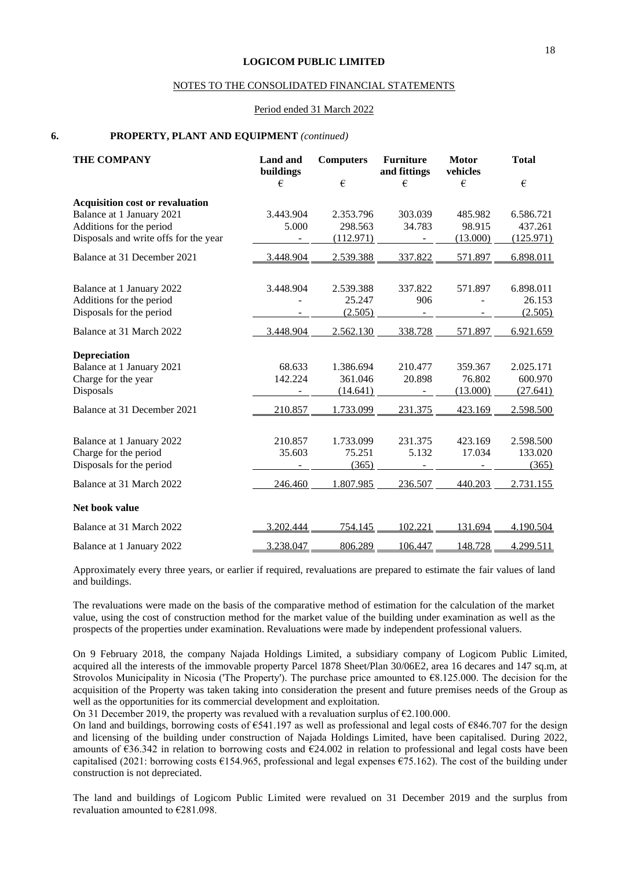#### NOTES TO THE CONSOLIDATED FINANCIAL STATEMENTS

#### Period ended 31 March 2022

#### **6. PROPERTY, PLANT AND EQUIPMENT** *(continued)*

| <b>THE COMPANY</b>                     | Land and<br>buildings | <b>Computers</b> | <b>Furniture</b><br>and fittings | <b>Motor</b><br>vehicles | <b>Total</b> |
|----------------------------------------|-----------------------|------------------|----------------------------------|--------------------------|--------------|
|                                        | €                     | €                | €                                | €                        | $\epsilon$   |
| <b>Acquisition cost or revaluation</b> |                       |                  |                                  |                          |              |
| Balance at 1 January 2021              | 3.443.904             | 2.353.796        | 303.039                          | 485.982                  | 6.586.721    |
| Additions for the period               | 5.000                 | 298.563          | 34.783                           | 98.915                   | 437.261      |
| Disposals and write offs for the year  |                       | (112.971)        |                                  | (13.000)                 | (125.971)    |
| Balance at 31 December 2021            | 3.448.904             | 2.539.388        | 337.822                          | 571.897                  | 6.898.011    |
|                                        |                       |                  |                                  |                          |              |
| Balance at 1 January 2022              | 3.448.904             | 2.539.388        | 337.822                          | 571.897                  | 6.898.011    |
| Additions for the period               |                       | 25.247           | 906                              |                          | 26.153       |
| Disposals for the period               |                       | (2.505)          |                                  |                          | (2.505)      |
| Balance at 31 March 2022               | 3.448.904             | 2.562.130        | 338.728                          | 571.897                  | 6.921.659    |
| <b>Depreciation</b>                    |                       |                  |                                  |                          |              |
| Balance at 1 January 2021              | 68.633                | 1.386.694        | 210.477                          | 359.367                  | 2.025.171    |
| Charge for the year                    | 142.224               | 361.046          | 20.898                           | 76.802                   | 600.970      |
| Disposals                              |                       | (14.641)         |                                  | (13.000)                 | (27.641)     |
| Balance at 31 December 2021            | 210.857               | 1.733.099        | 231.375                          | 423.169                  | 2.598.500    |
|                                        |                       |                  |                                  |                          |              |
| Balance at 1 January 2022              | 210.857               | 1.733.099        | 231.375                          | 423.169                  | 2.598.500    |
| Charge for the period                  | 35.603                | 75.251           | 5.132                            | 17.034                   | 133.020      |
| Disposals for the period               |                       | (365)            |                                  |                          | (365)        |
| Balance at 31 March 2022               | 246.460               | 1.807.985        | 236.507                          | 440.203                  | 2.731.155    |
| Net book value                         |                       |                  |                                  |                          |              |
| Balance at 31 March 2022               | 3.202.444             | 754.145          | 102.221                          | 131.694                  | 4.190.504    |
| Balance at 1 January 2022              | 3.238.047             | 806.289          | 106.447                          | 148.728                  | 4.299.511    |

Approximately every three years, or earlier if required, revaluations are prepared to estimate the fair values of land and buildings.

The revaluations were made on the basis of the comparative method of estimation for the calculation of the market value, using the cost of construction method for the market value of the building under examination as well as the prospects of the properties under examination. Revaluations were made by independent professional valuers.

On 9 February 2018, the company Najada Holdings Limited, a subsidiary company of Logicom Public Limited, acquired all the interests of the immovable property Parcel 1878 Sheet/Plan 30/06E2, area 16 decares and 147 sq.m, at Strovolos Municipality in Nicosia ('The Property'). The purchase price amounted to €8.125.000. The decision for the acquisition of the Property was taken taking into consideration the present and future premises needs of the Group as well as the opportunities for its commercial development and exploitation.

On 31 December 2019, the property was revalued with a revaluation surplus of  $\epsilon$ 2.100.000.

On land and buildings, borrowing costs of  $\epsilon$ 541.197 as well as professional and legal costs of  $\epsilon$ 846.707 for the design and licensing of the building under construction of Najada Holdings Limited, have been capitalised. During 2022, amounts of €36.342 in relation to borrowing costs and €24.002 in relation to professional and legal costs have been capitalised (2021: borrowing costs  $\epsilon$ 154.965, professional and legal expenses  $\epsilon$ 75.162). The cost of the building under construction is not depreciated.

The land and buildings of Logicom Public Limited were revalued on 31 December 2019 and the surplus from revaluation amounted to €281.098.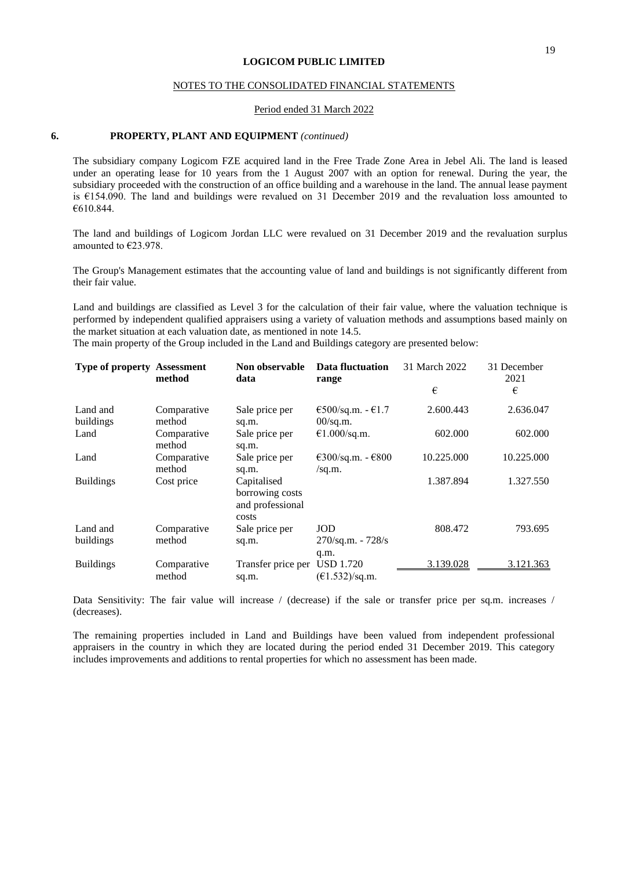#### NOTES TO THE CONSOLIDATED FINANCIAL STATEMENTS

#### Period ended 31 March 2022

#### **6. PROPERTY, PLANT AND EQUIPMENT** *(continued)*

The subsidiary company Logicom FZE acquired land in the Free Trade Zone Area in Jebel Ali. The land is leased under an operating lease for 10 years from the 1 August 2007 with an option for renewal. During the year, the subsidiary proceeded with the construction of an office building and a warehouse in the land. The annual lease payment is €154.090. The land and buildings were revalued on 31 December 2019 and the revaluation loss amounted to €610.844.

The land and buildings of Logicom Jordan LLC were revalued on 31 December 2019 and the revaluation surplus amounted to €23.978.

The Group's Management estimates that the accounting value of land and buildings is not significantly different from their fair value.

Land and buildings are classified as Level 3 for the calculation of their fair value, where the valuation technique is performed by independent qualified appraisers using a variety of valuation methods and assumptions based mainly on the market situation at each valuation date, as mentioned in note 14.5.

The main property of the Group included in the Land and Buildings category are presented below:

| <b>Type of property Assessment</b> | method                | Non observable<br>data                                      | Data fluctuation<br>range                       | 31 March 2022 | 31 December<br>2021 |
|------------------------------------|-----------------------|-------------------------------------------------------------|-------------------------------------------------|---------------|---------------------|
|                                    |                       |                                                             |                                                 | €             | €                   |
| Land and<br>buildings              | Comparative<br>method | Sale price per<br>sq.m.                                     | $€500/sq.m. - €1.7$<br>$00/\text{sq.m.}$        | 2.600.443     | 2.636.047           |
| Land                               | Comparative<br>method | Sale price per<br>sq.m.                                     | €1.000/sq.m.                                    | 602.000       | 602.000             |
| Land                               | Comparative<br>method | Sale price per<br>sq.m.                                     | $\epsilon$ 300/sq.m. - $\epsilon$ 800<br>/sq.m. | 10.225.000    | 10.225.000          |
| <b>Buildings</b>                   | Cost price            | Capitalised<br>borrowing costs<br>and professional<br>costs |                                                 | 1.387.894     | 1.327.550           |
| Land and<br>buildings              | Comparative<br>method | Sale price per<br>sq.m.                                     | <b>JOD</b><br>$270$ /sq.m. - $728$ /s<br>q.m.   | 808.472       | 793.695             |
| <b>Buildings</b>                   | Comparative<br>method | Transfer price per<br>sq.m.                                 | <b>USD 1.720</b><br>(E1.532)/sq.m.              | 3.139.028     | 3.121.363           |

Data Sensitivity: The fair value will increase / (decrease) if the sale or transfer price per sq.m. increases / (decreases).

The remaining properties included in Land and Buildings have been valued from independent professional appraisers in the country in which they are located during the period ended 31 December 2019. This category includes improvements and additions to rental properties for which no assessment has been made.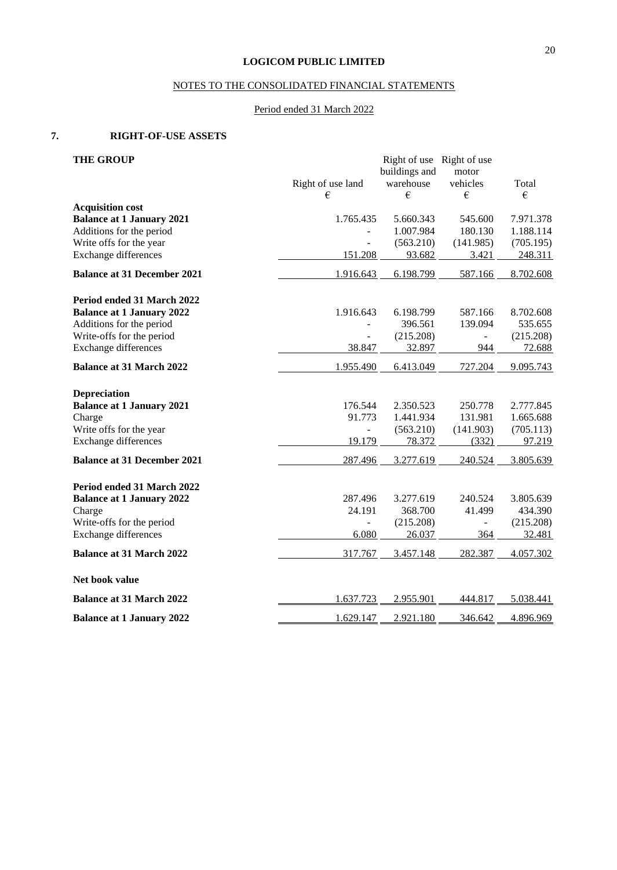## NOTES TO THE CONSOLIDATED FINANCIAL STATEMENTS

## Period ended 31 March 2022

## **7. RIGHT-OF-USE ASSETS**

| <b>THE GROUP</b>                   |                        | Right of use Right of use |                |            |
|------------------------------------|------------------------|---------------------------|----------------|------------|
|                                    |                        | buildings and             | motor          |            |
|                                    | Right of use land<br>€ | warehouse<br>€            | vehicles<br>€  | Total<br>€ |
| <b>Acquisition cost</b>            |                        |                           |                |            |
| <b>Balance at 1 January 2021</b>   | 1.765.435              | 5.660.343                 | 545.600        | 7.971.378  |
| Additions for the period           |                        | 1.007.984                 | 180.130        | 1.188.114  |
| Write offs for the year            |                        | (563.210)                 | (141.985)      | (705.195)  |
| Exchange differences               | 151.208                | 93.682                    | 3.421          | 248.311    |
| <b>Balance at 31 December 2021</b> | 1.916.643              | 6.198.799                 | 587.166        | 8.702.608  |
| Period ended 31 March 2022         |                        |                           |                |            |
| <b>Balance at 1 January 2022</b>   | 1.916.643              | 6.198.799                 | 587.166        | 8.702.608  |
| Additions for the period           |                        | 396.561                   | 139.094        | 535.655    |
| Write-offs for the period          |                        | (215.208)                 | $\overline{a}$ | (215.208)  |
| Exchange differences               | 38.847                 | 32.897                    | 944            | 72.688     |
| <b>Balance at 31 March 2022</b>    | 1.955.490              | 6.413.049                 | 727.204        | 9.095.743  |
| <b>Depreciation</b>                |                        |                           |                |            |
| <b>Balance at 1 January 2021</b>   | 176.544                | 2.350.523                 | 250.778        | 2.777.845  |
| Charge                             | 91.773                 | 1.441.934                 | 131.981        | 1.665.688  |
| Write offs for the year            |                        | (563.210)                 | (141.903)      | (705.113)  |
| <b>Exchange differences</b>        | 19.179                 | 78.372                    | (332)          | 97.219     |
| <b>Balance at 31 December 2021</b> | 287.496                | 3.277.619                 | 240.524        | 3.805.639  |
| Period ended 31 March 2022         |                        |                           |                |            |
| <b>Balance at 1 January 2022</b>   | 287.496                | 3.277.619                 | 240.524        | 3.805.639  |
| Charge                             | 24.191                 | 368.700                   | 41.499         | 434.390    |
| Write-offs for the period          | ÷,                     | (215.208)                 | $\blacksquare$ | (215.208)  |
| Exchange differences               | 6.080                  | 26.037                    | 364            | 32.481     |
| <b>Balance at 31 March 2022</b>    | 317.767                | 3.457.148                 | 282.387        | 4.057.302  |
| Net book value                     |                        |                           |                |            |
| <b>Balance at 31 March 2022</b>    | 1.637.723              | 2.955.901                 | 444.817        | 5.038.441  |
| <b>Balance at 1 January 2022</b>   | 1.629.147              | 2.921.180                 | 346.642        | 4.896.969  |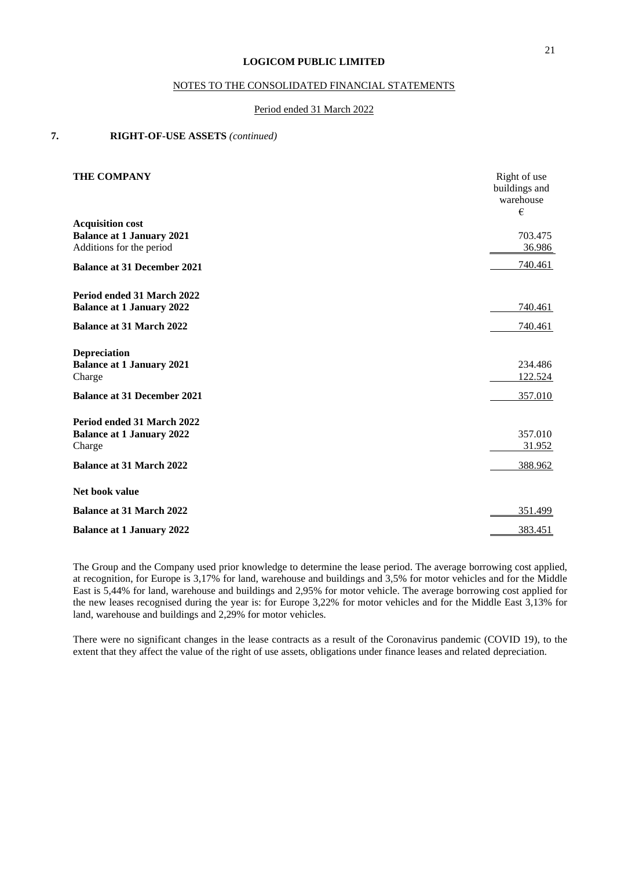### NOTES TO THE CONSOLIDATED FINANCIAL STATEMENTS

#### Period ended 31 March 2022

## **7. RIGHT-OF-USE ASSETS** *(continued)*

| <b>THE COMPANY</b>                                                                                          | Right of use<br>buildings and<br>warehouse<br>€ |
|-------------------------------------------------------------------------------------------------------------|-------------------------------------------------|
| <b>Acquisition cost</b><br><b>Balance at 1 January 2021</b><br>Additions for the period                     | 703.475<br>36.986                               |
| <b>Balance at 31 December 2021</b>                                                                          | 740.461                                         |
| Period ended 31 March 2022<br><b>Balance at 1 January 2022</b>                                              | 740.461                                         |
| <b>Balance at 31 March 2022</b>                                                                             | <u>740.461</u>                                  |
| <b>Depreciation</b><br><b>Balance at 1 January 2021</b><br>Charge<br><b>Balance at 31 December 2021</b>     | 234.486<br>122.524<br>357.010                   |
| Period ended 31 March 2022<br><b>Balance at 1 January 2022</b><br>Charge<br><b>Balance at 31 March 2022</b> | 357.010<br>31.952<br>388.962                    |
|                                                                                                             |                                                 |
| Net book value                                                                                              |                                                 |
| <b>Balance at 31 March 2022</b>                                                                             | 351.499                                         |
| <b>Balance at 1 January 2022</b>                                                                            | 383.451                                         |

The Group and the Company used prior knowledge to determine the lease period. The average borrowing cost applied, at recognition, for Europe is 3,17% for land, warehouse and buildings and 3,5% for motor vehicles and for the Middle East is 5,44% for land, warehouse and buildings and 2,95% for motor vehicle. The average borrowing cost applied for the new leases recognised during the year is: for Europe 3,22% for motor vehicles and for the Middle East 3,13% for land, warehouse and buildings and 2,29% for motor vehicles.

There were no significant changes in the lease contracts as a result of the Coronavirus pandemic (COVID 19), to the extent that they affect the value of the right of use assets, obligations under finance leases and related depreciation.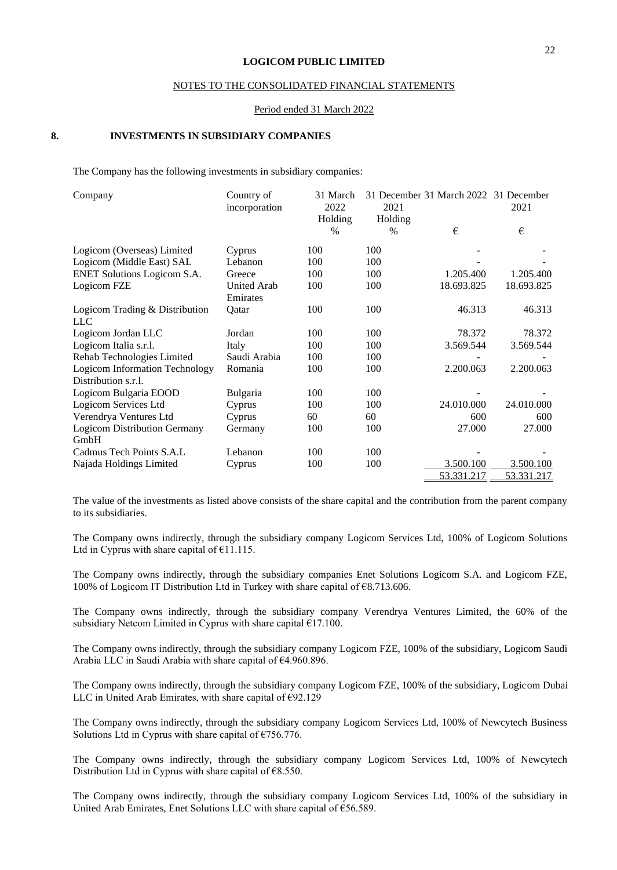#### NOTES TO THE CONSOLIDATED FINANCIAL STATEMENTS

#### Period ended 31 March 2022

#### **8. INVESTMENTS IN SUBSIDIARY COMPANIES**

The Company has the following investments in subsidiary companies:

| Company                                                      | Country of<br>incorporation    | 31 March<br>2022<br>Holding | 2021<br>Holding | 31 December 31 March 2022 31 December | 2021       |
|--------------------------------------------------------------|--------------------------------|-----------------------------|-----------------|---------------------------------------|------------|
|                                                              |                                | $\%$                        | $\%$            | €                                     | €          |
| Logicom (Overseas) Limited                                   | Cyprus                         | 100                         | 100             |                                       |            |
| Logicom (Middle East) SAL                                    | Lebanon                        | 100                         | 100             |                                       |            |
| <b>ENET Solutions Logicom S.A.</b>                           | Greece                         | 100                         | 100             | 1.205.400                             | 1.205.400  |
| Logicom FZE                                                  | <b>United Arab</b><br>Emirates | 100                         | 100             | 18.693.825                            | 18.693.825 |
| Logicom Trading & Distribution<br><b>LLC</b>                 | Oatar                          | 100                         | 100             | 46.313                                | 46.313     |
| Logicom Jordan LLC                                           | Jordan                         | 100                         | 100             | 78.372                                | 78.372     |
| Logicom Italia s.r.l.                                        | Italy                          | 100                         | 100             | 3.569.544                             | 3.569.544  |
| Rehab Technologies Limited                                   | Saudi Arabia                   | 100                         | 100             |                                       |            |
| <b>Logicom Information Technology</b><br>Distribution s.r.l. | Romania                        | 100                         | 100             | 2.200.063                             | 2.200.063  |
| Logicom Bulgaria EOOD                                        | Bulgaria                       | 100                         | 100             |                                       |            |
| Logicom Services Ltd                                         | Cyprus                         | 100                         | 100             | 24.010.000                            | 24.010.000 |
| Verendrya Ventures Ltd                                       | Cyprus                         | 60                          | 60              | 600                                   | 600        |
| <b>Logicom Distribution Germany</b><br>GmbH                  | Germany                        | 100                         | 100             | 27.000                                | 27.000     |
| Cadmus Tech Points S.A.L                                     | Lebanon                        | 100                         | 100             |                                       |            |
| Najada Holdings Limited                                      | Cyprus                         | 100                         | 100             | 3.500.100                             | 3.500.100  |
|                                                              |                                |                             |                 | 53.331.217                            | 53.331.217 |

The value of the investments as listed above consists of the share capital and the contribution from the parent company to its subsidiaries.

The Company owns indirectly, through the subsidiary company Logicom Services Ltd, 100% of Logicom Solutions Ltd in Cyprus with share capital of  $£11.115$ .

The Company owns indirectly, through the subsidiary companies Enet Solutions Logicom S.A. and Logicom FZE, 100% of Logicom IT Distribution Ltd in Turkey with share capital of €8.713.606.

The Company owns indirectly, through the subsidiary company Verendrya Ventures Limited, the 60% of the subsidiary Netcom Limited in Cyprus with share capital €17.100.

The Company owns indirectly, through the subsidiary company Logicom FZE, 100% of the subsidiary, Logicom Saudi Arabia LLC in Saudi Arabia with share capital of €4.960.896.

The Company owns indirectly, through the subsidiary company Logicom FZE, 100% of the subsidiary, Logicom Dubai LLC in United Arab Emirates, with share capital of €92.129

The Company owns indirectly, through the subsidiary company Logicom Services Ltd, 100% of Newcytech Business Solutions Ltd in Cyprus with share capital of €756.776.

The Company owns indirectly, through the subsidiary company Logicom Services Ltd, 100% of Newcytech Distribution Ltd in Cyprus with share capital of  $€8.550$ .

The Company owns indirectly, through the subsidiary company Logicom Services Ltd, 100% of the subsidiary in United Arab Emirates, Enet Solutions LLC with share capital of €56.589.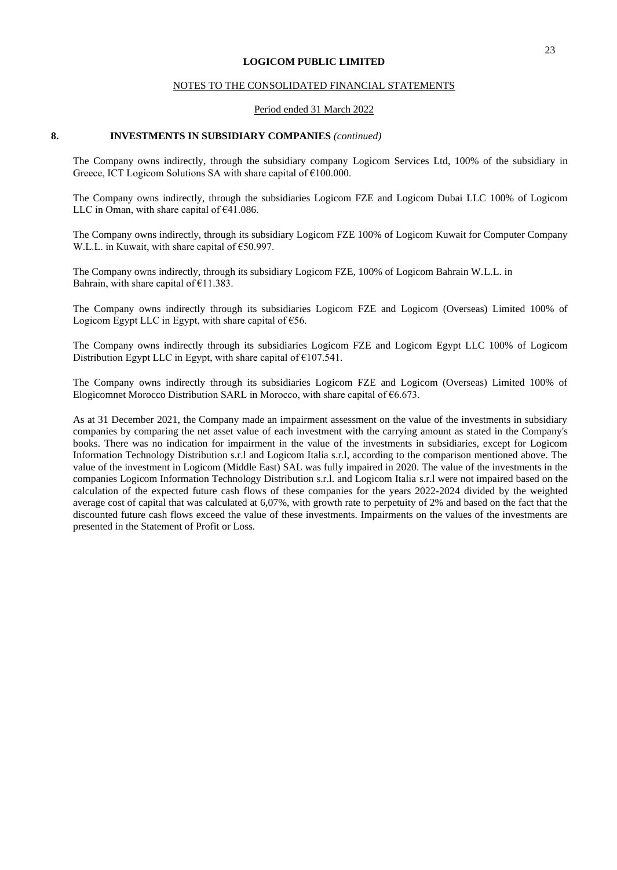#### NOTES TO THE CONSOLIDATED FINANCIAL STATEMENTS

#### Period ended 31 March 2022

#### **8. INVESTMENTS IN SUBSIDIARY COMPANIES** *(continued)*

The Company owns indirectly, through the subsidiary company Logicom Services Ltd, 100% of the subsidiary in Greece, ICT Logicom Solutions SA with share capital of €100.000.

The Company owns indirectly, through the subsidiaries Logicom FZE and Logicom Dubai LLC 100% of Logicom LLC in Oman, with share capital of €41.086.

The Company owns indirectly, through its subsidiary Logicom FZE 100% of Logicom Kuwait for Computer Company W.L.L. in Kuwait, with share capital of €50.997.

The Company owns indirectly, through its subsidiary Logicom FZE, 100% of Logicom Bahrain W.L.L. in Bahrain, with share capital of  $£11.383$ .

The Company owns indirectly through its subsidiaries Logicom FZE and Logicom (Overseas) Limited 100% of Logicom Egypt LLC in Egypt, with share capital of  $€56$ .

The Company owns indirectly through its subsidiaries Logicom FZE and Logicom Egypt LLC 100% of Logicom Distribution Egypt LLC in Egypt, with share capital of  $£107.541$ .

The Company owns indirectly through its subsidiaries Logicom FZE and Logicom (Overseas) Limited 100% of Elogicomnet Morocco Distribution SARL in Morocco, with share capital of €6.673.

As at 31 December 2021, the Company made an impairment assessment on the value of the investments in subsidiary companies by comparing the net asset value of each investment with the carrying amount as stated in the Company's books. There was no indication for impairment in the value of the investments in subsidiaries, except for Logicom Information Technology Distribution s.r.l and Logicom Italia s.r.l, according to the comparison mentioned above. The value of the investment in Logicom (Middle East) SAL was fully impaired in 2020. The value of the investments in the companies Logicom Information Technology Distribution s.r.l. and Logicom Italia s.r.l were not impaired based on the calculation of the expected future cash flows of these companies for the years 2022-2024 divided by the weighted average cost of capital that was calculated at 6,07%, with growth rate to perpetuity of 2% and based on the fact that the discounted future cash flows exceed the value of these investments. Impairments on the values of the investments are presented in the Statement of Profit or Loss.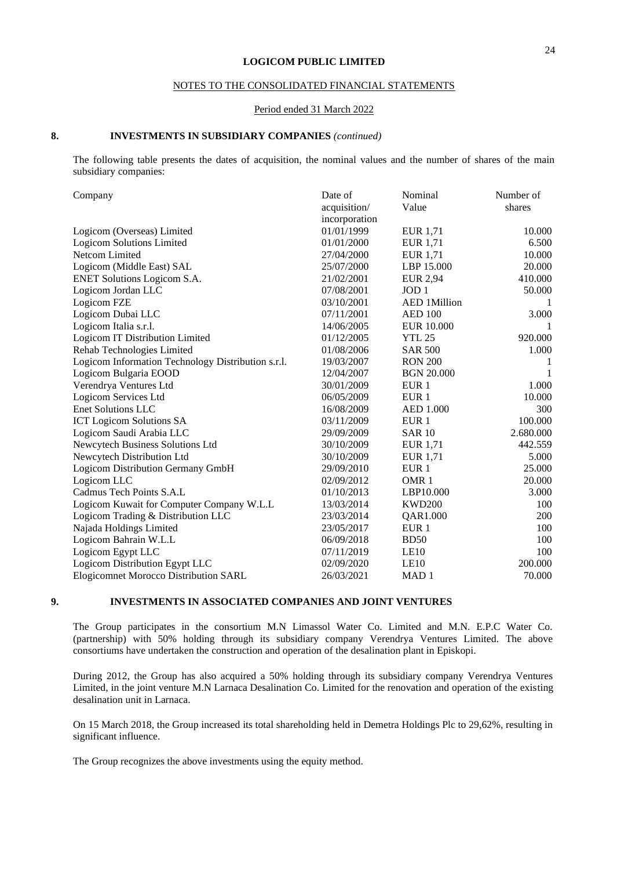### NOTES TO THE CONSOLIDATED FINANCIAL STATEMENTS

#### Period ended 31 March 2022

#### **8. INVESTMENTS IN SUBSIDIARY COMPANIES** *(continued)*

The following table presents the dates of acquisition, the nominal values and the number of shares of the main subsidiary companies:

| Company                                            | Date of       | Nominal             | Number of |
|----------------------------------------------------|---------------|---------------------|-----------|
|                                                    | acquisition/  | Value               | shares    |
|                                                    | incorporation |                     |           |
| Logicom (Overseas) Limited                         | 01/01/1999    | EUR 1,71            | 10.000    |
| <b>Logicom Solutions Limited</b>                   | 01/01/2000    | EUR 1,71            | 6.500     |
| Netcom Limited                                     | 27/04/2000    | <b>EUR 1,71</b>     | 10.000    |
| Logicom (Middle East) SAL                          | 25/07/2000    | LBP 15.000          | 20.000    |
| <b>ENET Solutions Logicom S.A.</b>                 | 21/02/2001    | <b>EUR 2,94</b>     | 410.000   |
| Logicom Jordan LLC                                 | 07/08/2001    | JOD <sub>1</sub>    | 50.000    |
| Logicom FZE                                        | 03/10/2001    | <b>AED 1Million</b> |           |
| Logicom Dubai LLC                                  | 07/11/2001    | <b>AED 100</b>      | 3.000     |
| Logicom Italia s.r.l.                              | 14/06/2005    | <b>EUR 10.000</b>   | 1         |
| Logicom IT Distribution Limited                    | 01/12/2005    | <b>YTL 25</b>       | 920.000   |
| Rehab Technologies Limited                         | 01/08/2006    | <b>SAR 500</b>      | 1.000     |
| Logicom Information Technology Distribution s.r.l. | 19/03/2007    | <b>RON 200</b>      | 1         |
| Logicom Bulgaria EOOD                              | 12/04/2007    | <b>BGN 20.000</b>   | 1         |
| Verendrya Ventures Ltd                             | 30/01/2009    | EUR <sub>1</sub>    | 1.000     |
| Logicom Services Ltd                               | 06/05/2009    | EUR <sub>1</sub>    | 10.000    |
| <b>Enet Solutions LLC</b>                          | 16/08/2009    | AED 1.000           | 300       |
| <b>ICT Logicom Solutions SA</b>                    | 03/11/2009    | EUR <sub>1</sub>    | 100.000   |
| Logicom Saudi Arabia LLC                           | 29/09/2009    | <b>SAR 10</b>       | 2.680.000 |
| Newcytech Business Solutions Ltd                   | 30/10/2009    | <b>EUR 1,71</b>     | 442.559   |
| Newcytech Distribution Ltd                         | 30/10/2009    | <b>EUR</b> 1,71     | 5.000     |
| Logicom Distribution Germany GmbH                  | 29/09/2010    | EUR <sub>1</sub>    | 25.000    |
| Logicom LLC                                        | 02/09/2012    | OMR <sub>1</sub>    | 20.000    |
| Cadmus Tech Points S.A.L                           | 01/10/2013    | LBP10.000           | 3.000     |
| Logicom Kuwait for Computer Company W.L.L          | 13/03/2014    | <b>KWD200</b>       | 100       |
| Logicom Trading & Distribution LLC                 | 23/03/2014    | QAR1.000            | 200       |
| Najada Holdings Limited                            | 23/05/2017    | EUR <sub>1</sub>    | 100       |
| Logicom Bahrain W.L.L                              | 06/09/2018    | <b>BD50</b>         | 100       |
| Logicom Egypt LLC                                  | 07/11/2019    | LE10                | 100       |
| Logicom Distribution Egypt LLC                     | 02/09/2020    | LE10                | 200.000   |
| <b>Elogicomnet Morocco Distribution SARL</b>       | 26/03/2021    | MAD <sub>1</sub>    | 70.000    |

## **9. INVESTMENTS IN ASSOCIATED COMPANIES AND JOINT VENTURES**

The Group participates in the consortium M.N Limassol Water Co. Limited and M.N. E.P.C Water Co. (partnership) with 50% holding through its subsidiary company Verendrya Ventures Limited. The above consortiums have undertaken the construction and operation of the desalination plant in Episkopi.

During 2012, the Group has also acquired a 50% holding through its subsidiary company Verendrya Ventures Limited, in the joint venture M.N Larnaca Desalination Co. Limited for the renovation and operation of the existing desalination unit in Larnaca.

On 15 March 2018, the Group increased its total shareholding held in Demetra Holdings Plc to 29,62%, resulting in significant influence.

The Group recognizes the above investments using the equity method.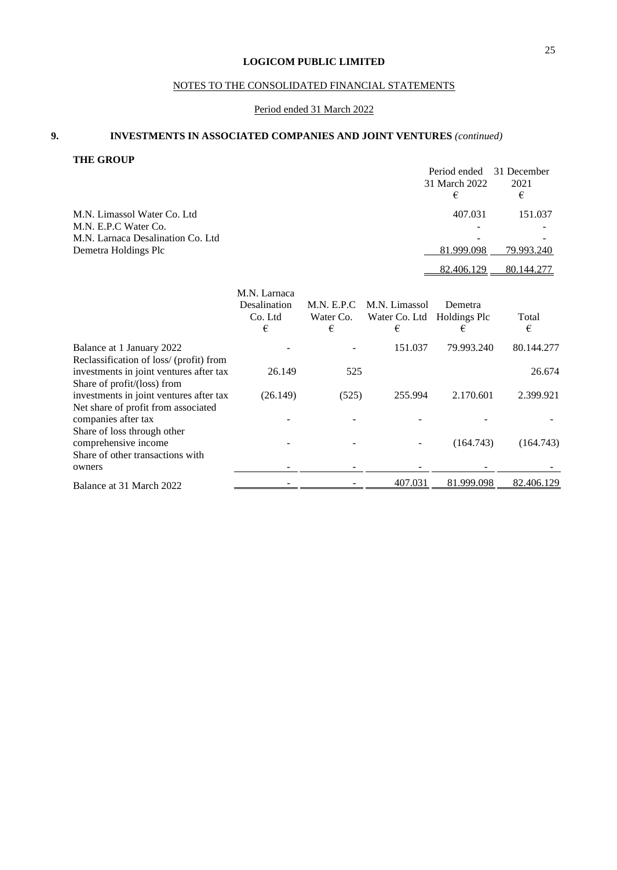## NOTES TO THE CONSOLIDATED FINANCIAL STATEMENTS

## Period ended 31 March 2022

## **9. INVESTMENTS IN ASSOCIATED COMPANIES AND JOINT VENTURES** *(continued)*

**THE GROUP**

|                                    | Period ended  | 31 December |
|------------------------------------|---------------|-------------|
|                                    | 31 March 2022 | 2021        |
|                                    | €             | €           |
| M.N. Limassol Water Co. Ltd.       | 407.031       | 151.037     |
| M.N. E.P.C Water Co.               |               |             |
| M.N. Larnaca Desalination Co. Ltd. |               |             |
| Demetra Holdings Plc               | 81.999.098    | 79.993.240  |
|                                    | 82.406.129    | 80.144.277  |
|                                    |               |             |

|                                         | M.N. Larnaca<br><b>Desalination</b><br>Co. Ltd<br>€ | M.N. E.P.C.<br>Water Co.<br>€ | M.N. Limassol<br>Water Co. Ltd<br>€ | Demetra<br>Holdings Plc<br>€ | Total<br>€ |
|-----------------------------------------|-----------------------------------------------------|-------------------------------|-------------------------------------|------------------------------|------------|
| Balance at 1 January 2022               |                                                     |                               | 151.037                             | 79.993.240                   | 80.144.277 |
| Reclassification of loss/ (profit) from |                                                     |                               |                                     |                              |            |
| investments in joint ventures after tax | 26.149                                              | 525                           |                                     |                              | 26.674     |
| Share of profit/(loss) from             |                                                     |                               |                                     |                              |            |
| investments in joint ventures after tax | (26.149)                                            | (525)                         | 255.994                             | 2.170.601                    | 2.399.921  |
| Net share of profit from associated     |                                                     |                               |                                     |                              |            |
| companies after tax                     |                                                     |                               |                                     |                              |            |
| Share of loss through other             |                                                     |                               |                                     |                              |            |
| comprehensive income                    |                                                     |                               |                                     | (164.743)                    | (164.743)  |
| Share of other transactions with        |                                                     |                               |                                     |                              |            |
| owners                                  |                                                     |                               |                                     |                              |            |
| Balance at 31 March 2022                |                                                     |                               | 407.031                             | 81.999.098                   | 82.406.129 |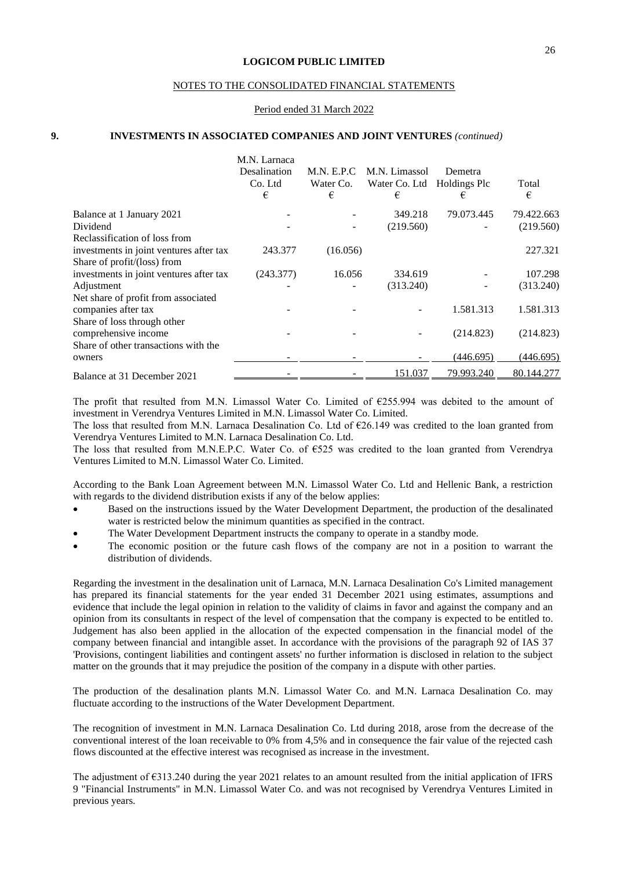#### NOTES TO THE CONSOLIDATED FINANCIAL STATEMENTS

#### Period ended 31 March 2022

#### **9. INVESTMENTS IN ASSOCIATED COMPANIES AND JOINT VENTURES** *(continued)*

|                                         | M.N. Larnaca<br>Desalination<br>Co. Ltd<br>€ | <b>M.N. E.P.C</b><br>Water Co.<br>€ | M.N. Limassol<br>Water Co. Ltd<br>€ | Demetra<br>Holdings Plc<br>€ | Total<br>€ |
|-----------------------------------------|----------------------------------------------|-------------------------------------|-------------------------------------|------------------------------|------------|
| Balance at 1 January 2021               |                                              |                                     | 349.218                             | 79.073.445                   | 79.422.663 |
| Dividend                                |                                              |                                     | (219.560)                           |                              | (219.560)  |
| Reclassification of loss from           |                                              |                                     |                                     |                              |            |
| investments in joint ventures after tax | 243.377                                      | (16.056)                            |                                     |                              | 227.321    |
| Share of $profit/$ (loss) from          |                                              |                                     |                                     |                              |            |
| investments in joint ventures after tax | (243.377)                                    | 16.056                              | 334.619                             |                              | 107.298    |
| Adjustment                              |                                              |                                     | (313.240)                           |                              | (313.240)  |
| Net share of profit from associated     |                                              |                                     |                                     |                              |            |
| companies after tax                     |                                              |                                     |                                     | 1.581.313                    | 1.581.313  |
| Share of loss through other             |                                              |                                     |                                     |                              |            |
| comprehensive income                    |                                              |                                     |                                     | (214.823)                    | (214.823)  |
| Share of other transactions with the    |                                              |                                     |                                     |                              |            |
| owners                                  |                                              |                                     |                                     | (446.695)                    | (446.695)  |
|                                         |                                              |                                     | 151.037                             | 79.993.240                   | 80.144.277 |
| Balance at 31 December 2021             |                                              |                                     |                                     |                              |            |

The profit that resulted from M.N. Limassol Water Co. Limited of  $\epsilon$ 255.994 was debited to the amount of investment in Verendrya Ventures Limited in M.N. Limassol Water Co. Limited.

The loss that resulted from M.N. Larnaca Desalination Co. Ltd of  $\epsilon$ 26.149 was credited to the loan granted from Verendrya Ventures Limited to M.N. Larnaca Desalination Co. Ltd.

The loss that resulted from M.N.E.P.C. Water Co. of €525 was credited to the loan granted from Verendrya Ventures Limited to M.N. Limassol Water Co. Limited.

According to the Bank Loan Agreement between M.N. Limassol Water Co. Ltd and Hellenic Bank, a restriction with regards to the dividend distribution exists if any of the below applies:

- Based on the instructions issued by the Water Development Department, the production of the desalinated water is restricted below the minimum quantities as specified in the contract.
- The Water Development Department instructs the company to operate in a standby mode.
- The economic position or the future cash flows of the company are not in a position to warrant the distribution of dividends.

Regarding the investment in the desalination unit of Larnaca, M.N. Larnaca Desalination Co's Limited management has prepared its financial statements for the year ended 31 December 2021 using estimates, assumptions and evidence that include the legal opinion in relation to the validity of claims in favor and against the company and an opinion from its consultants in respect of the level of compensation that the company is expected to be entitled to. Judgement has also been applied in the allocation of the expected compensation in the financial model of the company between financial and intangible asset. In accordance with the provisions of the paragraph 92 of IAS 37 'Provisions, contingent liabilities and contingent assets' no further information is disclosed in relation to the subject matter on the grounds that it may prejudice the position of the company in a dispute with other parties.

The production of the desalination plants M.N. Limassol Water Co. and M.N. Larnaca Desalination Co. may fluctuate according to the instructions of the Water Development Department.

The recognition of investment in M.N. Larnaca Desalination Co. Ltd during 2018, arose from the decrease of the conventional interest of the loan receivable to 0% from 4,5% and in consequence the fair value of the rejected cash flows discounted at the effective interest was recognised as increase in the investment.

The adjustment of  $\epsilon$ 313.240 during the year 2021 relates to an amount resulted from the initial application of IFRS 9 "Financial Instruments" in M.N. Limassol Water Co. and was not recognised by Verendrya Ventures Limited in previous years.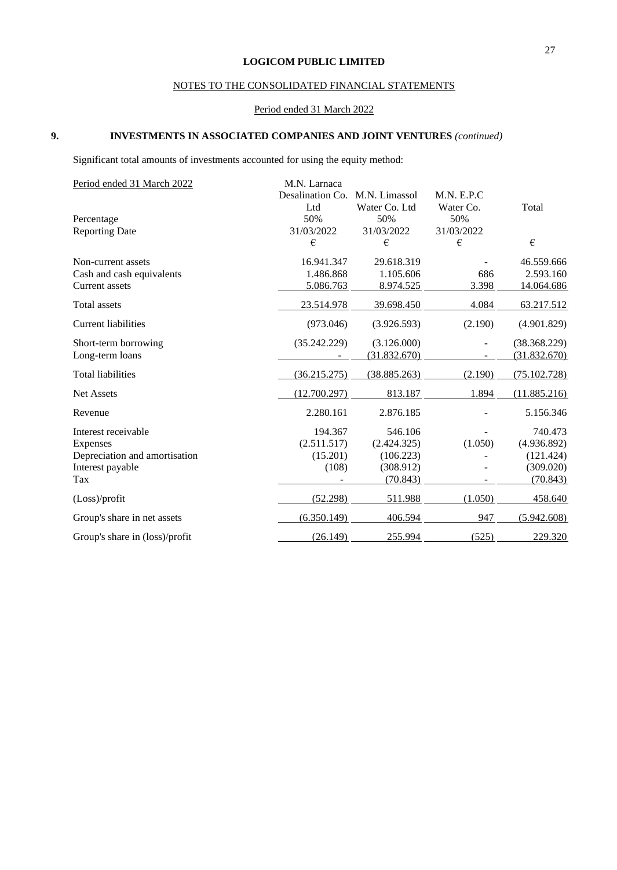## NOTES TO THE CONSOLIDATED FINANCIAL STATEMENTS

## Period ended 31 March 2022

## **9. INVESTMENTS IN ASSOCIATED COMPANIES AND JOINT VENTURES** *(continued)*

Significant total amounts of investments accounted for using the equity method:

| Period ended 31 March 2022     | M.N. Larnaca     |               |             |              |
|--------------------------------|------------------|---------------|-------------|--------------|
|                                | Desalination Co. | M.N. Limassol | M.N. E.P.C. |              |
|                                | Ltd              | Water Co. Ltd | Water Co.   | Total        |
| Percentage                     | 50%              | 50%           | 50%         |              |
| <b>Reporting Date</b>          | 31/03/2022       | 31/03/2022    | 31/03/2022  |              |
|                                | €                | €             | €           | $\epsilon$   |
| Non-current assets             | 16.941.347       | 29.618.319    |             | 46.559.666   |
| Cash and cash equivalents      | 1.486.868        | 1.105.606     | 686         | 2.593.160    |
| Current assets                 | 5.086.763        | 8.974.525     | 3.398       | 14.064.686   |
| Total assets                   | 23.514.978       | 39.698.450    | 4.084       | 63.217.512   |
| <b>Current liabilities</b>     | (973.046)        | (3.926.593)   | (2.190)     | (4.901.829)  |
| Short-term borrowing           | (35.242.229)     | (3.126.000)   |             | (38.368.229) |
| Long-term loans                |                  | (31.832.670)  |             | (31.832.670) |
| <b>Total liabilities</b>       | (36.215.275)     | (38.885.263)  | (2.190)     | (75.102.728) |
| Net Assets                     | (12.700.297)     | 813.187       | 1.894       | (11.885.216) |
| Revenue                        | 2.280.161        | 2.876.185     |             | 5.156.346    |
| Interest receivable            | 194.367          | 546.106       |             | 740.473      |
| Expenses                       | (2.511.517)      | (2.424.325)   | (1.050)     | (4.936.892)  |
| Depreciation and amortisation  | (15.201)         | (106.223)     |             | (121.424)    |
| Interest payable               | (108)            | (308.912)     |             | (309.020)    |
| Tax                            |                  | (70.843)      |             | (70.843)     |
| (Loss)/profit                  | (52.298)         | 511.988       | (1.050)     | 458.640      |
| Group's share in net assets    | (6.350.149)      | 406.594       | 947         | (5.942.608)  |
| Group's share in (loss)/profit | (26.149)         | 255.994       | (525)       | 229.320      |
|                                |                  |               |             |              |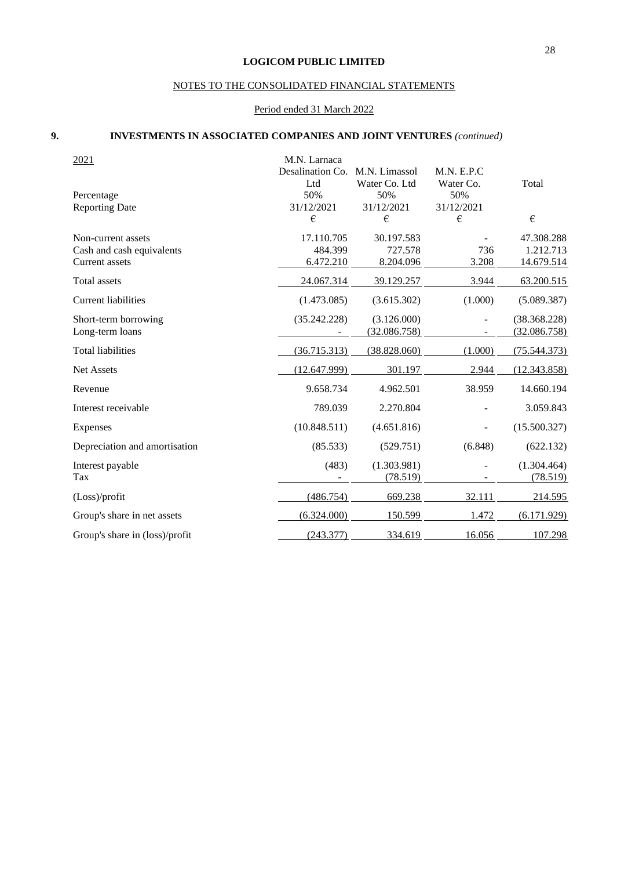## NOTES TO THE CONSOLIDATED FINANCIAL STATEMENTS

## Period ended 31 March 2022

## **9. INVESTMENTS IN ASSOCIATED COMPANIES AND JOINT VENTURES** *(continued)*

| 2021                           | M.N. Larnaca     |               |             |              |
|--------------------------------|------------------|---------------|-------------|--------------|
|                                | Desalination Co. | M.N. Limassol | M.N. E.P.C. |              |
|                                | Ltd              | Water Co. Ltd | Water Co.   | Total        |
| Percentage                     | 50%              | 50%           | 50%         |              |
| <b>Reporting Date</b>          | 31/12/2021       | 31/12/2021    | 31/12/2021  |              |
|                                | €                | €             | €           | $\epsilon$   |
| Non-current assets             | 17.110.705       | 30.197.583    |             | 47.308.288   |
| Cash and cash equivalents      | 484.399          | 727.578       | 736         | 1.212.713    |
| <b>Current</b> assets          | 6.472.210        | 8.204.096     | 3.208       | 14.679.514   |
| Total assets                   | 24.067.314       | 39.129.257    | 3.944       | 63.200.515   |
| <b>Current liabilities</b>     | (1.473.085)      | (3.615.302)   | (1.000)     | (5.089.387)  |
| Short-term borrowing           | (35.242.228)     | (3.126.000)   |             | (38.368.228) |
| Long-term loans                |                  | (32.086.758)  |             | (32.086.758) |
| <b>Total liabilities</b>       | (36.715.313)     | (38.828.060)  | (1.000)     | (75.544.373) |
| <b>Net Assets</b>              | (12.647.999)     | 301.197       | 2.944       | (12.343.858) |
| Revenue                        | 9.658.734        | 4.962.501     | 38.959      | 14.660.194   |
| Interest receivable            | 789.039          | 2.270.804     |             | 3.059.843    |
| Expenses                       | (10.848.511)     | (4.651.816)   |             | (15.500.327) |
| Depreciation and amortisation  | (85.533)         | (529.751)     | (6.848)     | (622.132)    |
| Interest payable               | (483)            | (1.303.981)   |             | (1.304.464)  |
| <b>Tax</b>                     |                  | (78.519)      |             | (78.519)     |
| (Loss)/profit                  | (486.754)        | 669.238       | 32.111      | 214.595      |
| Group's share in net assets    | (6.324.000)      | 150.599       | 1.472       | (6.171.929)  |
| Group's share in (loss)/profit | (243.377)        | 334.619       | 16.056      | 107.298      |
|                                |                  |               |             |              |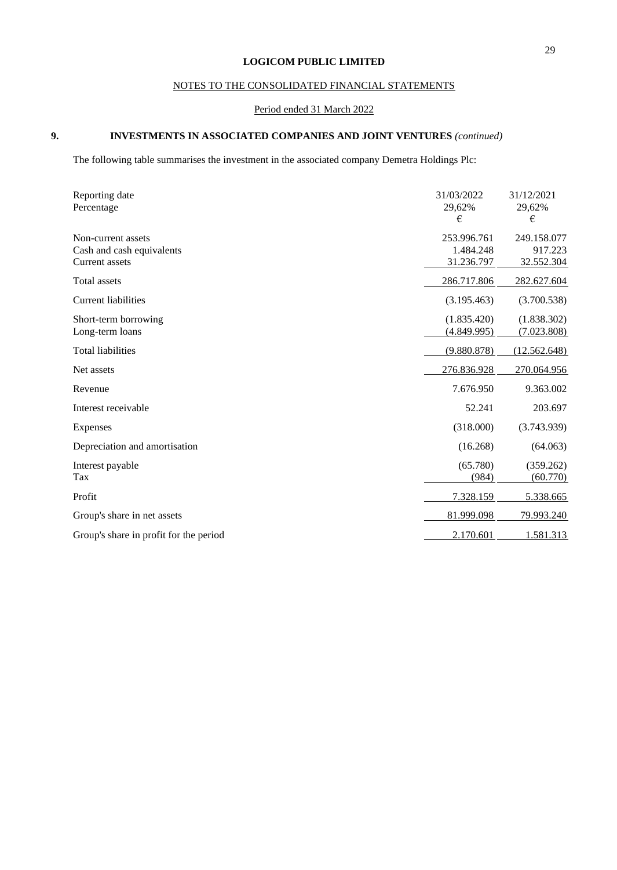## NOTES TO THE CONSOLIDATED FINANCIAL STATEMENTS

## Period ended 31 March 2022

## **9. INVESTMENTS IN ASSOCIATED COMPANIES AND JOINT VENTURES** *(continued)*

The following table summarises the investment in the associated company Demetra Holdings Plc:

| Reporting date<br>Percentage                                      | 31/03/2022<br>29,62%<br>€              | 31/12/2021<br>29,62%<br>€            |
|-------------------------------------------------------------------|----------------------------------------|--------------------------------------|
| Non-current assets<br>Cash and cash equivalents<br>Current assets | 253.996.761<br>1.484.248<br>31.236.797 | 249.158.077<br>917.223<br>32.552.304 |
| <b>Total assets</b>                                               | 286.717.806                            | 282.627.604                          |
| <b>Current liabilities</b>                                        | (3.195.463)                            | (3.700.538)                          |
| Short-term borrowing<br>Long-term loans                           | (1.835.420)<br>(4.849.995)             | (1.838.302)<br>(7.023.808)           |
| <b>Total liabilities</b>                                          | (9.880.878)                            | (12.562.648)                         |
| Net assets                                                        | 276.836.928                            | 270.064.956                          |
| Revenue                                                           | 7.676.950                              | 9.363.002                            |
| Interest receivable                                               | 52.241                                 | 203.697                              |
| Expenses                                                          | (318.000)                              | (3.743.939)                          |
| Depreciation and amortisation                                     | (16.268)                               | (64.063)                             |
| Interest payable<br>Tax                                           | (65.780)<br>(984)                      | (359.262)<br>(60.770)                |
| Profit                                                            | 7.328.159                              | 5.338.665                            |
| Group's share in net assets                                       | 81.999.098                             | 79.993.240                           |
| Group's share in profit for the period                            | 2.170.601                              | 1.581.313                            |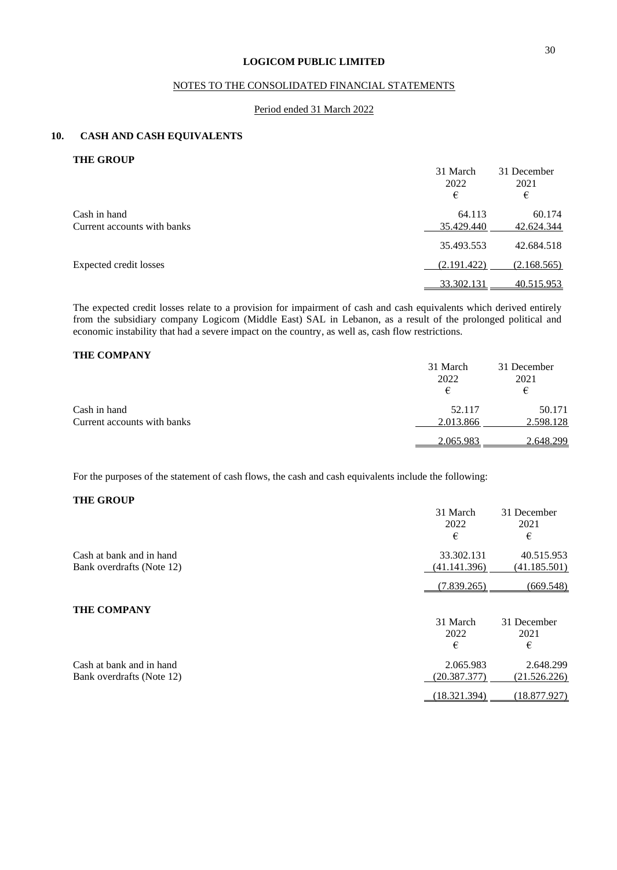## NOTES TO THE CONSOLIDATED FINANCIAL STATEMENTS

#### Period ended 31 March 2022

#### **10. CASH AND CASH EQUIVALENTS**

**THE GROUP**

|                             | 31 March    | 31 December |
|-----------------------------|-------------|-------------|
|                             | 2022        | 2021        |
|                             | €           | €           |
| Cash in hand                | 64.113      | 60.174      |
| Current accounts with banks | 35.429.440  | 42.624.344  |
|                             | 35.493.553  | 42.684.518  |
| Expected credit losses      | (2.191.422) | (2.168.565) |
|                             | 33.302.131  | 40.515.953  |

The expected credit losses relate to a provision for impairment of cash and cash equivalents which derived entirely from the subsidiary company Logicom (Middle East) SAL in Lebanon, as a result of the prolonged political and economic instability that had a severe impact on the country, as well as, cash flow restrictions.

## **THE COMPANY**

|                             | 31 March<br>2022 | 31 December<br>2021 |
|-----------------------------|------------------|---------------------|
|                             | €                | €                   |
| Cash in hand                | 52.117           | 50.171              |
| Current accounts with banks | 2.013.866        | 2.598.128           |
|                             | 2.065.983        | 2.648.299           |

For the purposes of the statement of cash flows, the cash and cash equivalents include the following:

## **THE GROUP**

|                           | 31 March<br>2022<br>€ | 31 December<br>2021<br>€ |
|---------------------------|-----------------------|--------------------------|
| Cash at bank and in hand  | 33.302.131            | 40.515.953               |
| Bank overdrafts (Note 12) | (41.141.396)          | <u>(41.185.501)</u>      |
|                           | (7.839.265)           | (669.548)                |
| <b>THE COMPANY</b>        |                       |                          |
|                           | 31 March              | 31 December              |
|                           | 2022                  | 2021                     |
|                           | €                     | €                        |
| Cash at bank and in hand  | 2.065.983             | 2.648.299                |
| Bank overdrafts (Note 12) | (20.387.377)          | (21.526.226)             |
|                           | (18.321.394)          | (18.877.927)             |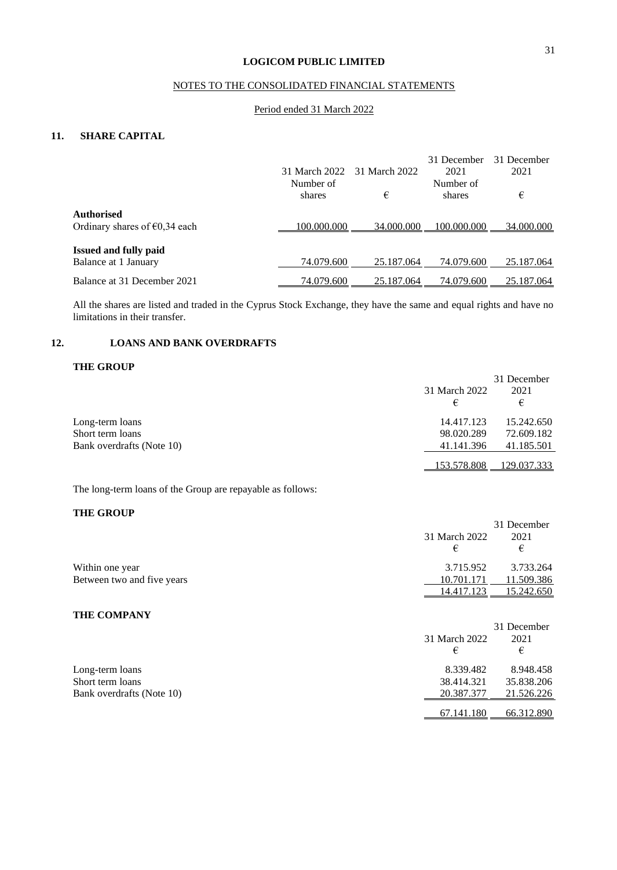## NOTES TO THE CONSOLIDATED FINANCIAL STATEMENTS

### Period ended 31 March 2022

## **11. SHARE CAPITAL**

|                                         |               |               | 31 December | 31 December |
|-----------------------------------------|---------------|---------------|-------------|-------------|
|                                         | 31 March 2022 | 31 March 2022 | 2021        | 2021        |
|                                         | Number of     |               | Number of   |             |
|                                         | shares        | €             | shares      | €           |
| <b>Authorised</b>                       |               |               |             |             |
| Ordinary shares of $\epsilon$ 0,34 each | 100.000.000   | 34.000.000    | 100.000.000 | 34,000,000  |
| <b>Issued and fully paid</b>            |               |               |             |             |
| Balance at 1 January                    | 74.079.600    | 25.187.064    | 74.079.600  | 25.187.064  |
| Balance at 31 December 2021             | 74.079.600    | 25.187.064    | 74.079.600  | 25.187.064  |
|                                         |               |               |             |             |

All the shares are listed and traded in the Cyprus Stock Exchange, they have the same and equal rights and have no limitations in their transfer.

## **12. LOANS AND BANK OVERDRAFTS**

## **THE GROUP**

|                           |               | 31 December |
|---------------------------|---------------|-------------|
|                           | 31 March 2022 | 2021        |
|                           | €             | €           |
| Long-term loans           | 14.417.123    | 15.242.650  |
| Short term loans          | 98.020.289    | 72.609.182  |
| Bank overdrafts (Note 10) | 41.141.396    | 41.185.501  |
|                           | 153.578.808   | 129.037.333 |

The long-term loans of the Group are repayable as follows:

## **THE GROUP**

| THE ARACT                  |                    |                          |
|----------------------------|--------------------|--------------------------|
|                            | 31 March 2022<br>€ | 31 December<br>2021<br>€ |
| Within one year            | 3.715.952          | 3.733.264                |
| Between two and five years | 10.701.171         | 11.509.386               |
|                            | 14.417.123         | 15.242.650               |
| THE COMPANY                |                    |                          |
|                            |                    | 31 December              |
|                            | 31 March 2022      | 2021                     |
|                            | €                  | €                        |
| Long-term loans            | 8.339.482          | 8.948.458                |
| Short term loans           | 38.414.321         | 35.838.206               |
| Bank overdrafts (Note 10)  | 20.387.377         | 21.526.226               |
|                            | 67.141.180         | 66.312.890               |
|                            |                    |                          |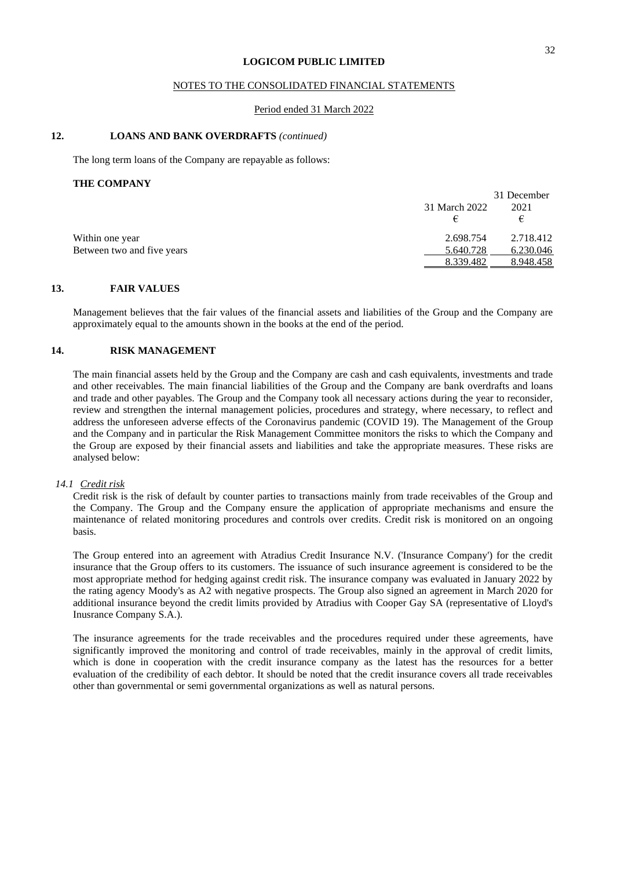#### NOTES TO THE CONSOLIDATED FINANCIAL STATEMENTS

#### Period ended 31 March 2022

#### **12. LOANS AND BANK OVERDRAFTS** *(continued)*

The long term loans of the Company are repayable as follows:

#### **THE COMPANY**

|                            |               | 31 December |
|----------------------------|---------------|-------------|
|                            | 31 March 2022 | 2021        |
|                            |               | €           |
| Within one year            | 2.698.754     | 2.718.412   |
| Between two and five years | 5.640.728     | 6.230.046   |
|                            | 8.339.482     | 8.948.458   |

#### **13. FAIR VALUES**

Management believes that the fair values of the financial assets and liabilities of the Group and the Company are approximately equal to the amounts shown in the books at the end of the period.

### **14. RISK MANAGEMENT**

The main financial assets held by the Group and the Company are cash and cash equivalents, investments and trade and other receivables. The main financial liabilities of the Group and the Company are bank overdrafts and loans and trade and other payables. The Group and the Company took all necessary actions during the year to reconsider, review and strengthen the internal management policies, procedures and strategy, where necessary, to reflect and address the unforeseen adverse effects of the Coronavirus pandemic (COVID 19). The Management of the Group and the Company and in particular the Risk Management Committee monitors the risks to which the Company and the Group are exposed by their financial assets and liabilities and take the appropriate measures. These risks are analysed below:

#### *14.1 Credit risk*

Credit risk is the risk of default by counter parties to transactions mainly from trade receivables of the Group and the Company. The Group and the Company ensure the application of appropriate mechanisms and ensure the maintenance of related monitoring procedures and controls over credits. Credit risk is monitored on an ongoing basis.

The Group entered into an agreement with Atradius Credit Insurance N.V. ('Insurance Company') for the credit insurance that the Group offers to its customers. The issuance of such insurance agreement is considered to be the most appropriate method for hedging against credit risk. The insurance company was evaluated in January 2022 by the rating agency Moody's as A2 with negative prospects. The Group also signed an agreement in March 2020 for additional insurance beyond the credit limits provided by Atradius with Cooper Gay SA (representative of Lloyd's Inusrance Company S.A.).

The insurance agreements for the trade receivables and the procedures required under these agreements, have significantly improved the monitoring and control of trade receivables, mainly in the approval of credit limits, which is done in cooperation with the credit insurance company as the latest has the resources for a better evaluation of the credibility of each debtor. It should be noted that the credit insurance covers all trade receivables other than governmental or semi governmental organizations as well as natural persons.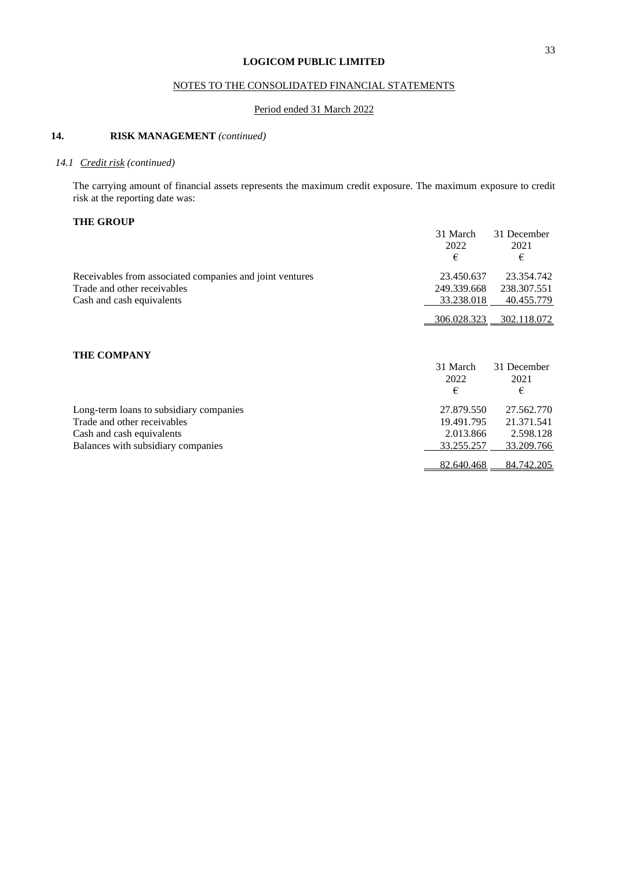## NOTES TO THE CONSOLIDATED FINANCIAL STATEMENTS

## Period ended 31 March 2022

## **14. RISK MANAGEMENT** *(continued)*

## *14.1 Credit risk (continued)*

The carrying amount of financial assets represents the maximum credit exposure. The maximum exposure to credit risk at the reporting date was:

## **THE GROUP**

|                                                          | 31 March<br>2022   | 31 December<br>2021 |
|----------------------------------------------------------|--------------------|---------------------|
|                                                          | €                  | €                   |
| Receivables from associated companies and joint ventures | 23.450.637         | 23.354.742          |
| Trade and other receivables                              | 249.339.668        | 238.307.551         |
| Cash and cash equivalents                                | 33.238.018         | 40.455.779          |
|                                                          | <u>306.028.323</u> | 302.118.072         |
|                                                          |                    |                     |
| <b>THE COMPANY</b>                                       |                    |                     |
|                                                          | 31 March           | 31 December         |
|                                                          | 2022               | 2021                |
|                                                          | €                  | €                   |
| Long-term loans to subsidiary companies                  | 27.879.550         | 27.562.770          |
| Trade and other receivables                              | 19.491.795         | 21.371.541          |
| Cash and cash equivalents                                | 2.013.866          | 2.598.128           |
| Balances with subsidiary companies                       | 33.255.257         | 33.209.766          |
|                                                          | 82.640.468         | 84.742.205          |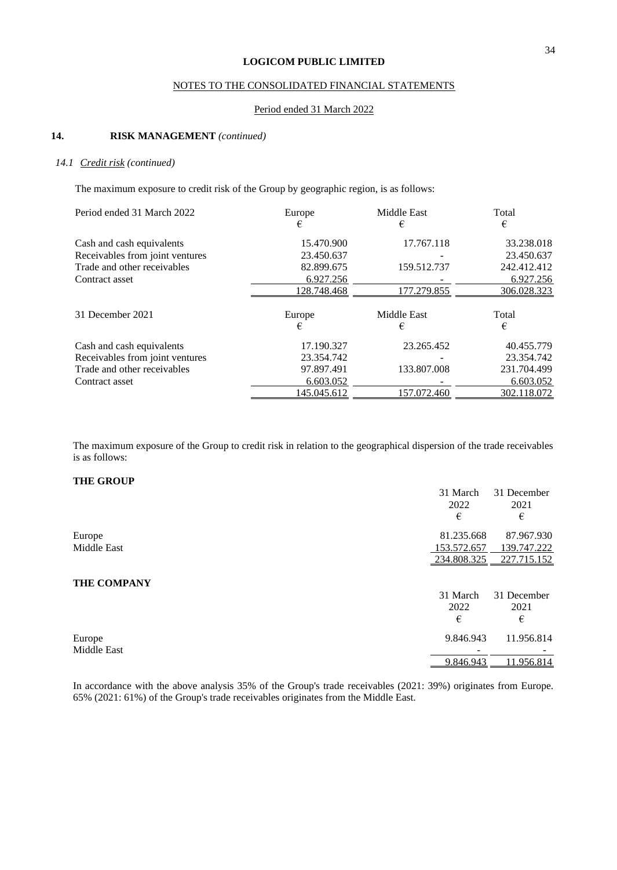## NOTES TO THE CONSOLIDATED FINANCIAL STATEMENTS

#### Period ended 31 March 2022

## **14. RISK MANAGEMENT** *(continued)*

#### *14.1 Credit risk (continued)*

The maximum exposure to credit risk of the Group by geographic region, is as follows:

| Period ended 31 March 2022      | Europe      | <b>Middle East</b> | Total       |
|---------------------------------|-------------|--------------------|-------------|
|                                 |             | €                  | €           |
| Cash and cash equivalents       | 15.470.900  | 17.767.118         | 33.238.018  |
| Receivables from joint ventures | 23.450.637  |                    | 23.450.637  |
| Trade and other receivables     | 82.899.675  | 159.512.737        | 242.412.412 |
| Contract asset                  | 6.927.256   |                    | 6.927.256   |
|                                 | 128.748.468 | 177.279.855        | 306.028.323 |
| 31 December 2021                | Europe      | <b>Middle East</b> | Total       |
|                                 | €           | €                  | €           |
| Cash and cash equivalents       | 17.190.327  | 23.265.452         | 40.455.779  |
| Receivables from joint ventures | 23.354.742  |                    | 23.354.742  |
| Trade and other receivables     | 97.897.491  | 133.807.008        | 231.704.499 |
| Contract asset                  | 6.603.052   |                    | 6.603.052   |
|                                 | 145.045.612 | 157.072.460        | 302.118.072 |

The maximum exposure of the Group to credit risk in relation to the geographical dispersion of the trade receivables is as follows:

## **THE GROUP**

|                    | 31 March    | 31 December |
|--------------------|-------------|-------------|
|                    | 2022        | 2021        |
|                    | €           | €           |
| Europe             | 81.235.668  | 87.967.930  |
| Middle East        | 153.572.657 | 139.747.222 |
|                    | 234.808.325 | 227.715.152 |
| <b>THE COMPANY</b> |             |             |
|                    | 31 March    | 31 December |
|                    | 2022        | 2021        |
|                    | €           | €           |
| Europe             | 9.846.943   | 11.956.814  |
| <b>Middle East</b> |             |             |
|                    | 9.846.943   | 11.956.814  |

In accordance with the above analysis 35% of the Group's trade receivables (2021: 39%) originates from Europe. 65% (2021: 61%) of the Group's trade receivables originates from the Middle East.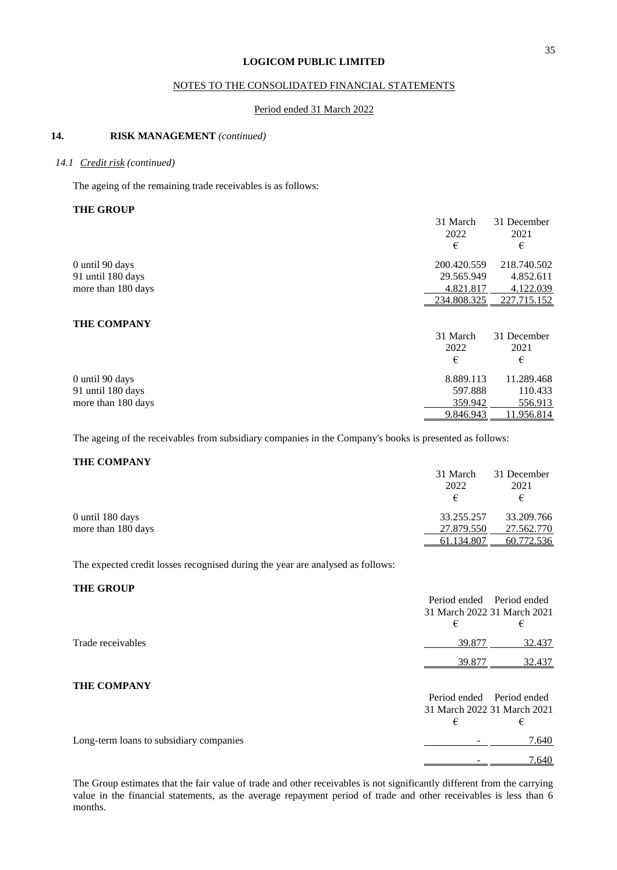## NOTES TO THE CONSOLIDATED FINANCIAL STATEMENTS

#### Period ended 31 March 2022

## **14. RISK MANAGEMENT** *(continued)*

#### *14.1 Credit risk (continued)*

The ageing of the remaining trade receivables is as follows:

## **THE GROUP**

|                    | 31 March    | 31 December |
|--------------------|-------------|-------------|
|                    | 2022        | 2021        |
|                    | €           | €           |
| 0 until 90 days    | 200.420.559 | 218.740.502 |
| 91 until 180 days  | 29.565.949  | 4.852.611   |
| more than 180 days | 4.821.817   | 4.122.039   |
|                    | 234.808.325 | 227.715.152 |
| <b>THE COMPANY</b> |             |             |
|                    | 31 March    | 31 December |
|                    | 2022        | 2021        |
|                    | €           | €           |
| 0 until 90 days    | 8.889.113   | 11.289.468  |
| 91 until 180 days  | 597.888     | 110.433     |
| more than 180 days | 359.942     | 556.913     |
|                    | 9.846.943   | 11.956.814  |

The ageing of the receivables from subsidiary companies in the Company's books is presented as follows:

#### **THE COMPANY**

|                    | 31 March   | 31 December |
|--------------------|------------|-------------|
|                    | 2022       | 2021        |
|                    | €          | €           |
| $0$ until 180 days | 33.255.257 | 33.209.766  |
| more than 180 days | 27.879.550 | 27.562.770  |
|                    | 61.134.807 | 60.772.536  |

The expected credit losses recognised during the year are analysed as follows:

#### **THE GROUP**

|                                         | Period ended Period ended<br>31 March 2022 31 March 2021 |              |
|-----------------------------------------|----------------------------------------------------------|--------------|
|                                         | €                                                        | €            |
| Trade receivables                       | 39.877                                                   | 32.437       |
|                                         | 39.877                                                   | 32.437       |
| THE COMPANY                             | Period ended<br>31 March 2022 31 March 2021              | Period ended |
|                                         | €                                                        | €            |
| Long-term loans to subsidiary companies |                                                          | 7.640        |
|                                         |                                                          | 7.640        |

The Group estimates that the fair value of trade and other receivables is not significantly different from the carrying value in the financial statements, as the average repayment period of trade and other receivables is less than 6 months.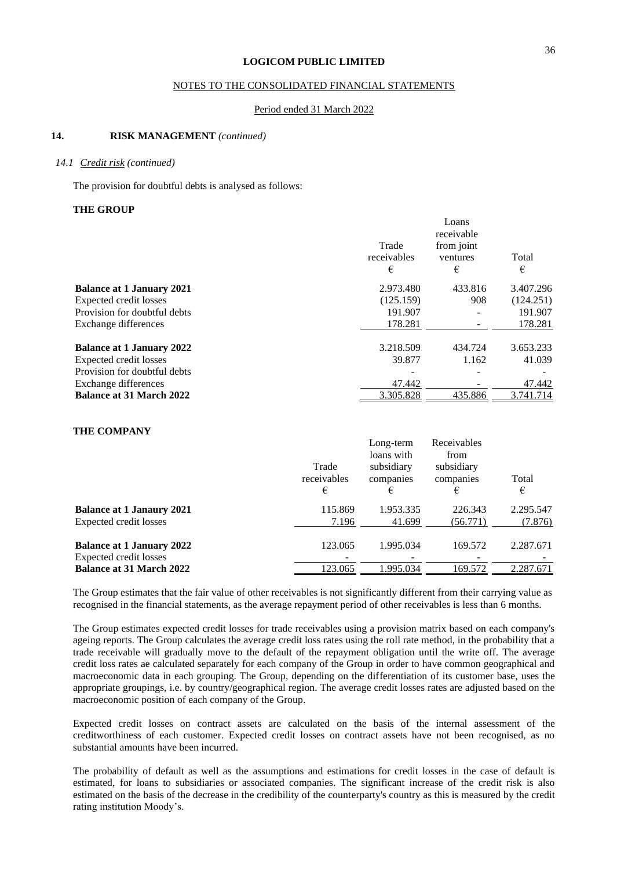#### NOTES TO THE CONSOLIDATED FINANCIAL STATEMENTS

#### Period ended 31 March 2022

## **14. RISK MANAGEMENT** *(continued)*

#### *14.1 Credit risk (continued)*

The provision for doubtful debts is analysed as follows:

#### **THE GROUP**

|                                  |             | Loans      |           |
|----------------------------------|-------------|------------|-----------|
|                                  |             | receivable |           |
|                                  | Trade       | from joint |           |
|                                  | receivables | ventures   | Total     |
|                                  | €           | €          | €         |
| <b>Balance at 1 January 2021</b> | 2.973.480   | 433.816    | 3.407.296 |
| Expected credit losses           | (125.159)   | 908        | (124.251) |
| Provision for doubtful debts     | 191.907     |            | 191.907   |
| Exchange differences             | 178.281     |            | 178.281   |
| <b>Balance at 1 January 2022</b> | 3.218.509   | 434.724    | 3.653.233 |
| Expected credit losses           | 39.877      | 1.162      | 41.039    |
| Provision for doubtful debts     |             |            |           |
| Exchange differences             | 47.442      |            | 47.442    |
| <b>Balance at 31 March 2022</b>  | 3.305.828   | 435.886    | 3.741.714 |

## **THE COMPANY**

|                                  | Trade<br>receivables<br>€ | Long-term<br>loans with<br>subsidiary<br>companies<br>€ | Receivables<br>from<br>subsidiary<br>companies<br>€ | Total<br>€ |
|----------------------------------|---------------------------|---------------------------------------------------------|-----------------------------------------------------|------------|
| <b>Balance at 1 Janaury 2021</b> | 115.869                   | 1.953.335                                               | 226.343                                             | 2.295.547  |
| Expected credit losses           | 7.196                     | 41.699                                                  | (56.771)                                            | (7.876)    |
| <b>Balance at 1 January 2022</b> | 123.065                   | 1.995.034                                               | 169.572                                             | 2.287.671  |
| Expected credit losses           |                           |                                                         |                                                     |            |
| <b>Balance at 31 March 2022</b>  | 123.065                   | 1.995.034                                               | 169.572                                             | 2.287.671  |

The Group estimates that the fair value of other receivables is not significantly different from their carrying value as recognised in the financial statements, as the average repayment period of other receivables is less than 6 months.

The Group estimates expected credit losses for trade receivables using a provision matrix based on each company's ageing reports. The Group calculates the average credit loss rates using the roll rate method, in the probability that a trade receivable will gradually move to the default of the repayment obligation until the write off. The average credit loss rates ae calculated separately for each company of the Group in order to have common geographical and macroeconomic data in each grouping. The Group, depending on the differentiation of its customer base, uses the appropriate groupings, i.e. by country/geographical region. The average credit losses rates are adjusted based on the macroeconomic position of each company of the Group.

Expected credit losses on contract assets are calculated on the basis of the internal assessment of the creditworthiness of each customer. Expected credit losses on contract assets have not been recognised, as no substantial amounts have been incurred.

The probability of default as well as the assumptions and estimations for credit losses in the case of default is estimated, for loans to subsidiaries or associated companies. The significant increase of the credit risk is also estimated on the basis of the decrease in the credibility of the counterparty's country as this is measured by the credit rating institution Moody's.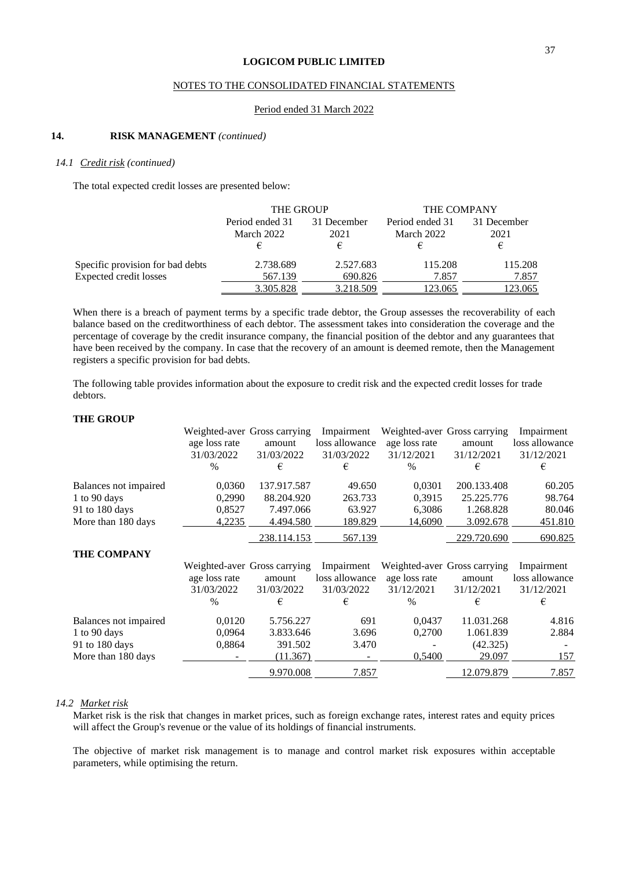### NOTES TO THE CONSOLIDATED FINANCIAL STATEMENTS

#### Period ended 31 March 2022

## **14. RISK MANAGEMENT** *(continued)*

#### *14.1 Credit risk (continued)*

The total expected credit losses are presented below:

|                                  | THE GROUP                          |                          | THE COMPANY                        |                          |  |
|----------------------------------|------------------------------------|--------------------------|------------------------------------|--------------------------|--|
|                                  | Period ended 31<br>March 2022<br>€ | 31 December<br>2021<br>€ | Period ended 31<br>March 2022<br>€ | 31 December<br>2021<br>€ |  |
| Specific provision for bad debts | 2.738.689                          | 2.527.683                | 115.208                            | 115.208                  |  |
| <b>Expected credit losses</b>    | 567.139                            | 690.826                  | 7.857                              | 7.857                    |  |
|                                  | 3.305.828                          | 3.218.509                | 123.065                            | 123.065                  |  |

When there is a breach of payment terms by a specific trade debtor, the Group assesses the recoverability of each balance based on the creditworthiness of each debtor. The assessment takes into consideration the coverage and the percentage of coverage by the credit insurance company, the financial position of the debtor and any guarantees that have been received by the company. In case that the recovery of an amount is deemed remote, then the Management registers a specific provision for bad debts.

The following table provides information about the exposure to credit risk and the expected credit losses for trade debtors.

### **THE GROUP**

|                       |               | Weighted-aver Gross carrying | Impairment     |               | Weighted-aver Gross carrying | Impairment     |
|-----------------------|---------------|------------------------------|----------------|---------------|------------------------------|----------------|
|                       | age loss rate | amount                       | loss allowance | age loss rate | amount                       | loss allowance |
|                       | 31/03/2022    | 31/03/2022                   | 31/03/2022     | 31/12/2021    | 31/12/2021                   | 31/12/2021     |
|                       | $\frac{0}{0}$ | €                            | €              | $\frac{0}{0}$ | €                            | €              |
| Balances not impaired | 0,0360        | 137.917.587                  | 49.650         | 0,0301        | 200.133.408                  | 60.205         |
| 1 to 90 days          | 0,2990        | 88.204.920                   | 263.733        | 0,3915        | 25.225.776                   | 98.764         |
| 91 to 180 days        | 0,8527        | 7.497.066                    | 63.927         | 6,3086        | 1.268.828                    | 80.046         |
| More than 180 days    | 4,2235        | 4.494.580                    | 189.829        | 14,6090       | 3.092.678                    | 451.810        |
|                       |               | 238.114.153                  | 567.139        |               | 229.720.690                  | 690.825        |
| <b>THE COMPANY</b>    |               |                              |                |               |                              |                |
|                       |               | Weighted-aver Gross carrying | Impairment     |               | Weighted-aver Gross carrying | Impairment     |
|                       | age loss rate | amount                       | loss allowance | age loss rate | amount                       | loss allowance |
|                       | 31/03/2022    | 31/03/2022                   | 31/03/2022     | 31/12/2021    | 31/12/2021                   | 31/12/2021     |
|                       | $\frac{0}{0}$ | €                            | €              | $\frac{0}{0}$ | €                            | €              |
| Balances not impaired | 0,0120        | 5.756.227                    | 691            | 0.0437        | 11.031.268                   | 4.816          |
| 1 to 90 days          | 0,0964        | 3.833.646                    | 3.696          | 0,2700        | 1.061.839                    | 2.884          |
| 91 to 180 days        | 0,8864        | 391.502                      | 3.470          |               | (42.325)                     |                |
| More than 180 days    |               | (11.367)                     |                | 0,5400        | 29.097                       | 157            |
|                       |               | 9.970.008                    | 7.857          |               | 12.079.879                   | 7.857          |

### *14.2 Market risk*

Market risk is the risk that changes in market prices, such as foreign exchange rates, interest rates and equity prices will affect the Group's revenue or the value of its holdings of financial instruments.

The objective of market risk management is to manage and control market risk exposures within acceptable parameters, while optimising the return.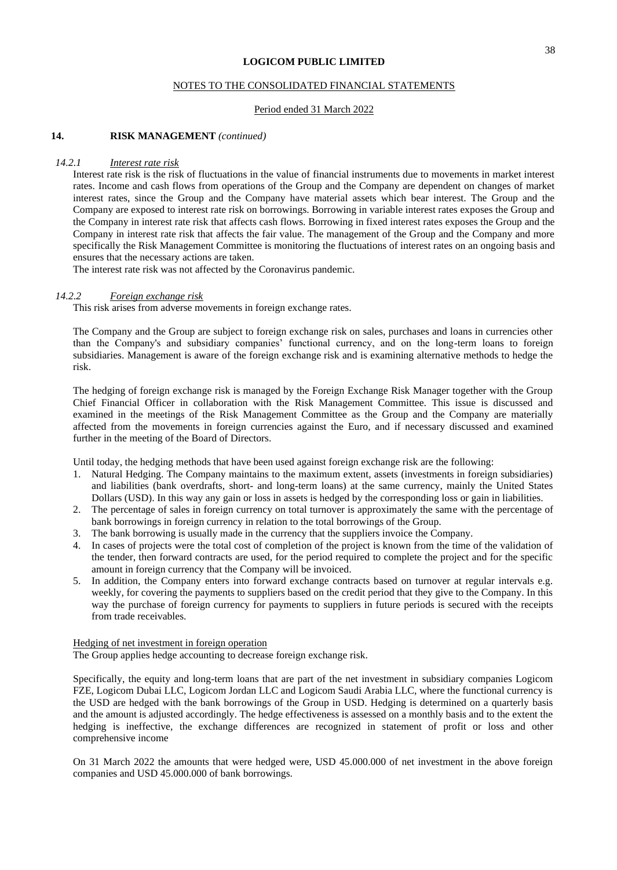#### NOTES TO THE CONSOLIDATED FINANCIAL STATEMENTS

#### Period ended 31 March 2022

#### **14. RISK MANAGEMENT** *(continued)*

#### *14.2.1 Interest rate risk*

Interest rate risk is the risk of fluctuations in the value of financial instruments due to movements in market interest rates. Income and cash flows from operations of the Group and the Company are dependent on changes of market interest rates, since the Group and the Company have material assets which bear interest. The Group and the Company are exposed to interest rate risk on borrowings. Borrowing in variable interest rates exposes the Group and the Company in interest rate risk that affects cash flows. Borrowing in fixed interest rates exposes the Group and the Company in interest rate risk that affects the fair value. The management of the Group and the Company and more specifically the Risk Management Committee is monitoring the fluctuations of interest rates on an ongoing basis and ensures that the necessary actions are taken.

The interest rate risk was not affected by the Coronavirus pandemic.

#### *14.2.2 Foreign exchange risk*

This risk arises from adverse movements in foreign exchange rates.

The Company and the Group are subject to foreign exchange risk on sales, purchases and loans in currencies other than the Company's and subsidiary companies' functional currency, and on the long-term loans to foreign subsidiaries. Management is aware of the foreign exchange risk and is examining alternative methods to hedge the risk.

The hedging of foreign exchange risk is managed by the Foreign Exchange Risk Manager together with the Group Chief Financial Officer in collaboration with the Risk Management Committee. This issue is discussed and examined in the meetings of the Risk Management Committee as the Group and the Company are materially affected from the movements in foreign currencies against the Euro, and if necessary discussed and examined further in the meeting of the Board of Directors.

Until today, the hedging methods that have been used against foreign exchange risk are the following:

- 1. Natural Hedging. The Company maintains to the maximum extent, assets (investments in foreign subsidiaries) and liabilities (bank overdrafts, short- and long-term loans) at the same currency, mainly the United States Dollars (USD). In this way any gain or loss in assets is hedged by the corresponding loss or gain in liabilities.
- 2. The percentage of sales in foreign currency on total turnover is approximately the same with the percentage of bank borrowings in foreign currency in relation to the total borrowings of the Group.
- 3. The bank borrowing is usually made in the currency that the suppliers invoice the Company.
- 4. In cases of projects were the total cost of completion of the project is known from the time of the validation of the tender, then forward contracts are used, for the period required to complete the project and for the specific amount in foreign currency that the Company will be invoiced.
- 5. In addition, the Company enters into forward exchange contracts based on turnover at regular intervals e.g. weekly, for covering the payments to suppliers based on the credit period that they give to the Company. In this way the purchase of foreign currency for payments to suppliers in future periods is secured with the receipts from trade receivables.

#### Hedging of net investment in foreign operation

The Group applies hedge accounting to decrease foreign exchange risk.

Specifically, the equity and long-term loans that are part of the net investment in subsidiary companies Logicom FZE, Logicom Dubai LLC, Logicom Jordan LLC and Logicom Saudi Arabia LLC, where the functional currency is the USD are hedged with the bank borrowings of the Group in USD. Hedging is determined on a quarterly basis and the amount is adjusted accordingly. The hedge effectiveness is assessed on a monthly basis and to the extent the hedging is ineffective, the exchange differences are recognized in statement of profit or loss and other comprehensive income

On 31 March 2022 the amounts that were hedged were, USD 45.000.000 of net investment in the above foreign companies and USD 45.000.000 of bank borrowings.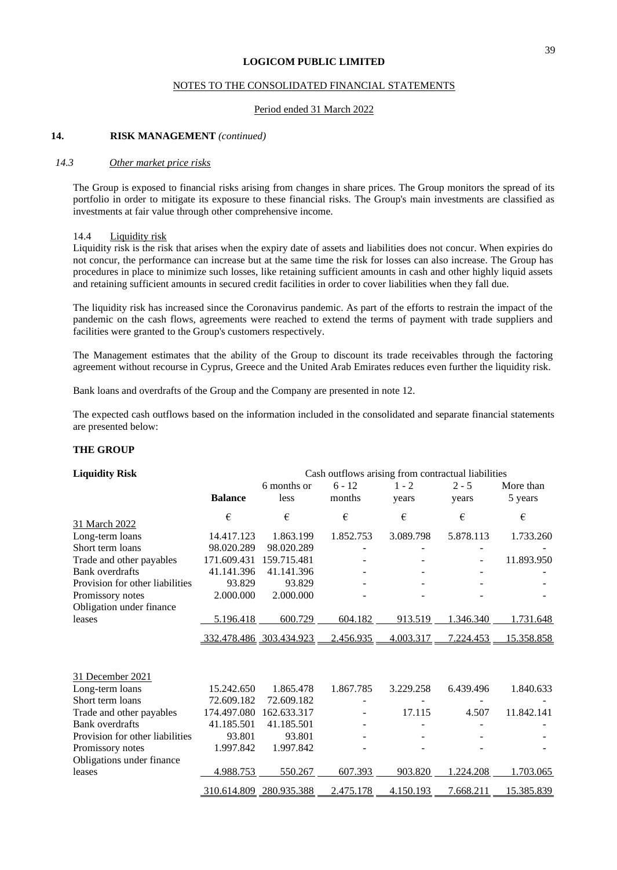#### NOTES TO THE CONSOLIDATED FINANCIAL STATEMENTS

#### Period ended 31 March 2022

#### **14. RISK MANAGEMENT** *(continued)*

#### *14.3 Other market price risks*

The Group is exposed to financial risks arising from changes in share prices. The Group monitors the spread of its portfolio in order to mitigate its exposure to these financial risks. The Group's main investments are classified as investments at fair value through other comprehensive income.

#### 14.4 Liquidity risk

Liquidity risk is the risk that arises when the expiry date of assets and liabilities does not concur. When expiries do not concur, the performance can increase but at the same time the risk for losses can also increase. The Group has procedures in place to minimize such losses, like retaining sufficient amounts in cash and other highly liquid assets and retaining sufficient amounts in secured credit facilities in order to cover liabilities when they fall due.

The liquidity risk has increased since the Coronavirus pandemic. As part of the efforts to restrain the impact of the pandemic on the cash flows, agreements were reached to extend the terms of payment with trade suppliers and facilities were granted to the Group's customers respectively.

The Management estimates that the ability of the Group to discount its trade receivables through the factoring agreement without recourse in Cyprus, Greece and the United Arab Emirates reduces even further the liquidity risk.

Bank loans and overdrafts of the Group and the Company are presented in note 12.

The expected cash outflows based on the information included in the consolidated and separate financial statements are presented below:

#### **THE GROUP**

| <b>Liquidity Risk</b>            | Cash outflows arising from contractual liabilities |             |           |           |           |            |
|----------------------------------|----------------------------------------------------|-------------|-----------|-----------|-----------|------------|
|                                  |                                                    | 6 months or | $6 - 12$  | $1 - 2$   | $2 - 5$   | More than  |
|                                  | <b>Balance</b>                                     | less        | months    | years     | years     | 5 years    |
|                                  | €                                                  | €           | €         | €         | €         | €          |
| 31 March 2022<br>Long-term loans | 14.417.123                                         | 1.863.199   | 1.852.753 | 3.089.798 | 5.878.113 | 1.733.260  |
| Short term loans                 | 98.020.289                                         | 98.020.289  |           |           |           |            |
|                                  |                                                    |             |           |           |           |            |
| Trade and other payables         | 171.609.431                                        | 159.715.481 |           |           |           | 11.893.950 |
| <b>Bank</b> overdrafts           | 41.141.396                                         | 41.141.396  |           |           |           |            |
| Provision for other liabilities  | 93.829                                             | 93.829      |           |           |           |            |
| Promissory notes                 | 2.000.000                                          | 2.000.000   |           |           |           |            |
| Obligation under finance         |                                                    |             |           |           |           |            |
| leases                           | 5.196.418                                          | 600.729     | 604.182   | 913.519   | 1.346.340 | 1.731.648  |
|                                  | 332.478.486 303.434.923                            |             | 2.456.935 | 4.003.317 | 7.224.453 | 15.358.858 |
|                                  |                                                    |             |           |           |           |            |
| 31 December 2021                 |                                                    |             |           |           |           |            |
| Long-term loans                  | 15.242.650                                         | 1.865.478   | 1.867.785 | 3.229.258 | 6.439.496 | 1.840.633  |
| Short term loans                 | 72.609.182                                         | 72.609.182  |           |           |           |            |
| Trade and other payables         | 174.497.080                                        | 162.633.317 |           | 17.115    | 4.507     | 11.842.141 |
| Bank overdrafts                  | 41.185.501                                         | 41.185.501  |           |           |           |            |
| Provision for other liabilities  | 93.801                                             | 93.801      |           |           |           |            |
| Promissory notes                 | 1.997.842                                          | 1.997.842   |           |           |           |            |
| Obligations under finance        |                                                    |             |           |           |           |            |
| leases                           | 4.988.753                                          | 550.267     | 607.393   | 903.820   | 1.224.208 | 1.703.065  |
|                                  | 310.614.809                                        | 280.935.388 | 2.475.178 | 4.150.193 | 7.668.211 | 15.385.839 |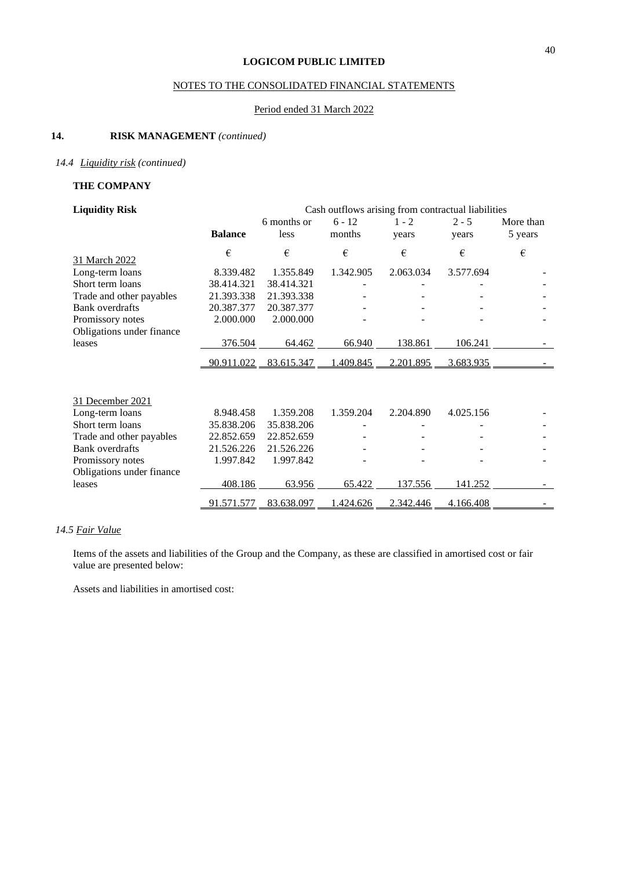## NOTES TO THE CONSOLIDATED FINANCIAL STATEMENTS

## Period ended 31 March 2022

## **14. RISK MANAGEMENT** *(continued)*

## *14.4 Liquidity risk (continued)*

## **THE COMPANY**

| <b>Liquidity Risk</b>     | Cash outflows arising from contractual liabilities |             |           |           |           |           |
|---------------------------|----------------------------------------------------|-------------|-----------|-----------|-----------|-----------|
|                           |                                                    | 6 months or | $6 - 12$  | $1 - 2$   | $2 - 5$   | More than |
|                           | <b>Balance</b>                                     | less        | months    | years     | years     | 5 years   |
|                           | €                                                  | €           | €         | €         | €         | €         |
| 31 March 2022             |                                                    |             |           |           |           |           |
| Long-term loans           | 8.339.482                                          | 1.355.849   | 1.342.905 | 2.063.034 | 3.577.694 |           |
| Short term loans          | 38.414.321                                         | 38.414.321  |           |           |           |           |
| Trade and other payables  | 21.393.338                                         | 21.393.338  |           |           |           |           |
| <b>Bank overdrafts</b>    | 20.387.377                                         | 20.387.377  |           |           |           |           |
| Promissory notes          | 2.000.000                                          | 2.000.000   |           |           |           |           |
| Obligations under finance |                                                    |             |           |           |           |           |
| leases                    | 376.504                                            | 64.462      | 66.940    | 138.861   | 106.241   |           |
|                           | 90.911.022                                         | 83.615.347  | 1.409.845 | 2.201.895 | 3.683.935 |           |
|                           |                                                    |             |           |           |           |           |
| 31 December 2021          |                                                    |             |           |           |           |           |
| Long-term loans           | 8.948.458                                          | 1.359.208   | 1.359.204 | 2.204.890 | 4.025.156 |           |
| Short term loans          | 35.838.206                                         | 35.838.206  |           |           |           |           |
| Trade and other payables  | 22.852.659                                         | 22.852.659  |           |           |           |           |
| <b>Bank</b> overdrafts    | 21.526.226                                         | 21.526.226  |           |           |           |           |
| Promissory notes          | 1.997.842                                          | 1.997.842   |           |           |           |           |
| Obligations under finance |                                                    |             |           |           |           |           |
| leases                    | 408.186                                            | 63.956      | 65.422    | 137.556   | 141.252   |           |
|                           | 91.571.577                                         | 83.638.097  | .424.626  | 2.342.446 | 4.166.408 |           |

## *14.5 Fair Value*

Items of the assets and liabilities of the Group and the Company, as these are classified in amortised cost or fair value are presented below:

Assets and liabilities in amortised cost: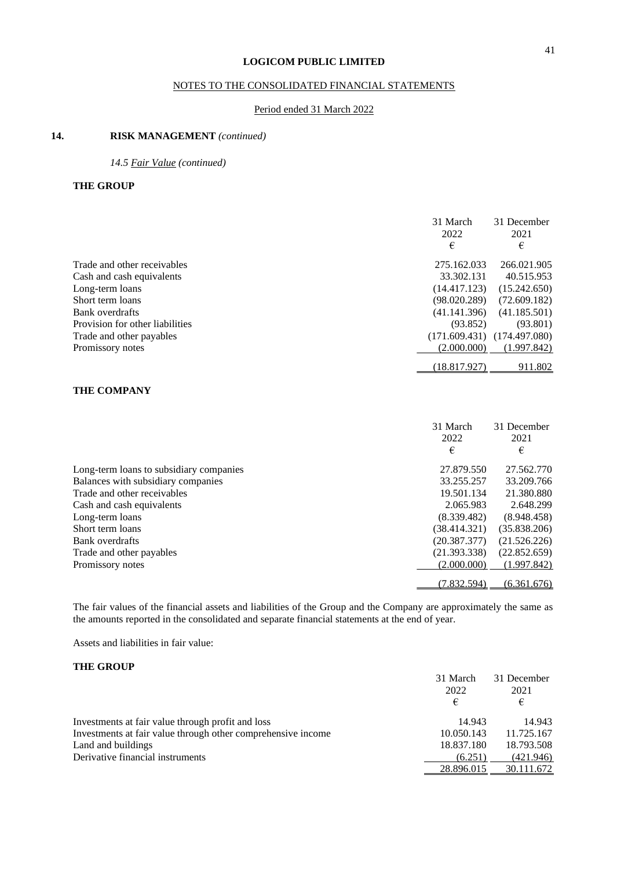## NOTES TO THE CONSOLIDATED FINANCIAL STATEMENTS

### Period ended 31 March 2022

## **14. RISK MANAGEMENT** *(continued)*

*14.5 Fair Value (continued)*

### **THE GROUP**

|                                 | 31 March<br>2022<br>€ | 31 December<br>2021<br>€ |
|---------------------------------|-----------------------|--------------------------|
| Trade and other receivables     | 275.162.033           | 266.021.905              |
| Cash and cash equivalents       | 33.302.131            | 40.515.953               |
| Long-term loans                 | (14.417.123)          | (15.242.650)             |
| Short term loans                | (98.020.289)          | (72.609.182)             |
| Bank overdrafts                 | (41.141.396)          | (41.185.501)             |
| Provision for other liabilities | (93.852)              | (93.801)                 |
| Trade and other payables        | (171.609.431)         | (174.497.080)            |
| Promissory notes                | (2.000.000)           | (1.997.842)              |
|                                 | (18.817.927)          | 911.802                  |

## **THE COMPANY**

|                                         | 31 March     | 31 December  |
|-----------------------------------------|--------------|--------------|
|                                         | 2022         | 2021         |
|                                         | €            | €            |
| Long-term loans to subsidiary companies | 27.879.550   | 27.562.770   |
| Balances with subsidiary companies      | 33.255.257   | 33.209.766   |
| Trade and other receivables             | 19.501.134   | 21.380.880   |
| Cash and cash equivalents               | 2.065.983    | 2.648.299    |
| Long-term loans                         | (8.339.482)  | (8.948.458)  |
| Short term loans                        | (38.414.321) | (35.838.206) |
| Bank overdrafts                         | (20.387.377) | (21.526.226) |
| Trade and other payables                | (21.393.338) | (22.852.659) |
| Promissory notes                        | (2.000.000)  | (1.997.842)  |
|                                         |              |              |
|                                         | (7.832.594)  | (6.361.676)  |

The fair values of the financial assets and liabilities of the Group and the Company are approximately the same as the amounts reported in the consolidated and separate financial statements at the end of year.

Assets and liabilities in fair value:

#### **THE GROUP**

|                                                              | 31 March   | 31 December |
|--------------------------------------------------------------|------------|-------------|
|                                                              | 2022       | 2021        |
|                                                              | €          | €           |
| Investments at fair value through profit and loss            | 14.943     | 14.943      |
| Investments at fair value through other comprehensive income | 10.050.143 | 11.725.167  |
| Land and buildings                                           | 18.837.180 | 18.793.508  |
| Derivative financial instruments                             | (6.251)    | (421.946)   |
|                                                              | 28.896.015 | 30.111.672  |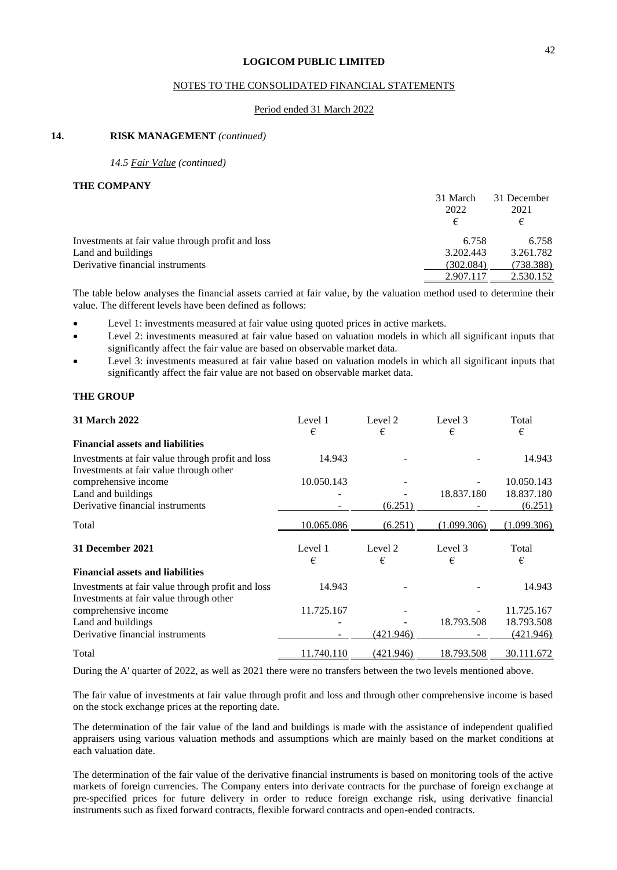#### NOTES TO THE CONSOLIDATED FINANCIAL STATEMENTS

#### Period ended 31 March 2022

#### **14. RISK MANAGEMENT** *(continued)*

*14.5 Fair Value (continued)*

#### **THE COMPANY**

|                                                   | 31 March<br>2022<br>€ | 31 December<br>2021<br>€ |
|---------------------------------------------------|-----------------------|--------------------------|
| Investments at fair value through profit and loss | 6.758                 | 6.758                    |
| Land and buildings                                | 3.202.443             | 3.261.782                |
| Derivative financial instruments                  | (302.084)             | (738.388)                |
|                                                   | 2.907.117             | 2.530.152                |

The table below analyses the financial assets carried at fair value, by the valuation method used to determine their value. The different levels have been defined as follows:

- Level 1: investments measured at fair value using quoted prices in active markets.
- Level 2: investments measured at fair value based on valuation models in which all significant inputs that significantly affect the fair value are based on observable market data.
- Level 3: investments measured at fair value based on valuation models in which all significant inputs that significantly affect the fair value are not based on observable market data.

#### **THE GROUP**

| 31 March 2022                                                                                | Level 1<br>€ | Level 2<br>€ | Level 3<br>€ | Total<br>€  |
|----------------------------------------------------------------------------------------------|--------------|--------------|--------------|-------------|
| <b>Financial assets and liabilities</b>                                                      |              |              |              |             |
| Investments at fair value through profit and loss<br>Investments at fair value through other | 14.943       |              |              | 14.943      |
| comprehensive income                                                                         | 10.050.143   |              |              | 10.050.143  |
| Land and buildings                                                                           |              |              | 18.837.180   | 18.837.180  |
| Derivative financial instruments                                                             |              | (6.251)      |              | (6.251)     |
| Total                                                                                        | 10.065.086   | (6.251)      | (1.099.306)  | (1.099.306) |
| 31 December 2021                                                                             | Level 1<br>€ | Level 2<br>€ | Level 3<br>€ | Total<br>€  |
| <b>Financial assets and liabilities</b>                                                      |              |              |              |             |
| Investments at fair value through profit and loss<br>Investments at fair value through other | 14.943       |              |              | 14.943      |
| comprehensive income                                                                         | 11.725.167   |              |              | 11.725.167  |
| Land and buildings                                                                           |              |              | 18.793.508   | 18.793.508  |
| Derivative financial instruments                                                             |              | (421.946)    |              | (421.946)   |
| Total                                                                                        | 11.740.110   | (421.946)    | 18.793.508   | 30.111.672  |

During the A' quarter of 2022, as well as 2021 there were no transfers between the two levels mentioned above.

The fair value of investments at fair value through profit and loss and through other comprehensive income is based on the stock exchange prices at the reporting date.

The determination of the fair value of the land and buildings is made with the assistance of independent qualified appraisers using various valuation methods and assumptions which are mainly based on the market conditions at each valuation date.

The determination of the fair value of the derivative financial instruments is based on monitoring tools of the active markets of foreign currencies. The Company enters into derivate contracts for the purchase of foreign exchange at pre-specified prices for future delivery in order to reduce foreign exchange risk, using derivative financial instruments such as fixed forward contracts, flexible forward contracts and open-ended contracts.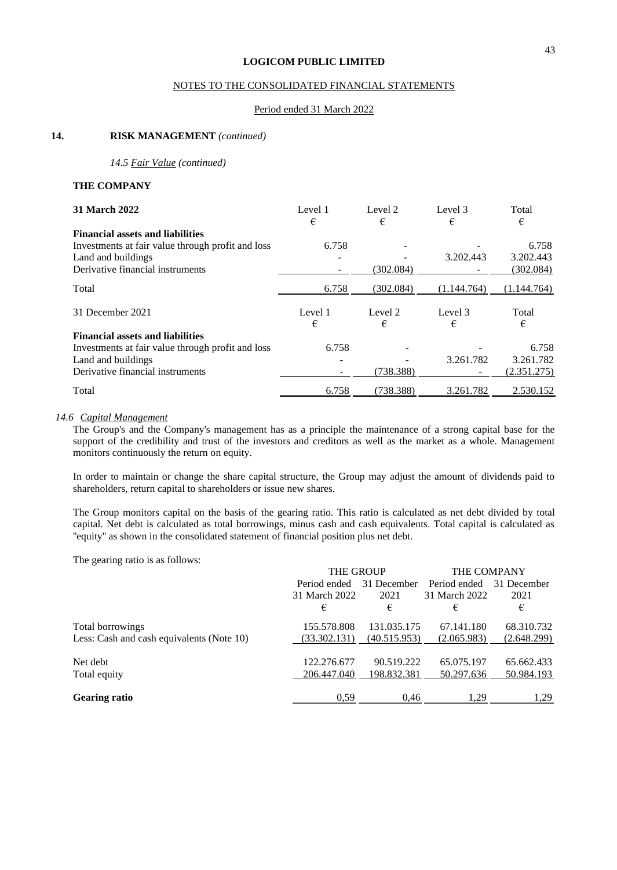### NOTES TO THE CONSOLIDATED FINANCIAL STATEMENTS

#### Period ended 31 March 2022

#### **14. RISK MANAGEMENT** *(continued)*

*14.5 Fair Value (continued)*

#### **THE COMPANY**

| <b>31 March 2022</b>                              | Level 1<br>€ | Level 2<br>€ | Level 3<br>€ | Total<br>€  |
|---------------------------------------------------|--------------|--------------|--------------|-------------|
| <b>Financial assets and liabilities</b>           |              |              |              |             |
| Investments at fair value through profit and loss | 6.758        |              |              | 6.758       |
| Land and buildings                                |              |              | 3.202.443    | 3.202.443   |
| Derivative financial instruments                  |              | (302.084)    |              | (302.084)   |
| Total                                             | 6.758        | (302.084)    | (1.144.764)  | (1.144.764) |
| 31 December 2021                                  | Level 1      | Level 2      | Level 3      | Total       |
|                                                   | €            | €            | €            | €           |
| <b>Financial assets and liabilities</b>           |              |              |              |             |
| Investments at fair value through profit and loss | 6.758        |              |              | 6.758       |
| Land and buildings                                |              |              | 3.261.782    | 3.261.782   |
| Derivative financial instruments                  |              | (738.388)    |              | (2.351.275) |
| Total                                             | 6.758        | (738.388)    | 3.261.782    | 2.530.152   |

#### *14.6 Capital Management*

The Group's and the Company's management has as a principle the maintenance of a strong capital base for the support of the credibility and trust of the investors and creditors as well as the market as a whole. Management monitors continuously the return on equity.

In order to maintain or change the share capital structure, the Group may adjust the amount of dividends paid to shareholders, return capital to shareholders or issue new shares.

The Group monitors capital on the basis of the gearing ratio. This ratio is calculated as net debt divided by total capital. Net debt is calculated as total borrowings, minus cash and cash equivalents. Total capital is calculated as ''equity'' as shown in the consolidated statement of financial position plus net debt.

The gearing ratio is as follows:

|                                           | <b>THE GROUP</b> |              | THE COMPANY   |             |
|-------------------------------------------|------------------|--------------|---------------|-------------|
|                                           | Period ended     | 31 December  | Period ended  | 31 December |
|                                           | 31 March 2022    | 2021         | 31 March 2022 | 2021        |
|                                           | €                | €            | €             | €           |
| Total borrowings                          | 155.578.808      | 131.035.175  | 67.141.180    | 68.310.732  |
| Less: Cash and cash equivalents (Note 10) | (33.302.131)     | (40.515.953) | (2.065.983)   | (2.648.299) |
| Net debt                                  | 122.276.677      | 90.519.222   | 65.075.197    | 65.662.433  |
| Total equity                              | 206.447.040      | 198.832.381  | 50.297.636    | 50.984.193  |
|                                           |                  |              |               |             |
| <b>Gearing ratio</b>                      | 0.59             | 0.46         | 1.29          | 1,29        |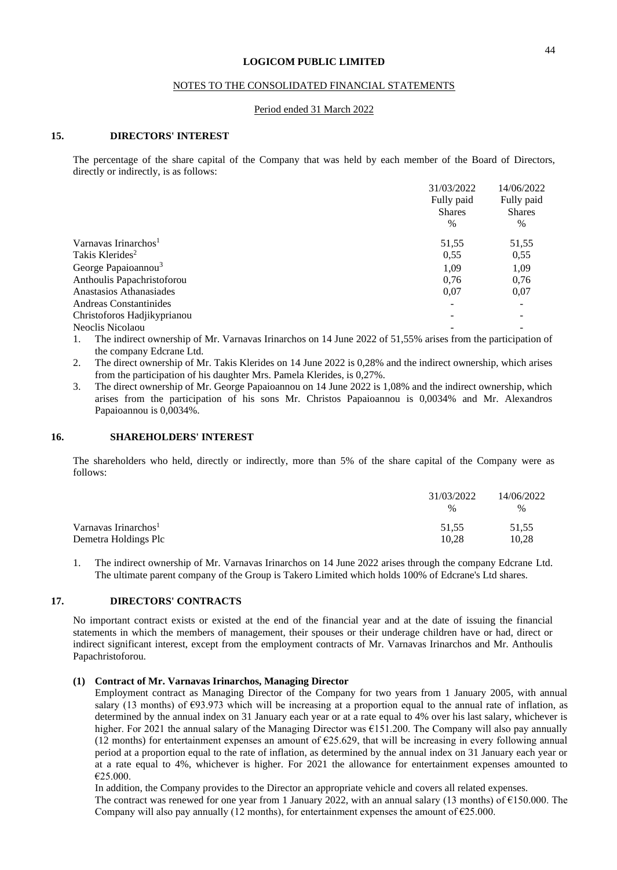### NOTES TO THE CONSOLIDATED FINANCIAL STATEMENTS

#### Period ended 31 March 2022

#### **15. DIRECTORS' INTEREST**

The percentage of the share capital of the Company that was held by each member of the Board of Directors, directly or indirectly, is as follows:

|                                  | 31/03/2022    | 14/06/2022    |
|----------------------------------|---------------|---------------|
|                                  | Fully paid    | Fully paid    |
|                                  | <b>Shares</b> | <b>Shares</b> |
|                                  | $\%$          | $\%$          |
| Varnavas Irinarchos <sup>1</sup> | 51,55         | 51,55         |
| Takis Klerides <sup>2</sup>      | 0.55          | 0.55          |
| George Papaioannou <sup>3</sup>  | 1.09          | 1,09          |
| Anthoulis Papachristoforou       | 0.76          | 0.76          |
| Anastasios Athanasiades          | 0,07          | 0.07          |
| <b>Andreas Constantinides</b>    |               |               |
| Christoforos Hadjikyprianou      |               |               |
| Neoclis Nicolaou                 |               |               |
|                                  |               |               |

1. The indirect ownership of Mr. Varnavas Irinarchos on 14 June 2022 of 51,55% arises from the participation of the company Edcrane Ltd.

2. The direct ownership of Mr. Takis Klerides on 14 June 2022 is 0,28% and the indirect ownership, which arises from the participation of his daughter Mrs. Pamela Klerides, is 0,27%.

3. The direct ownership of Mr. George Papaioannou on 14 June 2022 is 1,08% and the indirect ownership, which arises from the participation of his sons Mr. Christos Papaioannou is 0,0034% and Mr. Alexandros Papaioannou is 0,0034%.

#### **16. SHAREHOLDERS' INTEREST**

The shareholders who held, directly or indirectly, more than 5% of the share capital of the Company were as follows:

|                                  | 31/03/2022 | 14/06/2022 |
|----------------------------------|------------|------------|
|                                  | $\%$       | $\%$       |
| Varnavas Irinarchos <sup>1</sup> | 51.55      | 51.55      |
| Demetra Holdings Plc             | 10.28      | 10.28      |

1. The indirect ownership of Mr. Varnavas Irinarchos on 14 June 2022 arises through the company Edcrane Ltd. The ultimate parent company of the Group is Takero Limited which holds 100% of Edcrane's Ltd shares.

#### **17. DIRECTORS' CONTRACTS**

No important contract exists or existed at the end of the financial year and at the date of issuing the financial statements in which the members of management, their spouses or their underage children have or had, direct or indirect significant interest, except from the employment contracts of Mr. Varnavas Irinarchos and Mr. Anthoulis Papachristoforou.

#### **(1) Contract of Mr. Varnavas Irinarchos, Managing Director**

Employment contract as Managing Director of the Company for two years from 1 January 2005, with annual salary (13 months) of  $\epsilon$ 93.973 which will be increasing at a proportion equal to the annual rate of inflation, as determined by the annual index on 31 January each year or at a rate equal to 4% over his last salary, whichever is higher. For 2021 the annual salary of the Managing Director was €151.200. The Company will also pay annually (12 months) for entertainment expenses an amount of  $E$ 25.629, that will be increasing in every following annual period at a proportion equal to the rate of inflation, as determined by the annual index on 31 January each year or at a rate equal to 4%, whichever is higher. For 2021 the allowance for entertainment expenses amounted to  $£25.000.$ 

In addition, the Company provides to the Director an appropriate vehicle and covers all related expenses. The contract was renewed for one year from 1 January 2022, with an annual salary (13 months) of  $\epsilon$ 150.000. The Company will also pay annually (12 months), for entertainment expenses the amount of  $\epsilon$ 25.000.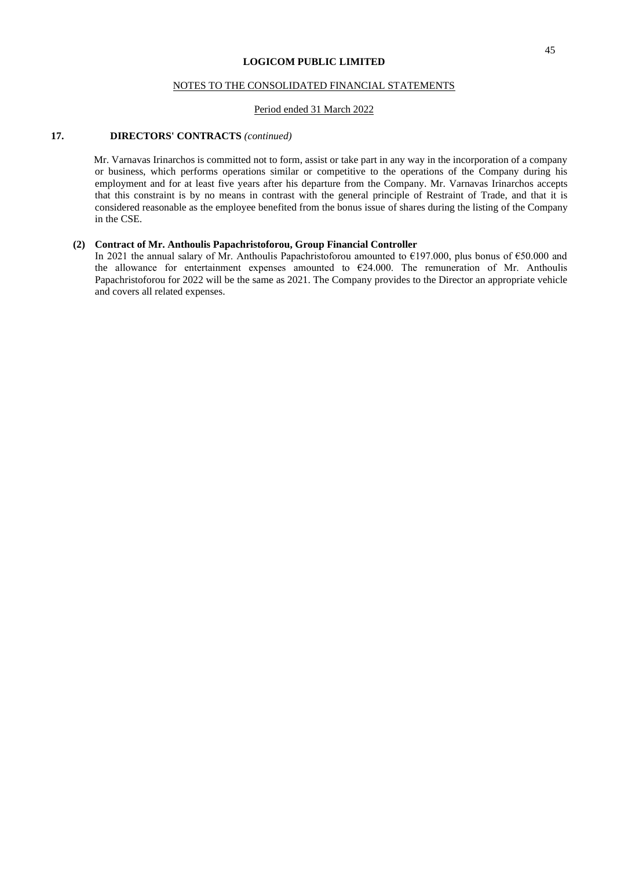### NOTES TO THE CONSOLIDATED FINANCIAL STATEMENTS

#### Period ended 31 March 2022

#### **17. DIRECTORS' CONTRACTS** *(continued)*

 Mr. Varnavas Irinarchos is committed not to form, assist or take part in any way in the incorporation of a company or business, which performs operations similar or competitive to the operations of the Company during his employment and for at least five years after his departure from the Company. Mr. Varnavas Irinarchos accepts that this constraint is by no means in contrast with the general principle of Restraint of Trade, and that it is considered reasonable as the employee benefited from the bonus issue of shares during the listing of the Company in the CSE.

#### **(2) Contract of Mr. Anthoulis Papachristoforou, Group Financial Controller**

In 2021 the annual salary of Mr. Anthoulis Papachristoforou amounted to €197.000, plus bonus of €50.000 and the allowance for entertainment expenses amounted to  $€24.000$ . The remuneration of Mr. Anthoulis Papachristoforou for 2022 will be the same as 2021. The Company provides to the Director an appropriate vehicle and covers all related expenses.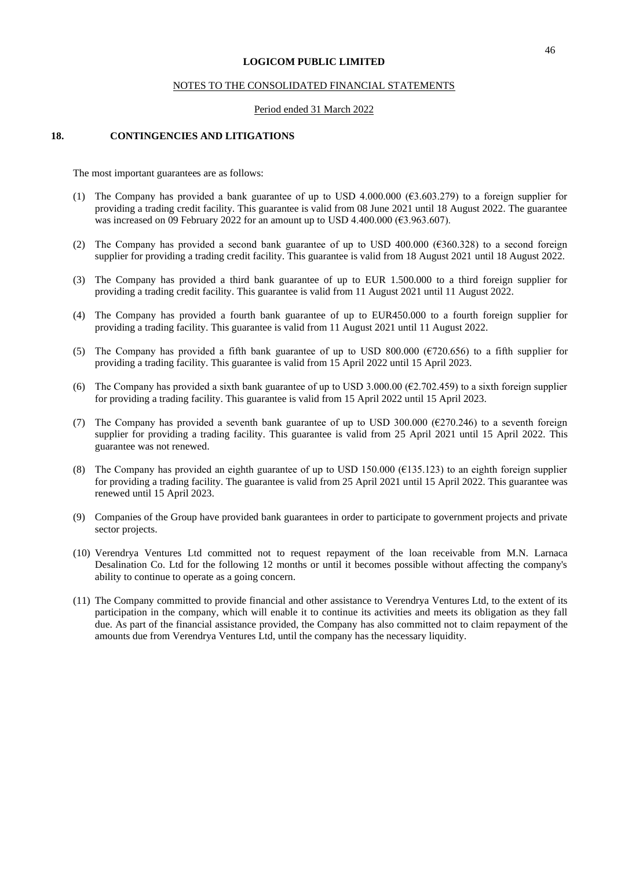#### NOTES TO THE CONSOLIDATED FINANCIAL STATEMENTS

#### Period ended 31 March 2022

#### **18. CONTINGENCIES AND LITIGATIONS**

The most important guarantees are as follows:

- (1) The Company has provided a bank guarantee of up to USD 4.000.000 ( $63.603.279$ ) to a foreign supplier for providing a trading credit facility. This guarantee is valid from 08 June 2021 until 18 August 2022. The guarantee was increased on 09 February 2022 for an amount up to USD 4.400.000 ( $\epsilon$ 3.963.607).
- (2) The Company has provided a second bank guarantee of up to USD 400.000 (€360.328) to a second foreign supplier for providing a trading credit facility. This guarantee is valid from 18 August 2021 until 18 August 2022.
- (3) The Company has provided a third bank guarantee of up to EUR 1.500.000 to a third foreign supplier for providing a trading credit facility. This guarantee is valid from 11 August 2021 until 11 August 2022.
- (4) The Company has provided a fourth bank guarantee of up to EUR450.000 to a fourth foreign supplier for providing a trading facility. This guarantee is valid from 11 August 2021 until 11 August 2022.
- (5) The Company has provided a fifth bank guarantee of up to USD 800.000 (€720.656) to a fifth supplier for providing a trading facility. This guarantee is valid from 15 April 2022 until 15 April 2023.
- (6) The Company has provided a sixth bank guarantee of up to USD 3.000.00 ( $\epsilon$ 2.702.459) to a sixth foreign supplier for providing a trading facility. This guarantee is valid from 15 April 2022 until 15 April 2023.
- (7) The Company has provided a seventh bank guarantee of up to USD 300.000 ( $\epsilon$ 270.246) to a seventh foreign supplier for providing a trading facility. This guarantee is valid from 25 April 2021 until 15 April 2022. This guarantee was not renewed.
- (8) The Company has provided an eighth guarantee of up to USD 150.000 ( $\epsilon$ 135.123) to an eighth foreign supplier for providing a trading facility. The guarantee is valid from 25 April 2021 until 15 April 2022. This guarantee was renewed until 15 April 2023.
- (9) Companies of the Group have provided bank guarantees in order to participate to government projects and private sector projects.
- (10) Verendrya Ventures Ltd committed not to request repayment of the loan receivable from M.N. Larnaca Desalination Co. Ltd for the following 12 months or until it becomes possible without affecting the company's ability to continue to operate as a going concern.
- (11) The Company committed to provide financial and other assistance to Verendrya Ventures Ltd, to the extent of its participation in the company, which will enable it to continue its activities and meets its obligation as they fall due. As part of the financial assistance provided, the Company has also committed not to claim repayment of the amounts due from Verendrya Ventures Ltd, until the company has the necessary liquidity.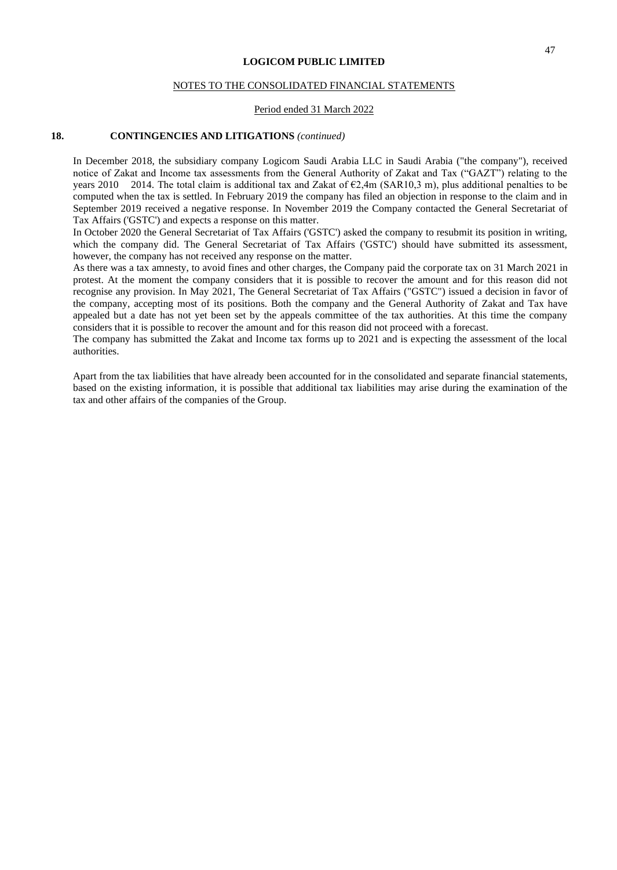#### NOTES TO THE CONSOLIDATED FINANCIAL STATEMENTS

#### Period ended 31 March 2022

#### **18. CONTINGENCIES AND LITIGATIONS** *(continued)*

In December 2018, the subsidiary company Logicom Saudi Arabia LLC in Saudi Arabia ("the company"), received notice of Zakat and Income tax assessments from the General Authority of Zakat and Tax ("GAZT") relating to the years 2010 2014. The total claim is additional tax and Zakat of  $\epsilon$ 2,4m (SAR10,3 m), plus additional penalties to be computed when the tax is settled. In February 2019 the company has filed an objection in response to the claim and in September 2019 received a negative response. In November 2019 the Company contacted the General Secretariat of Tax Affairs ('GSTC') and expects a response on this matter.

In October 2020 the General Secretariat of Tax Affairs ('GSTC') asked the company to resubmit its position in writing, which the company did. The General Secretariat of Tax Affairs ('GSTC') should have submitted its assessment, however, the company has not received any response on the matter.

As there was a tax amnesty, to avoid fines and other charges, the Company paid the corporate tax on 31 March 2021 in protest. At the moment the company considers that it is possible to recover the amount and for this reason did not recognise any provision. In May 2021, The General Secretariat of Tax Affairs ("GSTC") issued a decision in favor of the company, accepting most of its positions. Both the company and the General Authority of Zakat and Tax have appealed but a date has not yet been set by the appeals committee of the tax authorities. At this time the company considers that it is possible to recover the amount and for this reason did not proceed with a forecast.

The company has submitted the Zakat and Income tax forms up to 2021 and is expecting the assessment of the local authorities.

Apart from the tax liabilities that have already been accounted for in the consolidated and separate financial statements, based on the existing information, it is possible that additional tax liabilities may arise during the examination of the tax and other affairs of the companies of the Group.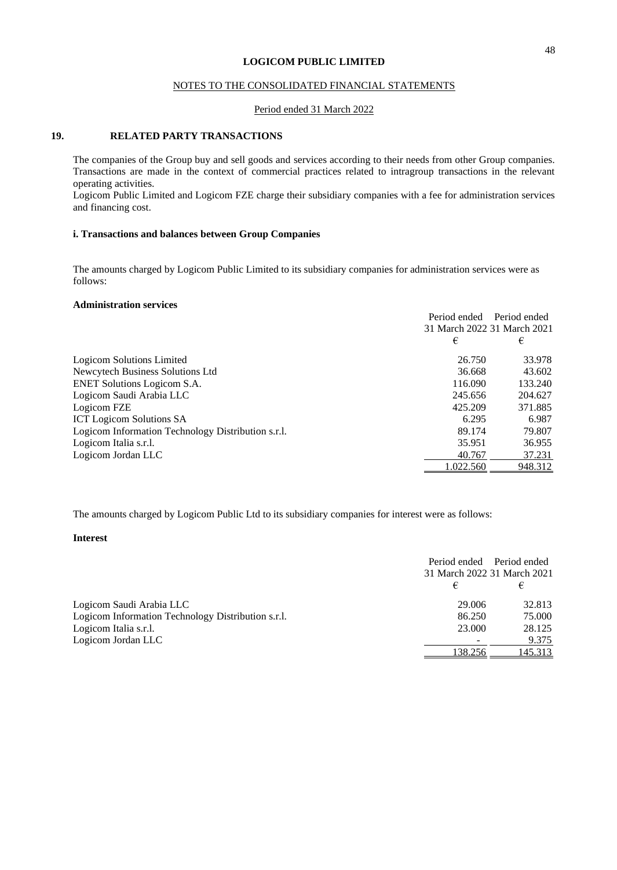### NOTES TO THE CONSOLIDATED FINANCIAL STATEMENTS

#### Period ended 31 March 2022

#### **19. RELATED PARTY TRANSACTIONS**

The companies of the Group buy and sell goods and services according to their needs from other Group companies. Transactions are made in the context of commercial practices related to intragroup transactions in the relevant operating activities.

Logicom Public Limited and Logicom FZE charge their subsidiary companies with a fee for administration services and financing cost.

## **i. Transactions and balances between Group Companies**

The amounts charged by Logicom Public Limited to its subsidiary companies for administration services were as follows:

## **Administration services**

|                                                    | Period ended Period ended   |         |
|----------------------------------------------------|-----------------------------|---------|
|                                                    | 31 March 2022 31 March 2021 |         |
|                                                    | €                           | €       |
| Logicom Solutions Limited                          | 26.750                      | 33.978  |
| Newcytech Business Solutions Ltd                   | 36.668                      | 43.602  |
| <b>ENET Solutions Logicom S.A.</b>                 | 116.090                     | 133.240 |
| Logicom Saudi Arabia LLC                           | 245.656                     | 204.627 |
| Logicom FZE                                        | 425.209                     | 371.885 |
| <b>ICT Logicom Solutions SA</b>                    | 6.295                       | 6.987   |
| Logicom Information Technology Distribution s.r.l. | 89.174                      | 79.807  |
| Logicom Italia s.r.l.                              | 35.951                      | 36.955  |
| Logicom Jordan LLC                                 | 40.767                      | 37.231  |
|                                                    | 1.022.560                   | 948.312 |

The amounts charged by Logicom Public Ltd to its subsidiary companies for interest were as follows:

### **Interest**

|                                                    | Period ended Period ended<br>31 March 2022 31 March 2021 |         |
|----------------------------------------------------|----------------------------------------------------------|---------|
|                                                    | €                                                        | €       |
| Logicom Saudi Arabia LLC                           | 29.006                                                   | 32.813  |
| Logicom Information Technology Distribution s.r.l. | 86.250                                                   | 75.000  |
| Logicom Italia s.r.l.                              | 23,000                                                   | 28.125  |
| Logicom Jordan LLC                                 |                                                          | 9.375   |
|                                                    | 138.256                                                  | 145.313 |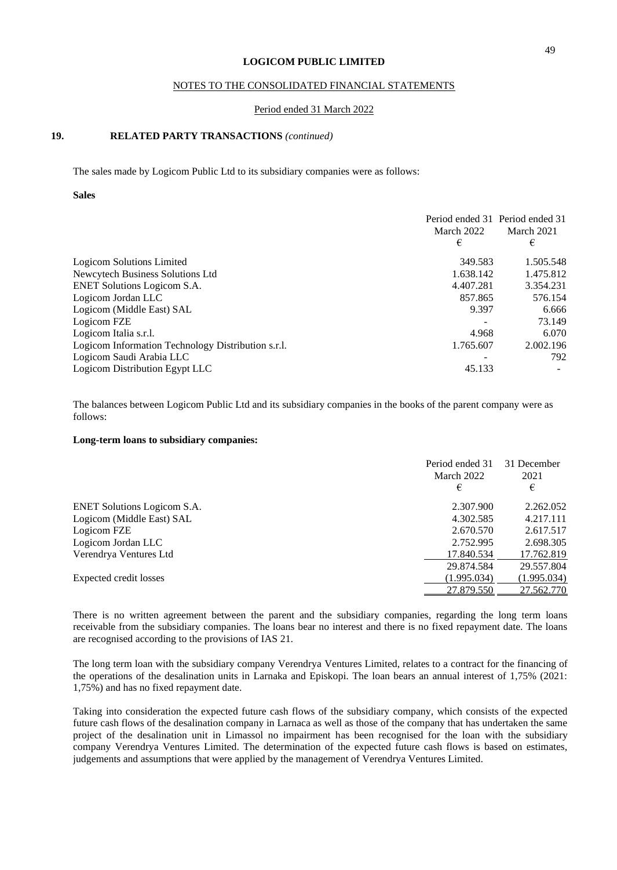### NOTES TO THE CONSOLIDATED FINANCIAL STATEMENTS

#### Period ended 31 March 2022

## **19. RELATED PARTY TRANSACTIONS** *(continued)*

The sales made by Logicom Public Ltd to its subsidiary companies were as follows:

#### **Sales**

|                                                    | March 2022<br>€ | Period ended 31 Period ended 31<br>March 2021<br>€ |
|----------------------------------------------------|-----------------|----------------------------------------------------|
| Logicom Solutions Limited                          | 349.583         | 1.505.548                                          |
| Newcytech Business Solutions Ltd                   | 1.638.142       | 1.475.812                                          |
| <b>ENET Solutions Logicom S.A.</b>                 | 4.407.281       | 3.354.231                                          |
| Logicom Jordan LLC                                 | 857.865         | 576.154                                            |
| Logicom (Middle East) SAL                          | 9.397           | 6.666                                              |
| Logicom FZE                                        |                 | 73.149                                             |
| Logicom Italia s.r.l.                              | 4.968           | 6.070                                              |
| Logicom Information Technology Distribution s.r.l. | 1.765.607       | 2.002.196                                          |
| Logicom Saudi Arabia LLC                           |                 | 792                                                |
| Logicom Distribution Egypt LLC                     | 45.133          |                                                    |

The balances between Logicom Public Ltd and its subsidiary companies in the books of the parent company were as follows:

#### **Long-term loans to subsidiary companies:**

|                                    | Period ended 31<br>March 2022<br>€ | 31 December<br>2021<br>€ |
|------------------------------------|------------------------------------|--------------------------|
| <b>ENET Solutions Logicom S.A.</b> | 2.307.900                          | 2.262.052                |
| Logicom (Middle East) SAL          | 4.302.585                          | 4.217.111                |
| Logicom FZE                        | 2.670.570                          | 2.617.517                |
| Logicom Jordan LLC                 | 2.752.995                          | 2.698.305                |
| Verendrya Ventures Ltd             | 17.840.534                         | 17.762.819               |
|                                    | 29.874.584                         | 29.557.804               |
| Expected credit losses             | (1.995.034)                        | (1.995.034)              |
|                                    | 27.879.550                         | 27.562.770               |
|                                    |                                    |                          |

There is no written agreement between the parent and the subsidiary companies, regarding the long term loans receivable from the subsidiary companies. The loans bear no interest and there is no fixed repayment date. The loans are recognised according to the provisions of IAS 21.

The long term loan with the subsidiary company Verendrya Ventures Limited, relates to a contract for the financing of the operations of the desalination units in Larnaka and Episkopi. The loan bears an annual interest of 1,75% (2021: 1,75%) and has no fixed repayment date.

Taking into consideration the expected future cash flows of the subsidiary company, which consists of the expected future cash flows of the desalination company in Larnaca as well as those of the company that has undertaken the same project of the desalination unit in Limassol no impairment has been recognised for the loan with the subsidiary company Verendrya Ventures Limited. The determination of the expected future cash flows is based on estimates, judgements and assumptions that were applied by the management of Verendrya Ventures Limited.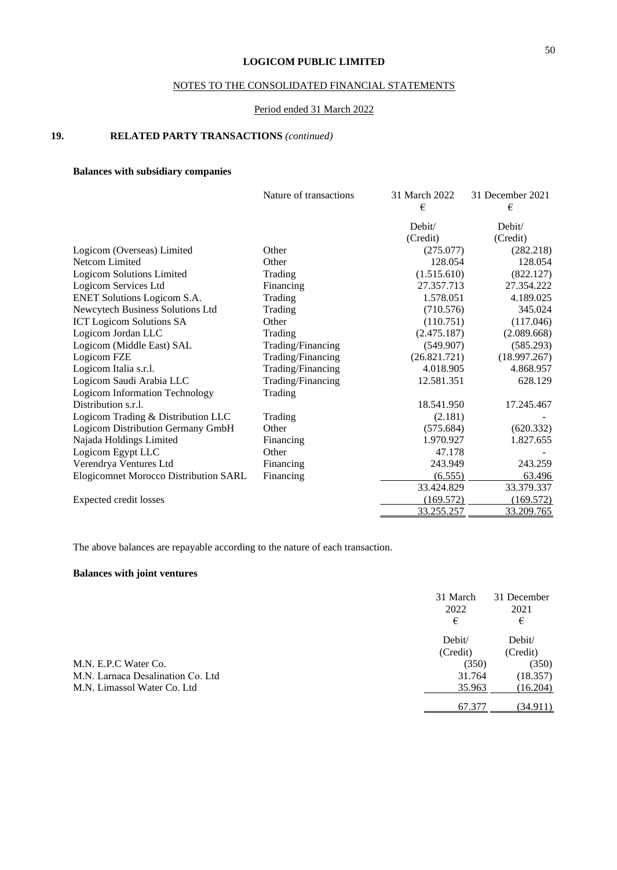## NOTES TO THE CONSOLIDATED FINANCIAL STATEMENTS

## Period ended 31 March 2022

## **19. RELATED PARTY TRANSACTIONS** *(continued)*

## **Balances with subsidiary companies**

|                                              | Nature of transactions | 31 March 2022<br>€ | 31 December 2021<br>€ |
|----------------------------------------------|------------------------|--------------------|-----------------------|
|                                              |                        | Debit/             | Debit/                |
|                                              |                        | (Credit)           | (Credit)              |
| Logicom (Overseas) Limited                   | Other                  | (275.077)          | (282.218)             |
| Netcom Limited                               | Other                  | 128.054            | 128.054               |
| <b>Logicom Solutions Limited</b>             | Trading                | (1.515.610)        | (822.127)             |
| Logicom Services Ltd                         | Financing              | 27.357.713         | 27.354.222            |
| ENET Solutions Logicom S.A.                  | Trading                | 1.578.051          | 4.189.025             |
| Newcytech Business Solutions Ltd             | Trading                | (710.576)          | 345.024               |
| <b>ICT Logicom Solutions SA</b>              | Other                  | (110.751)          | (117.046)             |
| Logicom Jordan LLC                           | Trading                | (2.475.187)        | (2.089.668)           |
| Logicom (Middle East) SAL                    | Trading/Financing      | (549.907)          | (585.293)             |
| Logicom FZE                                  | Trading/Financing      | (26.821.721)       | (18.997.267)          |
| Logicom Italia s.r.l.                        | Trading/Financing      | 4.018.905          | 4.868.957             |
| Logicom Saudi Arabia LLC                     | Trading/Financing      | 12.581.351         | 628.129               |
| <b>Logicom Information Technology</b>        | Trading                |                    |                       |
| Distribution s.r.l.                          |                        | 18.541.950         | 17.245.467            |
| Logicom Trading & Distribution LLC           | Trading                | (2.181)            |                       |
| Logicom Distribution Germany GmbH            | Other                  | (575.684)          | (620.332)             |
| Najada Holdings Limited                      | Financing              | 1.970.927          | 1.827.655             |
| Logicom Egypt LLC                            | Other                  | 47.178             |                       |
| Verendrya Ventures Ltd                       | Financing              | 243.949            | 243.259               |
| <b>Elogicomnet Morocco Distribution SARL</b> | Financing              | (6.555)            | 63.496                |
|                                              |                        | 33.424.829         | 33.379.337            |
| Expected credit losses                       |                        | (169.572)          | (169.572)             |
|                                              |                        | 33.255.257         | 33.209.765            |

The above balances are repayable according to the nature of each transaction.

## **Balances with joint ventures**

|                                   | 31 March<br>2022<br>€ | 31 December<br>2021<br>€ |
|-----------------------------------|-----------------------|--------------------------|
|                                   | Debit/                | Debit/                   |
|                                   | (Credit)              | (Credit)                 |
| M.N. E.P.C Water Co.              | (350)                 | (350)                    |
| M.N. Larnaca Desalination Co. Ltd | 31.764                | (18.357)                 |
| M.N. Limassol Water Co. Ltd.      | 35.963                | (16.204)                 |
|                                   | 67.377                | (34.911)                 |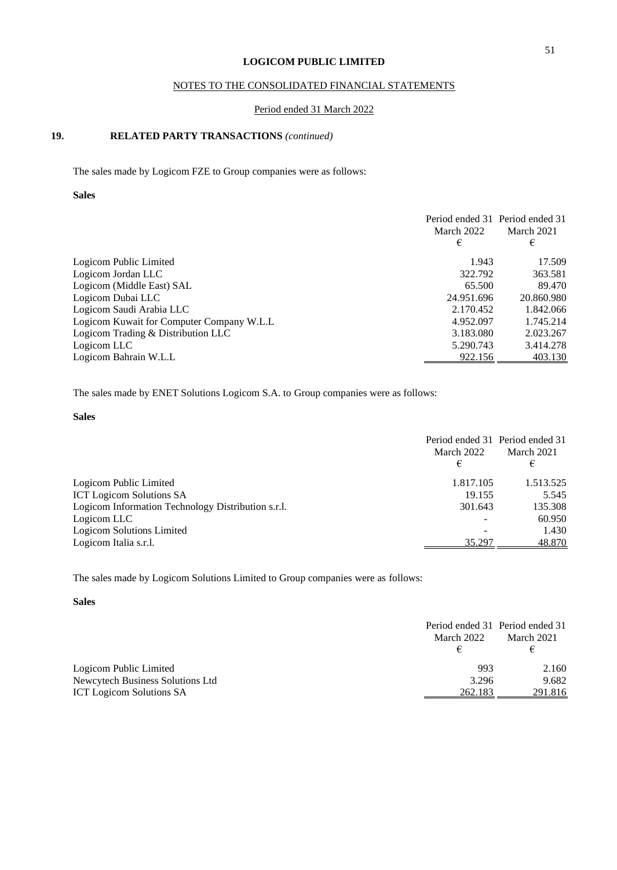## NOTES TO THE CONSOLIDATED FINANCIAL STATEMENTS

#### Period ended 31 March 2022

## **19. RELATED PARTY TRANSACTIONS** *(continued)*

The sales made by Logicom FZE to Group companies were as follows:

### **Sales**

|                                           | March 2022<br>€ | Period ended 31 Period ended 31<br>March 2021<br>€ |
|-------------------------------------------|-----------------|----------------------------------------------------|
| Logicom Public Limited                    | 1.943           | 17.509                                             |
| Logicom Jordan LLC                        | 322.792         | 363.581                                            |
| Logicom (Middle East) SAL                 | 65.500          | 89.470                                             |
| Logicom Dubai LLC                         | 24.951.696      | 20.860.980                                         |
| Logicom Saudi Arabia LLC                  | 2.170.452       | 1.842.066                                          |
| Logicom Kuwait for Computer Company W.L.L | 4.952.097       | 1.745.214                                          |
| Logicom Trading & Distribution LLC        | 3.183.080       | 2.023.267                                          |
| Logicom LLC                               | 5.290.743       | 3.414.278                                          |
| Logicom Bahrain W.L.L                     | 922.156         | 403.130                                            |
|                                           |                 |                                                    |

The sales made by ENET Solutions Logicom S.A. to Group companies were as follows:

#### **Sales**

|                                                    | Period ended 31 Period ended 31<br>March 2022 | March 2021 |
|----------------------------------------------------|-----------------------------------------------|------------|
|                                                    |                                               |            |
|                                                    | €                                             | €          |
| Logicom Public Limited                             | 1.817.105                                     | 1.513.525  |
| <b>ICT Logicom Solutions SA</b>                    | 19.155                                        | 5.545      |
| Logicom Information Technology Distribution s.r.l. | 301.643                                       | 135.308    |
| Logicom LLC                                        |                                               | 60.950     |
| Logicom Solutions Limited                          |                                               | 1.430      |
| Logicom Italia s.r.l.                              | 35.297                                        | 48.870     |

The sales made by Logicom Solutions Limited to Group companies were as follows:

## **Sales**

|                                  | Period ended 31 Period ended 31<br>March 2022 | March 2021 |
|----------------------------------|-----------------------------------------------|------------|
|                                  |                                               |            |
| Logicom Public Limited           | 993                                           | 2.160      |
| Newcytech Business Solutions Ltd | 3.296                                         | 9.682      |
| <b>ICT</b> Logicom Solutions SA  | 262.183                                       | 291.816    |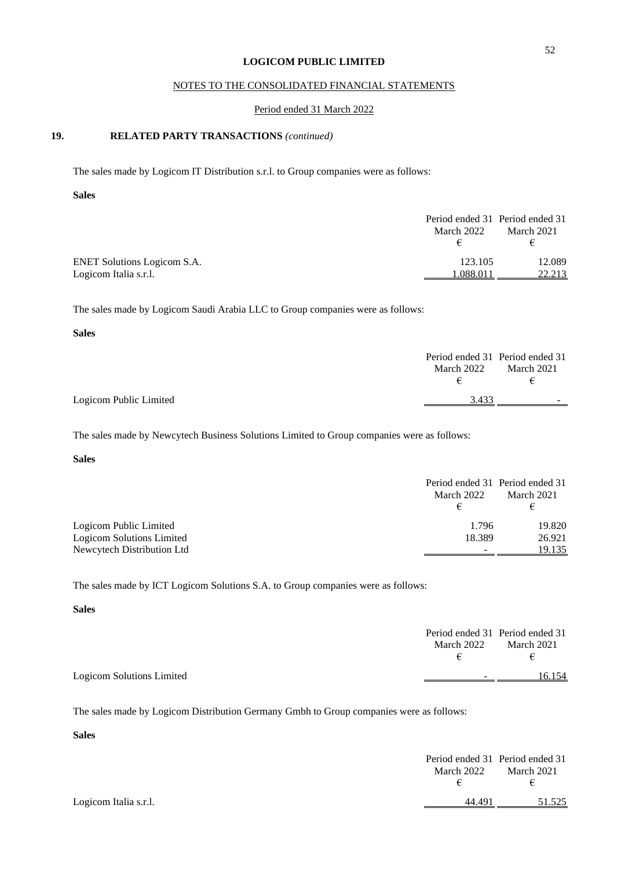## NOTES TO THE CONSOLIDATED FINANCIAL STATEMENTS

#### Period ended 31 March 2022

## **19. RELATED PARTY TRANSACTIONS** *(continued)*

The sales made by Logicom IT Distribution s.r.l. to Group companies were as follows:

#### **Sales**

|                                    | Period ended 31 Period ended 31 |            |
|------------------------------------|---------------------------------|------------|
|                                    | March 2022                      | March 2021 |
|                                    |                                 | €          |
| <b>ENET Solutions Logicom S.A.</b> | 123.105                         | 12.089     |
| Logicom Italia s.r.l.              | .088.011                        | 22.213     |

The sales made by Logicom Saudi Arabia LLC to Group companies were as follows:

#### **Sales**

|                        | March 2022<br>€ | Period ended 31 Period ended 31<br>March 2021<br>€ |
|------------------------|-----------------|----------------------------------------------------|
| Logicom Public Limited | 3.433           | -                                                  |

The sales made by Newcytech Business Solutions Limited to Group companies were as follows:

### **Sales**

|                            | March 2022<br>€          | Period ended 31 Period ended 31<br>March 2021<br>€ |
|----------------------------|--------------------------|----------------------------------------------------|
| Logicom Public Limited     | 1.796                    | 19.820                                             |
| Logicom Solutions Limited  | 18.389                   | 26.921                                             |
| Newcytech Distribution Ltd | $\overline{\phantom{a}}$ | 19.135                                             |

The sales made by ICT Logicom Solutions S.A. to Group companies were as follows:

#### **Sales**

|                           |            | Period ended 31 Period ended 31 |
|---------------------------|------------|---------------------------------|
|                           | March 2022 | March 2021                      |
|                           |            | €                               |
| Logicom Solutions Limited | $\sim$     | 16.154                          |
|                           |            |                                 |

The sales made by Logicom Distribution Germany Gmbh to Group companies were as follows:

#### **Sales**

|                       |            | Period ended 31 Period ended 31 |
|-----------------------|------------|---------------------------------|
|                       | March 2022 | March 2021                      |
|                       |            | €                               |
| Logicom Italia s.r.l. | 44.491     | 51.525                          |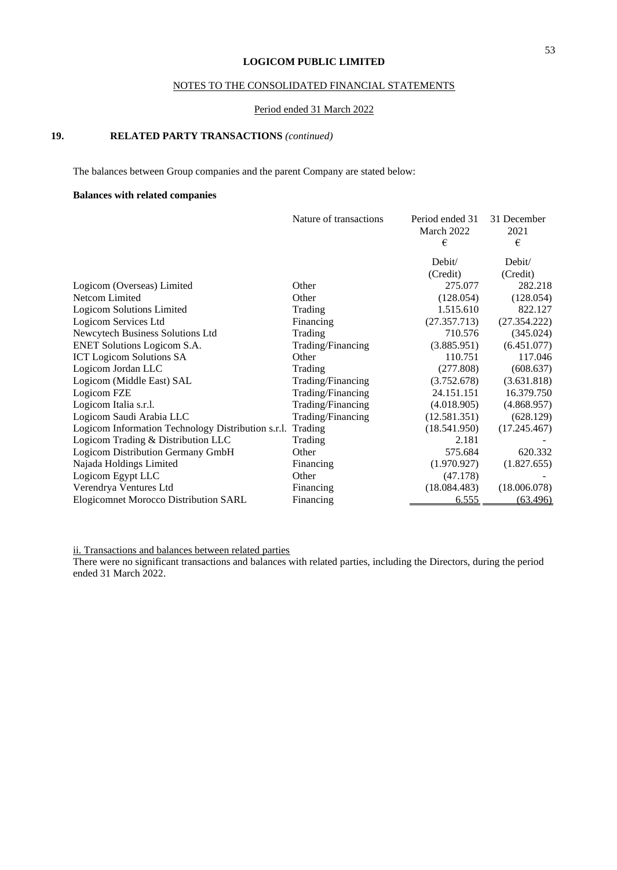## NOTES TO THE CONSOLIDATED FINANCIAL STATEMENTS

#### Period ended 31 March 2022

## **19. RELATED PARTY TRANSACTIONS** *(continued)*

The balances between Group companies and the parent Company are stated below:

### **Balances with related companies**

|                                                    | Nature of transactions | Period ended 31<br>March 2022 | 31 December<br>2021 |
|----------------------------------------------------|------------------------|-------------------------------|---------------------|
|                                                    |                        | €                             | €                   |
|                                                    |                        | Debit/                        | Debit/              |
|                                                    |                        | (Credit)                      | (Credit)            |
| Logicom (Overseas) Limited                         | Other                  | 275.077                       | 282.218             |
| Netcom Limited                                     | Other                  | (128.054)                     | (128.054)           |
| <b>Logicom Solutions Limited</b>                   | Trading                | 1.515.610                     | 822.127             |
| Logicom Services Ltd                               | Financing              | (27.357.713)                  | (27.354.222)        |
| Newcytech Business Solutions Ltd                   | Trading                | 710.576                       | (345.024)           |
| <b>ENET Solutions Logicom S.A.</b>                 | Trading/Financing      | (3.885.951)                   | (6.451.077)         |
| <b>ICT</b> Logicom Solutions SA                    | Other                  | 110.751                       | 117.046             |
| Logicom Jordan LLC                                 | Trading                | (277.808)                     | (608.637)           |
| Logicom (Middle East) SAL                          | Trading/Financing      | (3.752.678)                   | (3.631.818)         |
| Logicom FZE                                        | Trading/Financing      | 24.151.151                    | 16.379.750          |
| Logicom Italia s.r.l.                              | Trading/Financing      | (4.018.905)                   | (4.868.957)         |
| Logicom Saudi Arabia LLC                           | Trading/Financing      | (12.581.351)                  | (628.129)           |
| Logicom Information Technology Distribution s.r.l. | Trading                | (18.541.950)                  | (17.245.467)        |
| Logicom Trading & Distribution LLC                 | Trading                | 2.181                         |                     |
| Logicom Distribution Germany GmbH                  | Other                  | 575.684                       | 620.332             |
| Najada Holdings Limited                            | Financing              | (1.970.927)                   | (1.827.655)         |
| Logicom Egypt LLC                                  | Other                  | (47.178)                      |                     |
| Verendrya Ventures Ltd                             | Financing              | (18.084.483)                  | (18.006.078)        |
| <b>Elogicomnet Morocco Distribution SARL</b>       | Financing              | 6.555                         | (63.496)            |

ii. Transactions and balances between related parties

There were no significant transactions and balances with related parties, including the Directors, during the period ended 31 March 2022.